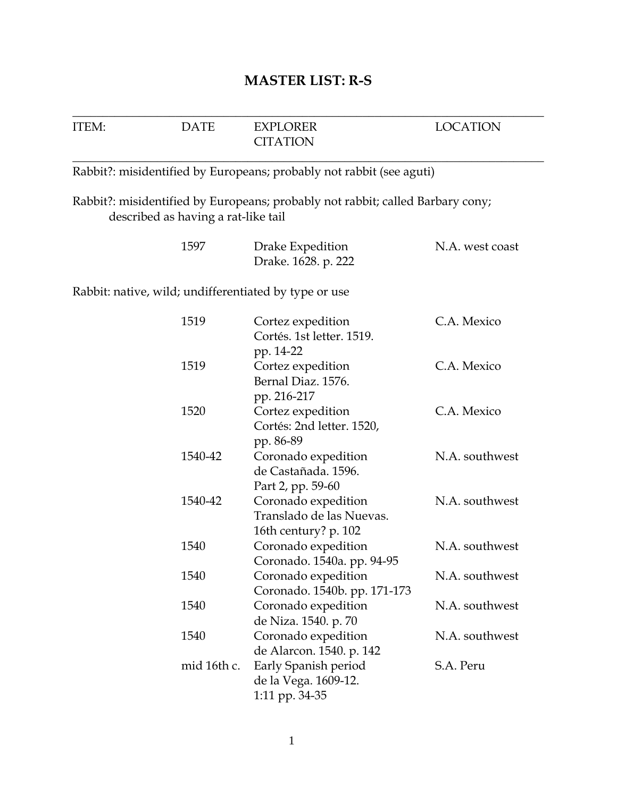|  | <b>MASTER LIST: R-S</b> |
|--|-------------------------|
|--|-------------------------|

| ITEM: | <b>DATE</b>                         | <b>EXPLORER</b><br><b>CITATION</b>                                                           | <b>LOCATION</b> |
|-------|-------------------------------------|----------------------------------------------------------------------------------------------|-----------------|
|       |                                     | Rabbit?: misidentified by Europeans; probably not rabbit (see aguti)                         |                 |
|       | described as having a rat-like tail | Rabbit?: misidentified by Europeans; probably not rabbit; called Barbary cony;               |                 |
|       | 1597                                | Drake Expedition<br>Drake. 1628. p. 222                                                      | N.A. west coast |
|       |                                     | Rabbit: native, wild; undifferentiated by type or use                                        |                 |
|       | 1519                                | Cortez expedition<br>Cortés. 1st letter. 1519.<br>pp. 14-22                                  | C.A. Mexico     |
|       | 1519                                | Cortez expedition<br>Bernal Diaz. 1576.<br>pp. 216-217                                       | C.A. Mexico     |
|       | 1520                                | Cortez expedition<br>Cortés: 2nd letter. 1520,<br>pp. 86-89                                  | C.A. Mexico     |
|       | 1540-42                             | Coronado expedition<br>de Castañada. 1596.                                                   | N.A. southwest  |
|       | 1540-42                             | Part 2, pp. 59-60<br>Coronado expedition<br>Translado de las Nuevas.<br>16th century? p. 102 | N.A. southwest  |
|       | 1540                                | Coronado expedition<br>Coronado. 1540a. pp. 94-95                                            | N.A. southwest  |
|       | 1540                                | Coronado expedition<br>Coronado. 1540b. pp. 171-173                                          | N.A. southwest  |
|       | 1540                                | Coronado expedition<br>de Niza. 1540. p. 70                                                  | N.A. southwest  |
|       | 1540                                | Coronado expedition<br>de Alarcon. 1540. p. 142                                              | N.A. southwest  |
|       | mid 16th c.                         | Early Spanish period<br>de la Vega. 1609-12.<br>1:11 pp. 34-35                               | S.A. Peru       |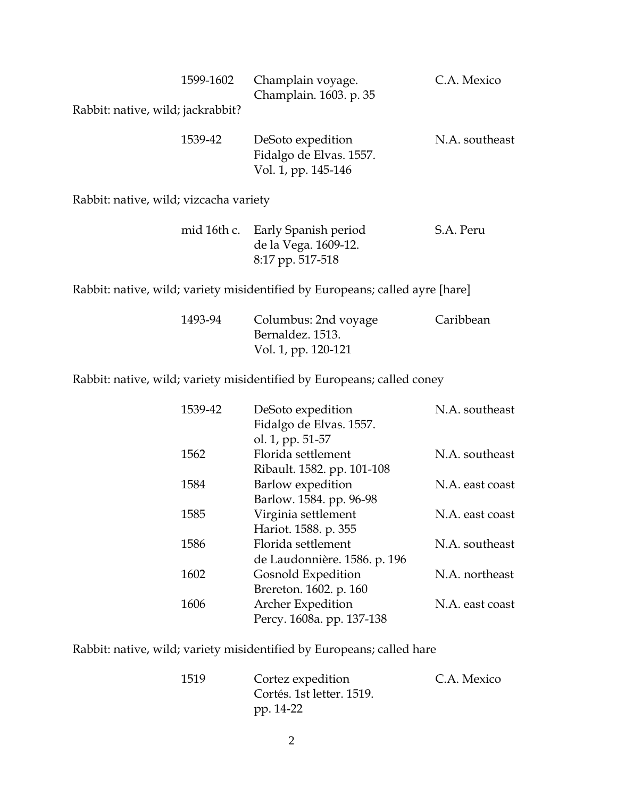| 1599-1602                         | Champlain voyage.<br>Champlain. 1603. p. 35                         | C.A. Mexico    |
|-----------------------------------|---------------------------------------------------------------------|----------------|
| Rabbit: native, wild; jackrabbit? |                                                                     |                |
| 1539-42                           | DeSoto expedition<br>Fidalgo de Elvas. 1557.<br>Vol. 1, pp. 145-146 | N.A. southeast |

Rabbit: native, wild; vizcacha variety

|  | mid 16th c. Early Spanish period | S.A. Peru |
|--|----------------------------------|-----------|
|  | de la Vega. 1609-12.             |           |
|  | 8:17 pp. 517-518                 |           |

Rabbit: native, wild; variety misidentified by Europeans; called ayre [hare]

| 1493-94 | Columbus: 2nd voyage | Caribbean |
|---------|----------------------|-----------|
|         | Bernaldez. 1513.     |           |
|         | Vol. 1, pp. 120-121  |           |

Rabbit: native, wild; variety misidentified by Europeans; called coney

| 1539-42 | DeSoto expedition            | N.A. southeast  |
|---------|------------------------------|-----------------|
|         | Fidalgo de Elvas. 1557.      |                 |
|         | ol. 1, pp. 51-57             |                 |
| 1562    | Florida settlement           | N.A. southeast  |
|         | Ribault. 1582. pp. 101-108   |                 |
| 1584    | Barlow expedition            | N.A. east coast |
|         | Barlow. 1584. pp. 96-98      |                 |
| 1585    | Virginia settlement          | N.A. east coast |
|         | Hariot. 1588. p. 355         |                 |
| 1586    | Florida settlement           | N.A. southeast  |
|         | de Laudonnière. 1586. p. 196 |                 |
| 1602    | Gosnold Expedition           | N.A. northeast  |
|         | Brereton. 1602. p. 160       |                 |
| 1606    | Archer Expedition            | N.A. east coast |
|         | Percy. 1608a. pp. 137-138    |                 |
|         |                              |                 |

Rabbit: native, wild; variety misidentified by Europeans; called hare

| 1519 | Cortez expedition         | C.A. Mexico |
|------|---------------------------|-------------|
|      | Cortés. 1st letter. 1519. |             |
|      | pp. 14-22                 |             |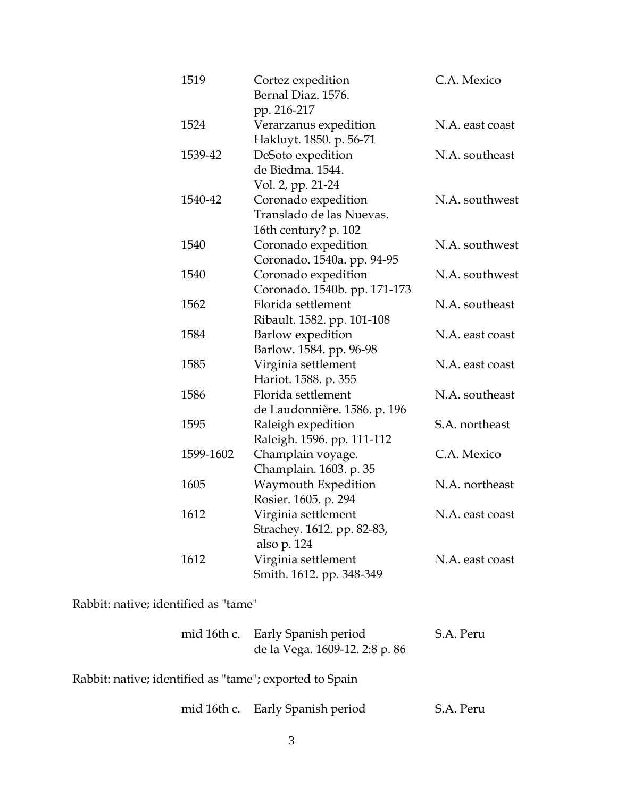| 1519      | Cortez expedition<br>Bernal Diaz. 1576.<br>pp. 216-217                  | C.A. Mexico     |
|-----------|-------------------------------------------------------------------------|-----------------|
| 1524      | Verarzanus expedition<br>Hakluyt. 1850. p. 56-71                        | N.A. east coast |
| 1539-42   | DeSoto expedition<br>de Biedma. 1544.<br>Vol. 2, pp. 21-24              | N.A. southeast  |
| 1540-42   | Coronado expedition<br>Translado de las Nuevas.<br>16th century? p. 102 | N.A. southwest  |
| 1540      | Coronado expedition<br>Coronado. 1540a. pp. 94-95                       | N.A. southwest  |
| 1540      | Coronado expedition<br>Coronado. 1540b. pp. 171-173                     | N.A. southwest  |
| 1562      | Florida settlement<br>Ribault. 1582. pp. 101-108                        | N.A. southeast  |
| 1584      | Barlow expedition<br>Barlow. 1584. pp. 96-98                            | N.A. east coast |
| 1585      | Virginia settlement<br>Hariot. 1588. p. 355                             | N.A. east coast |
| 1586      | Florida settlement<br>de Laudonnière. 1586. p. 196                      | N.A. southeast  |
| 1595      | Raleigh expedition<br>Raleigh. 1596. pp. 111-112                        | S.A. northeast  |
| 1599-1602 | Champlain voyage.<br>Champlain. 1603. p. 35                             | C.A. Mexico     |
| 1605      | Waymouth Expedition<br>Rosier. 1605. p. 294                             | N.A. northeast  |
| 1612      | Virginia settlement<br>Strachey. 1612. pp. 82-83,<br>also p. 124        | N.A. east coast |
| 1612      | Virginia settlement<br>Smith. 1612. pp. 348-349                         | N.A. east coast |

Rabbit: native; identified as "tame"

|  | mid 16th c. Early Spanish period | S.A. Peru |
|--|----------------------------------|-----------|
|  | de la Vega. 1609-12. 2:8 p. 86   |           |

Rabbit: native; identified as "tame"; exported to Spain

| mid 16th c. | Early Spanish period | S.A. Peru |
|-------------|----------------------|-----------|
|-------------|----------------------|-----------|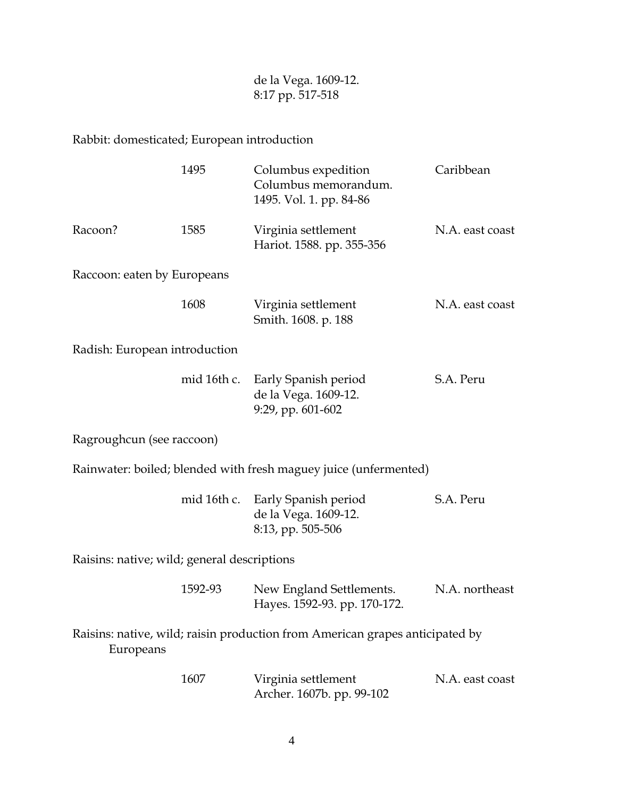de la Vega. 1609-12. 8:17 pp. 517-518

## Rabbit: domesticated; European introduction

|                                             | 1495        | Columbus expedition<br>Columbus memorandum.<br>1495. Vol. 1. pp. 84-86       | Caribbean       |
|---------------------------------------------|-------------|------------------------------------------------------------------------------|-----------------|
| Racoon?                                     | 1585        | Virginia settlement<br>Hariot. 1588. pp. 355-356                             | N.A. east coast |
| Raccoon: eaten by Europeans                 |             |                                                                              |                 |
|                                             | 1608        | Virginia settlement<br>Smith. 1608. p. 188                                   | N.A. east coast |
| Radish: European introduction               |             |                                                                              |                 |
|                                             | mid 16th c. | Early Spanish period<br>de la Vega. 1609-12.<br>9:29, pp. 601-602            | S.A. Peru       |
| Ragroughcun (see raccoon)                   |             |                                                                              |                 |
|                                             |             | Rainwater: boiled; blended with fresh maguey juice (unfermented)             |                 |
|                                             | mid 16th c. | Early Spanish period<br>de la Vega. 1609-12.<br>8:13, pp. 505-506            | S.A. Peru       |
| Raisins: native; wild; general descriptions |             |                                                                              |                 |
|                                             | 1592-93     | New England Settlements.<br>Hayes. 1592-93. pp. 170-172.                     | N.A. northeast  |
| Europeans                                   |             | Raisins: native, wild; raisin production from American grapes anticipated by |                 |
|                                             | 1607        | Virginia settlement<br>Archer. 1607b. pp. 99-102                             | N.A. east coast |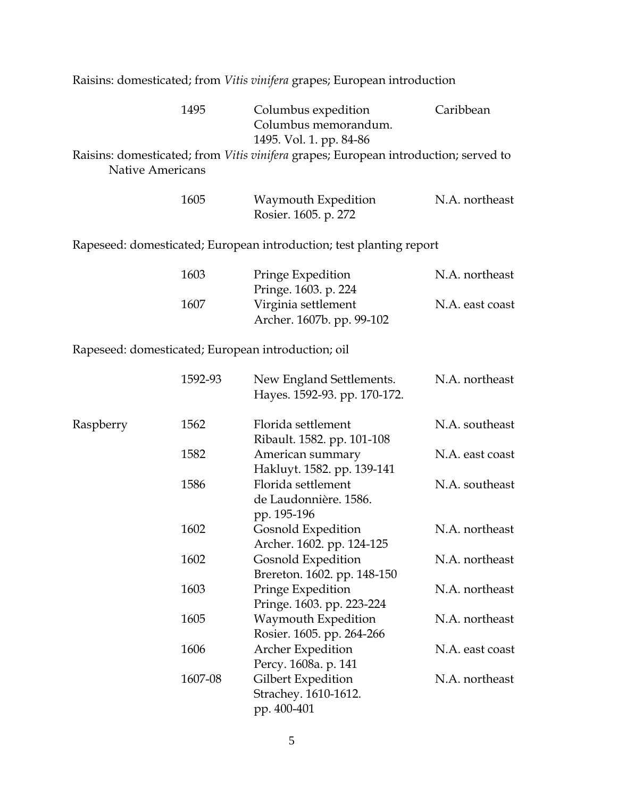Raisins: domesticated; from *Vitis vinifera* grapes; European introduction

|                         | 1495    | Columbus expedition<br>Columbus memorandum.                                                                           | Caribbean       |
|-------------------------|---------|-----------------------------------------------------------------------------------------------------------------------|-----------------|
| <b>Native Americans</b> |         | 1495. Vol. 1. pp. 84-86<br>Raisins: domesticated; from <i>Vitis vinifera</i> grapes; European introduction; served to |                 |
|                         | 1605    | Waymouth Expedition<br>Rosier. 1605. p. 272                                                                           | N.A. northeast  |
|                         |         | Rapeseed: domesticated; European introduction; test planting report                                                   |                 |
|                         | 1603    | Pringe Expedition<br>Pringe. 1603. p. 224                                                                             | N.A. northeast  |
|                         | 1607    | Virginia settlement<br>Archer. 1607b. pp. 99-102                                                                      | N.A. east coast |
|                         |         | Rapeseed: domesticated; European introduction; oil                                                                    |                 |
|                         | 1592-93 | New England Settlements.<br>Hayes. 1592-93. pp. 170-172.                                                              | N.A. northeast  |
| Raspberry               | 1562    | Florida settlement<br>Ribault. 1582. pp. 101-108                                                                      | N.A. southeast  |
|                         | 1582    | American summary<br>Hakluyt. 1582. pp. 139-141                                                                        | N.A. east coast |
|                         | 1586    | Florida settlement                                                                                                    | N.A. southeast  |

|         | Hayes. 1592-93. pp. 170-172.                              |                                                                                                                                                                                         |
|---------|-----------------------------------------------------------|-----------------------------------------------------------------------------------------------------------------------------------------------------------------------------------------|
| 1562    | Florida settlement                                        | N.A. southeast                                                                                                                                                                          |
| 1582    | American summary<br>Hakluyt. 1582. pp. 139-141            | N.A. east coast                                                                                                                                                                         |
| 1586    | Florida settlement<br>de Laudonnière. 1586.               | N.A. southeast                                                                                                                                                                          |
| 1602    | <b>Gosnold Expedition</b>                                 | N.A. northeast                                                                                                                                                                          |
| 1602    | <b>Gosnold Expedition</b>                                 | N.A. northeast                                                                                                                                                                          |
| 1603    | Pringe Expedition                                         | N.A. northeast                                                                                                                                                                          |
| 1605    | Waymouth Expedition                                       | N.A. northeast                                                                                                                                                                          |
| 1606    | <b>Archer Expedition</b>                                  | N.A. east coast                                                                                                                                                                         |
| 1607-08 | Gilbert Expedition<br>Strachey. 1610-1612.<br>pp. 400-401 | N.A. northeast                                                                                                                                                                          |
|         |                                                           | Ribault. 1582. pp. 101-108<br>pp. 195-196<br>Archer. 1602. pp. 124-125<br>Brereton. 1602. pp. 148-150<br>Pringe. 1603. pp. 223-224<br>Rosier. 1605. pp. 264-266<br>Percy. 1608a. p. 141 |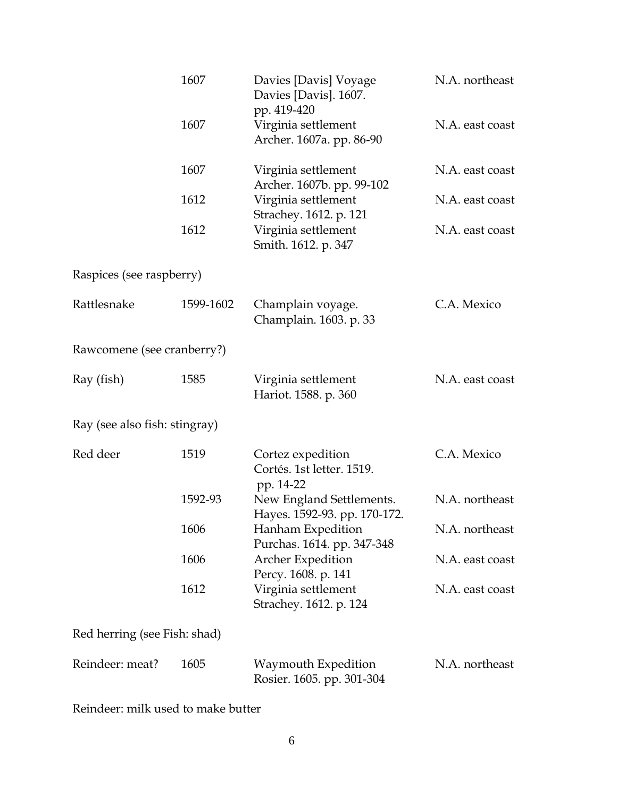|                               | 1607      | Davies [Davis] Voyage<br>Davies [Davis]. 1607.<br>pp. 419-420 | N.A. northeast  |
|-------------------------------|-----------|---------------------------------------------------------------|-----------------|
|                               | 1607      | Virginia settlement<br>Archer. 1607a. pp. 86-90               | N.A. east coast |
|                               | 1607      | Virginia settlement<br>Archer. 1607b. pp. 99-102              | N.A. east coast |
|                               | 1612      | Virginia settlement<br>Strachey. 1612. p. 121                 | N.A. east coast |
|                               | 1612      | Virginia settlement<br>Smith. 1612. p. 347                    | N.A. east coast |
| Raspices (see raspberry)      |           |                                                               |                 |
| Rattlesnake                   | 1599-1602 | Champlain voyage.<br>Champlain. 1603. p. 33                   | C.A. Mexico     |
| Rawcomene (see cranberry?)    |           |                                                               |                 |
| Ray (fish)                    | 1585      | Virginia settlement<br>Hariot. 1588. p. 360                   | N.A. east coast |
| Ray (see also fish: stingray) |           |                                                               |                 |
| Red deer                      | 1519      | Cortez expedition<br>Cortés. 1st letter. 1519.<br>pp. 14-22   | C.A. Mexico     |
|                               | 1592-93   | New England Settlements.<br>Hayes. 1592-93. pp. 170-172.      | N.A. northeast  |
|                               | 1606      | Hanham Expedition<br>Purchas. 1614. pp. 347-348               | N.A. northeast  |
|                               | 1606      | <b>Archer Expedition</b><br>Percy. 1608. p. 141               | N.A. east coast |
|                               | 1612      | Virginia settlement<br>Strachey. 1612. p. 124                 | N.A. east coast |
| Red herring (see Fish: shad)  |           |                                                               |                 |
| Reindeer: meat?               | 1605      | Waymouth Expedition<br>Rosier. 1605. pp. 301-304              | N.A. northeast  |

Reindeer: milk used to make butter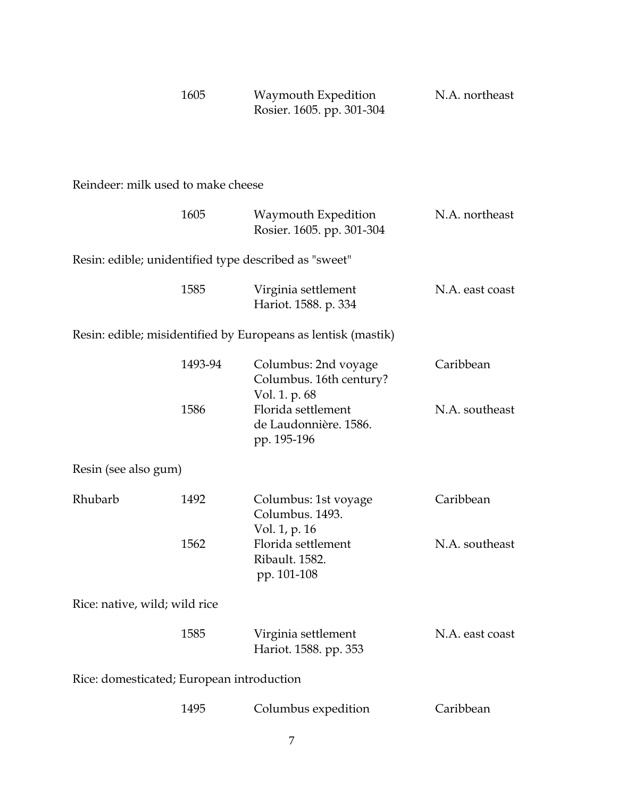| 1605 | Waymouth Expedition       | N.A. northeast |
|------|---------------------------|----------------|
|      | Rosier. 1605. pp. 301-304 |                |

## Reindeer: milk used to make cheese

|                                                       | 1605    | Waymouth Expedition<br>Rosier. 1605. pp. 301-304                 | N.A. northeast  |
|-------------------------------------------------------|---------|------------------------------------------------------------------|-----------------|
| Resin: edible; unidentified type described as "sweet" |         |                                                                  |                 |
|                                                       | 1585    | Virginia settlement<br>Hariot. 1588. p. 334                      | N.A. east coast |
|                                                       |         | Resin: edible; misidentified by Europeans as lentisk (mastik)    |                 |
|                                                       | 1493-94 | Columbus: 2nd voyage<br>Columbus. 16th century?<br>Vol. 1. p. 68 | Caribbean       |
|                                                       | 1586    | Florida settlement<br>de Laudonnière. 1586.<br>pp. 195-196       | N.A. southeast  |
| Resin (see also gum)                                  |         |                                                                  |                 |
| Rhubarb                                               | 1492    | Columbus: 1st voyage<br>Columbus. 1493.<br>Vol. 1, p. 16         | Caribbean       |
|                                                       | 1562    | Florida settlement<br>Ribault. 1582.<br>pp. 101-108              | N.A. southeast  |
| Rice: native, wild; wild rice                         |         |                                                                  |                 |
|                                                       | 1585    | Virginia settlement<br>Hariot. 1588. pp. 353                     | N.A. east coast |
| Rice: domesticated; European introduction             |         |                                                                  |                 |
|                                                       | 1495    | Columbus expedition                                              | Caribbean       |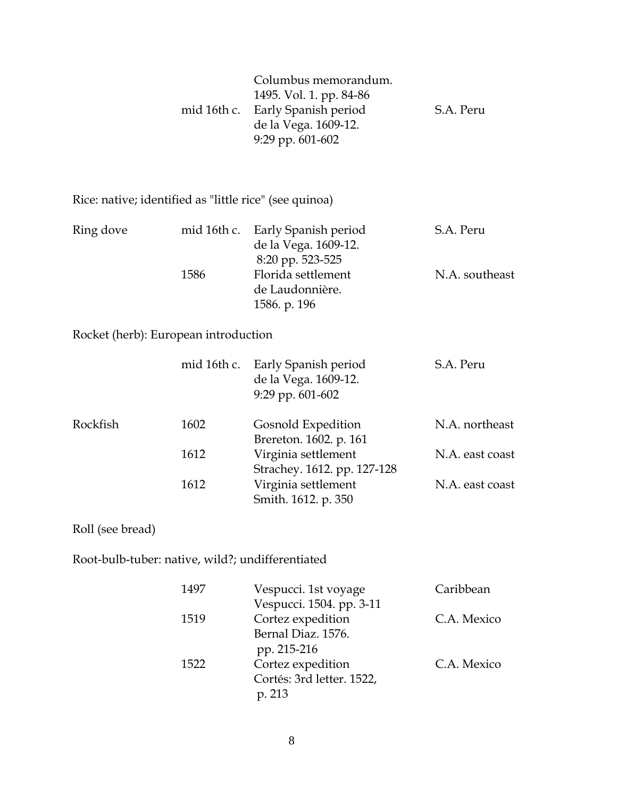| Columbus memorandum.<br>1495. Vol. 1. pp. 84-86<br>mid 16th c. Early Spanish period<br>de la Vega. 1609-12.<br>9:29 pp. 601-602 | S.A. Peru |
|---------------------------------------------------------------------------------------------------------------------------------|-----------|
|                                                                                                                                 |           |

Rice: native; identified as "little rice" (see quinoa)

| Ring dove<br>1586 | mid 16th c. Early Spanish period | S.A. Peru      |
|-------------------|----------------------------------|----------------|
|                   | de la Vega. 1609-12.             |                |
|                   | 8:20 pp. 523-525                 |                |
|                   | Florida settlement               | N.A. southeast |
|                   | de Laudonnière.                  |                |
|                   | 1586. p. 196                     |                |

Rocket (herb): European introduction

|          |      | mid 16th c. Early Spanish period<br>de la Vega. 1609-12.<br>$9:29$ pp. $601-602$ | S.A. Peru       |
|----------|------|----------------------------------------------------------------------------------|-----------------|
| Rockfish | 1602 | Gosnold Expedition                                                               | N.A. northeast  |
|          |      | Brereton. 1602. p. 161                                                           |                 |
|          | 1612 | Virginia settlement                                                              | N.A. east coast |
|          |      | Strachey. 1612. pp. 127-128                                                      |                 |
|          | 1612 | Virginia settlement                                                              | N.A. east coast |
|          |      | Smith. 1612. p. 350                                                              |                 |

Roll (see bread)

Root-bulb-tuber: native, wild?; undifferentiated

| 1497 | Vespucci. 1st voyage      | Caribbean   |
|------|---------------------------|-------------|
|      | Vespucci. 1504. pp. 3-11  |             |
| 1519 | Cortez expedition         | C.A. Mexico |
|      | Bernal Diaz. 1576.        |             |
|      | pp. 215-216               |             |
| 1522 | Cortez expedition         | C.A. Mexico |
|      | Cortés: 3rd letter. 1522, |             |
|      | p. 213                    |             |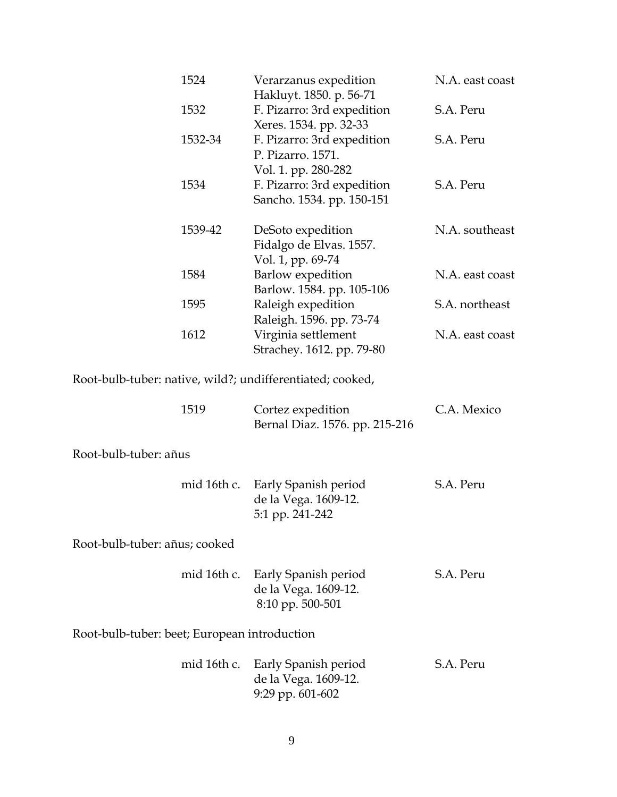|                                              | 1524        | Verarzanus expedition<br>Hakluyt. 1850. p. 56-71                               | N.A. east coast |
|----------------------------------------------|-------------|--------------------------------------------------------------------------------|-----------------|
|                                              | 1532        | F. Pizarro: 3rd expedition<br>Xeres. 1534. pp. 32-33                           | S.A. Peru       |
|                                              | 1532-34     | F. Pizarro: 3rd expedition<br>P. Pizarro. 1571.                                | S.A. Peru       |
|                                              | 1534        | Vol. 1. pp. 280-282<br>F. Pizarro: 3rd expedition<br>Sancho. 1534. pp. 150-151 | S.A. Peru       |
|                                              | 1539-42     | DeSoto expedition<br>Fidalgo de Elvas. 1557.                                   | N.A. southeast  |
|                                              | 1584        | Vol. 1, pp. 69-74<br>Barlow expedition<br>Barlow. 1584. pp. 105-106            | N.A. east coast |
|                                              | 1595        | Raleigh expedition<br>Raleigh. 1596. pp. 73-74                                 | S.A. northeast  |
|                                              | 1612        | Virginia settlement<br>Strachey. 1612. pp. 79-80                               | N.A. east coast |
|                                              |             | Root-bulb-tuber: native, wild?; undifferentiated; cooked,                      |                 |
|                                              | 1519        | Cortez expedition<br>Bernal Diaz. 1576. pp. 215-216                            | C.A. Mexico     |
| Root-bulb-tuber: añus                        |             |                                                                                |                 |
|                                              | mid 16th c. | Early Spanish period<br>de la Vega. 1609-12.<br>5:1 pp. 241-242                | S.A. Peru       |
| Root-bulb-tuber: añus; cooked                |             |                                                                                |                 |
|                                              | mid 16th c. | Early Spanish period<br>de la Vega. 1609-12.<br>8:10 pp. 500-501               | S.A. Peru       |
| Root-bulb-tuber: beet; European introduction |             |                                                                                |                 |
|                                              | mid 16th c. | Early Spanish period<br>de la Vega. 1609-12.<br>9:29 pp. 601-602               | S.A. Peru       |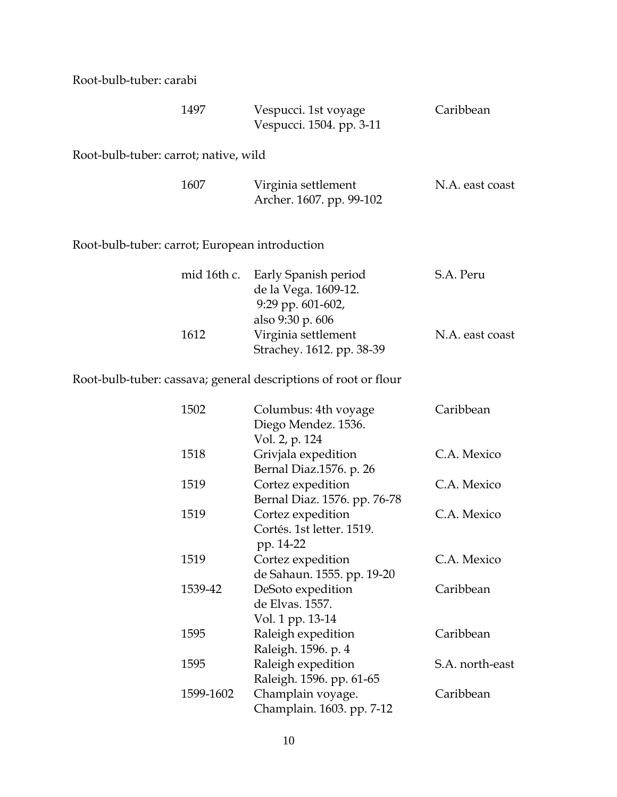Root-bulb-tuber: carabi

|                                                | 1497        | Vespucci. 1st voyage<br>Vespucci. 1504. pp. 3-11                                      | Caribbean       |
|------------------------------------------------|-------------|---------------------------------------------------------------------------------------|-----------------|
| Root-bulb-tuber: carrot; native, wild          |             |                                                                                       |                 |
|                                                | 1607        | Virginia settlement<br>Archer. 1607. pp. 99-102                                       | N.A. east coast |
| Root-bulb-tuber: carrot; European introduction |             |                                                                                       |                 |
|                                                | mid 16th c. | Early Spanish period<br>de la Vega. 1609-12.<br>9:29 pp. 601-602,<br>also 9:30 p. 606 | S.A. Peru       |
|                                                | 1612        | Virginia settlement<br>Strachey. 1612. pp. 38-39                                      | N.A. east coast |

Root-bulb-tuber: cassava; general descriptions of root or flour

| 1502      | Columbus: 4th voyage         | Caribbean       |
|-----------|------------------------------|-----------------|
|           | Diego Mendez. 1536.          |                 |
|           | Vol. 2, p. 124               |                 |
| 1518      | Grivjala expedition          | C.A. Mexico     |
|           | Bernal Diaz.1576. p. 26      |                 |
| 1519      | Cortez expedition            | C.A. Mexico     |
|           | Bernal Diaz. 1576. pp. 76-78 |                 |
| 1519      | Cortez expedition            | C.A. Mexico     |
|           | Cortés. 1st letter. 1519.    |                 |
|           | pp. 14-22                    |                 |
| 1519      | Cortez expedition            | C.A. Mexico     |
|           | de Sahaun. 1555. pp. 19-20   |                 |
| 1539-42   | DeSoto expedition            | Caribbean       |
|           | de Elvas. 1557.              |                 |
|           | Vol. 1 pp. 13-14             |                 |
| 1595      | Raleigh expedition           | Caribbean       |
|           | Raleigh. 1596. p. 4          |                 |
| 1595      | Raleigh expedition           | S.A. north-east |
|           | Raleigh. 1596. pp. 61-65     |                 |
| 1599-1602 | Champlain voyage.            | Caribbean       |
|           | Champlain. 1603. pp. 7-12    |                 |
|           |                              |                 |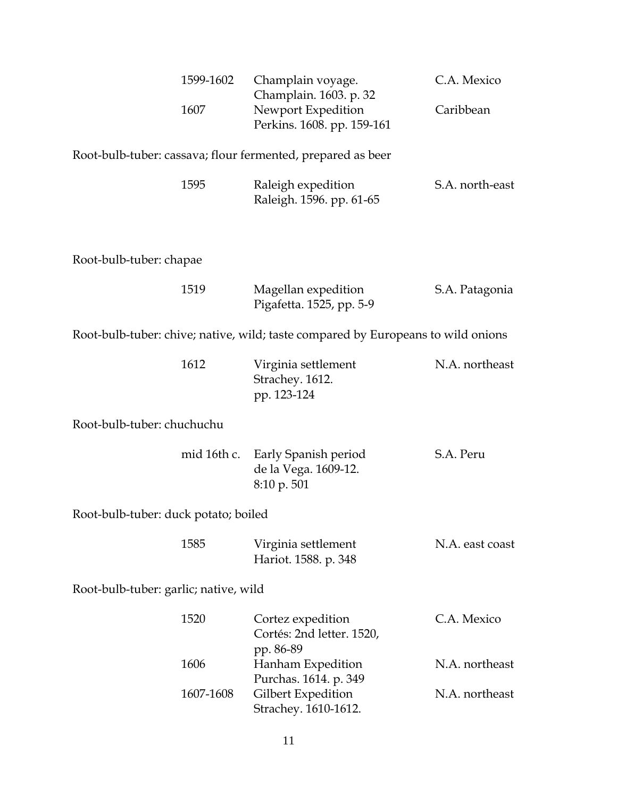|      | 1599-1602 Champlain voyage. | C.A. Mexico |
|------|-----------------------------|-------------|
|      | Champlain. 1603. p. 32      |             |
| 1607 | Newport Expedition          | Caribbean   |
|      | Perkins. 1608. pp. 159-161  |             |
|      |                             |             |

Root-bulb-tuber: cassava; flour fermented, prepared as beer

| 1595 | Raleigh expedition       | S.A. north-east |
|------|--------------------------|-----------------|
|      | Raleigh. 1596. pp. 61-65 |                 |

Root-bulb-tuber: chapae

| 1519 | Magellan expedition      | S.A. Patagonia |
|------|--------------------------|----------------|
|      | Pigafetta. 1525, pp. 5-9 |                |

Root-bulb-tuber: chive; native, wild; taste compared by Europeans to wild onions

| 1612 | Virginia settlement | N.A. northeast |
|------|---------------------|----------------|
|      | Strachey. 1612.     |                |
|      | pp. 123-124         |                |

Root-bulb-tuber: chuchuchu

|  | mid 16th c. Early Spanish period | S.A. Peru |
|--|----------------------------------|-----------|
|  | de la Vega. 1609-12.             |           |
|  | 8:10 p. 501                      |           |

Root-bulb-tuber: duck potato; boiled

| 1585 | Virginia settlement | N.A. east coast      |  |
|------|---------------------|----------------------|--|
|      |                     | Hariot. 1588. p. 348 |  |

Root-bulb-tuber: garlic; native, wild

| 1520      | Cortez expedition         | C.A. Mexico    |
|-----------|---------------------------|----------------|
|           | Cortés: 2nd letter. 1520, |                |
|           | pp. 86-89                 |                |
| 1606      | Hanham Expedition         | N.A. northeast |
|           | Purchas. 1614. p. 349     |                |
| 1607-1608 | Gilbert Expedition        | N.A. northeast |
|           | Strachey. 1610-1612.      |                |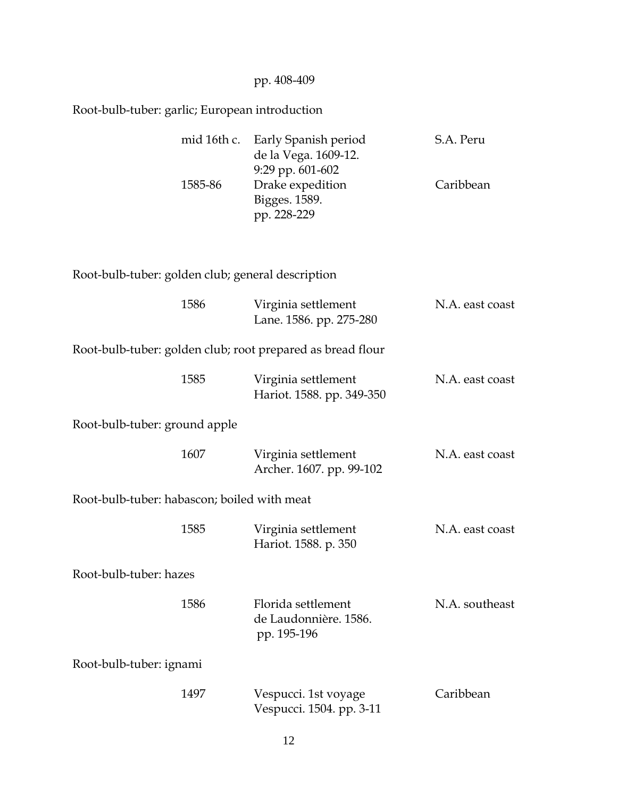|                                                   |                                                | pp. 408-409                                                      |                 |  |  |
|---------------------------------------------------|------------------------------------------------|------------------------------------------------------------------|-----------------|--|--|
|                                                   | Root-bulb-tuber: garlic; European introduction |                                                                  |                 |  |  |
|                                                   | mid 16th c.                                    | Early Spanish period<br>de la Vega. 1609-12.<br>9:29 pp. 601-602 | S.A. Peru       |  |  |
|                                                   | 1585-86                                        | Drake expedition<br>Bigges. 1589.<br>pp. 228-229                 | Caribbean       |  |  |
| Root-bulb-tuber: golden club; general description |                                                |                                                                  |                 |  |  |
|                                                   | 1586                                           | Virginia settlement<br>Lane. 1586. pp. 275-280                   | N.A. east coast |  |  |
|                                                   |                                                | Root-bulb-tuber: golden club; root prepared as bread flour       |                 |  |  |
|                                                   | 1585                                           | Virginia settlement<br>Hariot. 1588. pp. 349-350                 | N.A. east coast |  |  |
| Root-bulb-tuber: ground apple                     |                                                |                                                                  |                 |  |  |
|                                                   | 1607                                           | Virginia settlement<br>Archer. 1607. pp. 99-102                  | N.A. east coast |  |  |
| Root-bulb-tuber: habascon; boiled with meat       |                                                |                                                                  |                 |  |  |
|                                                   | 1585                                           | Virginia settlement<br>Hariot. 1588. p. 350                      | N.A. east coast |  |  |
| Root-bulb-tuber: hazes                            |                                                |                                                                  |                 |  |  |
|                                                   | 1586                                           | Florida settlement<br>de Laudonnière. 1586.<br>pp. 195-196       | N.A. southeast  |  |  |
| Root-bulb-tuber: ignami                           |                                                |                                                                  |                 |  |  |
|                                                   | 1497                                           | Vespucci. 1st voyage<br>Vespucci. 1504. pp. 3-11                 | Caribbean       |  |  |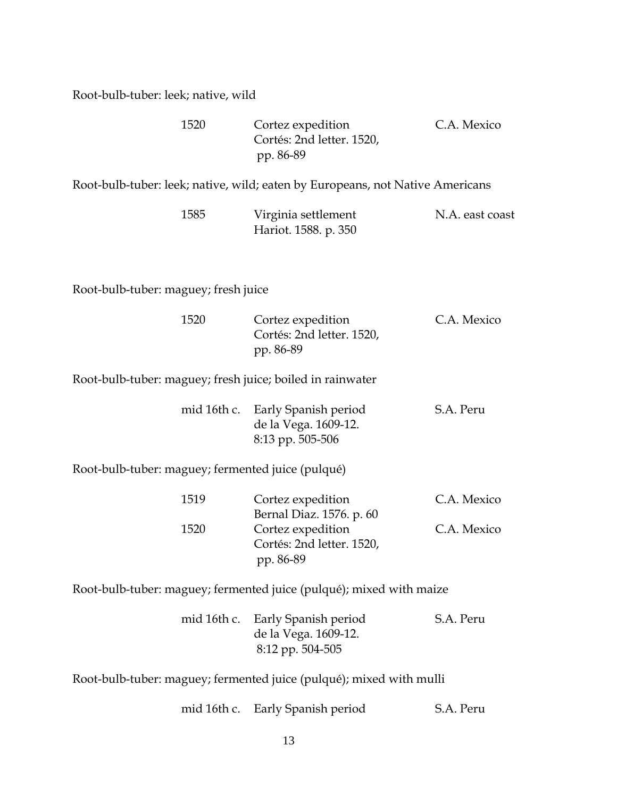Root-bulb-tuber: leek; native, wild

| 1520 | Cortez expedition         | C.A. Mexico |
|------|---------------------------|-------------|
|      | Cortés: 2nd letter. 1520, |             |
|      | pp. 86-89                 |             |

Root-bulb-tuber: leek; native, wild; eaten by Europeans, not Native Americans

| 1585 | Virginia settlement  | N.A. east coast |
|------|----------------------|-----------------|
|      | Hariot. 1588. p. 350 |                 |

Root-bulb-tuber: maguey; fresh juice

| 1520 | Cortez expedition         | C.A. Mexico |
|------|---------------------------|-------------|
|      | Cortés: 2nd letter. 1520, |             |
|      | pp. 86-89                 |             |

Root-bulb-tuber: maguey; fresh juice; boiled in rainwater

|  | mid 16th c. Early Spanish period | S.A. Peru |
|--|----------------------------------|-----------|
|  | de la Vega. 1609-12.             |           |
|  | 8:13 pp. 505-506                 |           |

Root-bulb-tuber: maguey; fermented juice (pulqué)

| 1519 | Cortez expedition         | C.A. Mexico |
|------|---------------------------|-------------|
|      | Bernal Diaz. 1576. p. 60  |             |
| 1520 | Cortez expedition         | C.A. Mexico |
|      | Cortés: 2nd letter. 1520, |             |
|      | pp. 86-89                 |             |

Root-bulb-tuber: maguey; fermented juice (pulqué); mixed with maize

|  | mid 16th c. Early Spanish period | S.A. Peru |
|--|----------------------------------|-----------|
|  | de la Vega. 1609-12.             |           |
|  | 8:12 pp. 504-505                 |           |

Root-bulb-tuber: maguey; fermented juice (pulqué); mixed with mulli

mid 16th c. Early Spanish period S.A. Peru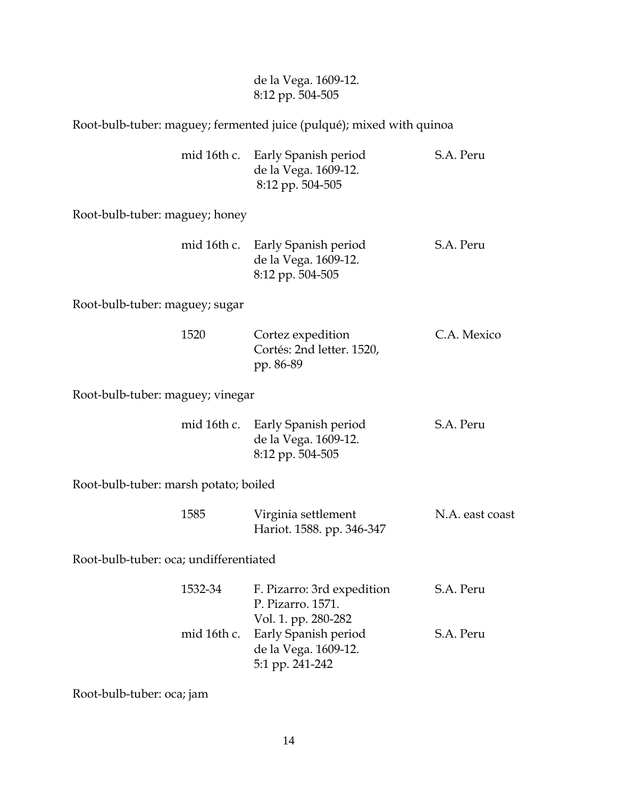#### de la Vega. 1609-12. 8:12 pp. 504-505

#### Root-bulb-tuber: maguey; fermented juice (pulqué); mixed with quinoa

|  | mid 16th c. Early Spanish period | S.A. Peru |
|--|----------------------------------|-----------|
|  | de la Vega. 1609-12.             |           |
|  | 8:12 pp. 504-505                 |           |

Root-bulb-tuber: maguey; honey

|  | mid 16th c. Early Spanish period | S.A. Peru |
|--|----------------------------------|-----------|
|  | de la Vega. 1609-12.             |           |
|  | 8:12 pp. 504-505                 |           |

Root-bulb-tuber: maguey; sugar

| 1520 | Cortez expedition         | C.A. Mexico |
|------|---------------------------|-------------|
|      | Cortés: 2nd letter. 1520, |             |
|      | pp. 86-89                 |             |

Root-bulb-tuber: maguey; vinegar

|  | mid 16th c. Early Spanish period | S.A. Peru |
|--|----------------------------------|-----------|
|  | de la Vega. 1609-12.             |           |
|  | 8:12 pp. 504-505                 |           |

Root-bulb-tuber: marsh potato; boiled

| 1585 | Virginia settlement       | N.A. east coast |
|------|---------------------------|-----------------|
|      | Hariot. 1588. pp. 346-347 |                 |

Root-bulb-tuber: oca; undifferentiated

| 1532-34 | F. Pizarro: 3rd expedition       | S.A. Peru |
|---------|----------------------------------|-----------|
|         | P. Pizarro. 1571.                |           |
|         | Vol. 1. pp. 280-282              |           |
|         | mid 16th c. Early Spanish period | S.A. Peru |
|         | de la Vega. 1609-12.             |           |
|         | 5:1 pp. 241-242                  |           |

Root-bulb-tuber: oca; jam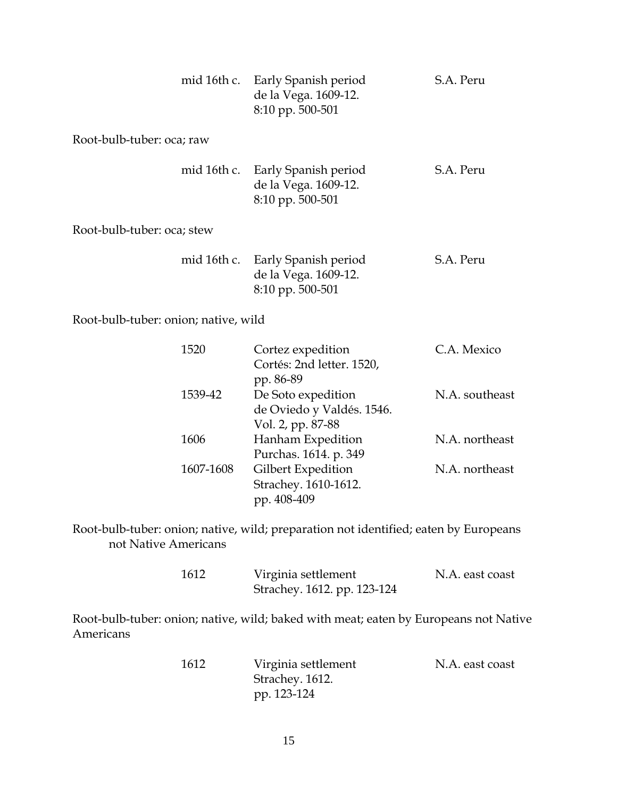| mid 16th c.                | Early Spanish period<br>de la Vega. 1609-12.<br>8:10 pp. 500-501 | S.A. Peru |
|----------------------------|------------------------------------------------------------------|-----------|
| Root-bulb-tuber: oca; raw  |                                                                  |           |
| mid 16th c.                | Early Spanish period<br>de la Vega. 1609-12.<br>8:10 pp. 500-501 | S.A. Peru |
| Root-bulb-tuber: oca; stew |                                                                  |           |
| mid 16th c.                | Early Spanish period<br>de la Vega. 1609-12.<br>8:10 pp. 500-501 | S.A. Peru |

Root-bulb-tuber: onion; native, wild

| Cortez expedition         | C.A. Mexico    |
|---------------------------|----------------|
| Cortés: 2nd letter. 1520, |                |
| pp. 86-89                 |                |
| De Soto expedition        | N.A. southeast |
| de Oviedo y Valdés. 1546. |                |
| Vol. 2, pp. 87-88         |                |
| Hanham Expedition         | N.A. northeast |
| Purchas. 1614. p. 349     |                |
| Gilbert Expedition        | N.A. northeast |
| Strachey. 1610-1612.      |                |
| pp. 408-409               |                |
|                           | 1607-1608      |

Root-bulb-tuber: onion; native, wild; preparation not identified; eaten by Europeans not Native Americans

| 1612 | Virginia settlement         | N.A. east coast |
|------|-----------------------------|-----------------|
|      | Strachey. 1612. pp. 123-124 |                 |

Root-bulb-tuber: onion; native, wild; baked with meat; eaten by Europeans not Native Americans

| 1612 | Virginia settlement | N.A. east coast |
|------|---------------------|-----------------|
|      | Strachey. 1612.     |                 |
|      | pp. 123-124         |                 |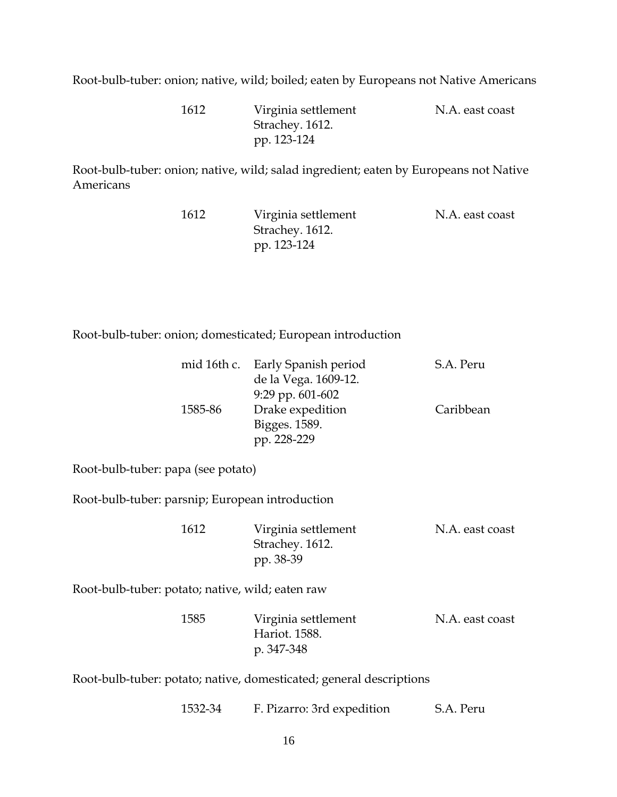Root-bulb-tuber: onion; native, wild; boiled; eaten by Europeans not Native Americans

 1612 Virginia settlement N.A. east coast Strachey. 1612. pp. 123-124

Root-bulb-tuber: onion; native, wild; salad ingredient; eaten by Europeans not Native Americans

| 1612 | Virginia settlement | N.A. east coast |
|------|---------------------|-----------------|
|      | Strachey. 1612.     |                 |
|      | pp. 123-124         |                 |

Root-bulb-tuber: onion; domesticated; European introduction

|         | mid 16th c. Early Spanish period | S.A. Peru |
|---------|----------------------------------|-----------|
|         | de la Vega. 1609-12.             |           |
|         | $9:29$ pp. $601-602$             |           |
| 1585-86 | Drake expedition                 | Caribbean |
|         | Bigges. 1589.                    |           |
|         | pp. 228-229                      |           |

Root-bulb-tuber: papa (see potato)

Root-bulb-tuber: parsnip; European introduction

| 1612 | Virginia settlement | N.A. east coast |
|------|---------------------|-----------------|
|      | Strachey. 1612.     |                 |
|      | pp. 38-39           |                 |

Root-bulb-tuber: potato; native, wild; eaten raw

| 1585 | Virginia settlement | N.A. east coast |
|------|---------------------|-----------------|
|      | Hariot. 1588.       |                 |
|      | p. 347-348          |                 |

Root-bulb-tuber: potato; native, domesticated; general descriptions

| 1532-34 | F. Pizarro: 3rd expedition | S.A. Peru |
|---------|----------------------------|-----------|
|---------|----------------------------|-----------|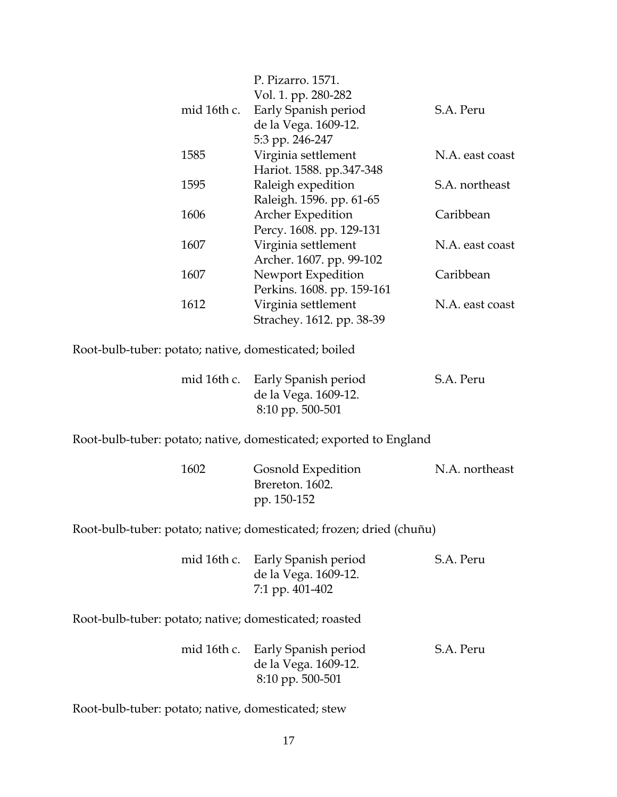|             | P. Pizarro. 1571.          |                 |
|-------------|----------------------------|-----------------|
|             | Vol. 1. pp. 280-282        |                 |
| mid 16th c. | Early Spanish period       | S.A. Peru       |
|             | de la Vega. 1609-12.       |                 |
|             | 5:3 pp. 246-247            |                 |
| 1585        | Virginia settlement        | N.A. east coast |
|             | Hariot. 1588. pp.347-348   |                 |
| 1595        | Raleigh expedition         | S.A. northeast  |
|             | Raleigh. 1596. pp. 61-65   |                 |
| 1606        | Archer Expedition          | Caribbean       |
|             | Percy. 1608. pp. 129-131   |                 |
| 1607        | Virginia settlement        | N.A. east coast |
|             | Archer. 1607. pp. 99-102   |                 |
| 1607        | Newport Expedition         | Caribbean       |
|             | Perkins. 1608. pp. 159-161 |                 |
| 1612        | Virginia settlement        | N.A. east coast |
|             | Strachey. 1612. pp. 38-39  |                 |
|             |                            |                 |

Root-bulb-tuber: potato; native, domesticated; boiled

|  | mid 16th c. Early Spanish period | S.A. Peru |
|--|----------------------------------|-----------|
|  | de la Vega. 1609-12.             |           |
|  | $8:10$ pp. 500-501               |           |

Root-bulb-tuber: potato; native, domesticated; exported to England

| 1602 | Gosnold Expedition | N.A. northeast |
|------|--------------------|----------------|
|      | Brereton. 1602.    |                |
|      | pp. 150-152        |                |

Root-bulb-tuber: potato; native; domesticated; frozen; dried (chuñu)

| mid 16th c. Early Spanish period | S.A. Peru |
|----------------------------------|-----------|
| de la Vega. 1609-12.             |           |
| 7:1 pp. 401-402                  |           |

Root-bulb-tuber: potato; native; domesticated; roasted

|  | mid 16th c. Early Spanish period | S.A. Peru |
|--|----------------------------------|-----------|
|  | de la Vega. 1609-12.             |           |
|  | 8:10 pp. 500-501                 |           |

Root-bulb-tuber: potato; native, domesticated; stew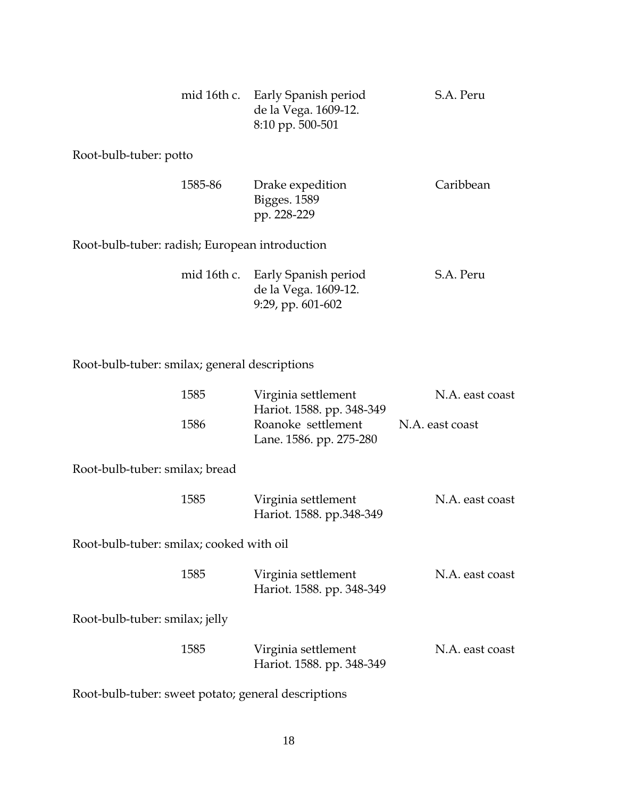|  | mid 16th c. Early Spanish period | S.A. Peru |
|--|----------------------------------|-----------|
|  | de la Vega. 1609-12.             |           |
|  | $8:10$ pp. 500-501               |           |
|  |                                  |           |

Root-bulb-tuber: potto

| 1585-86                                        | Drake expedition | Caribbean |
|------------------------------------------------|------------------|-----------|
|                                                | Bigges. 1589     |           |
|                                                | pp. 228-229      |           |
| Root-bulb-tuber: radish; European introduction |                  |           |

|  | mid 16th c. Early Spanish period | S.A. Peru |
|--|----------------------------------|-----------|
|  | de la Vega. 1609-12.             |           |
|  | 9:29, pp. $601-602$              |           |

### Root-bulb-tuber: smilax; general descriptions

|                                          | 1585 | Virginia settlement<br>Hariot. 1588. pp. 348-349 | N.A. east coast |
|------------------------------------------|------|--------------------------------------------------|-----------------|
|                                          | 1586 | Roanoke settlement<br>Lane. 1586. pp. 275-280    | N.A. east coast |
| Root-bulb-tuber: smilax; bread           |      |                                                  |                 |
|                                          | 1585 | Virginia settlement<br>Hariot. 1588. pp.348-349  | N.A. east coast |
| Root-bulb-tuber: smilax; cooked with oil |      |                                                  |                 |
|                                          | 1585 | Virginia settlement<br>Hariot. 1588. pp. 348-349 | N.A. east coast |
| Root-bulb-tuber: smilax; jelly           |      |                                                  |                 |
|                                          | 1585 | Virginia settlement<br>Hariot. 1588. pp. 348-349 | N.A. east coast |

Root-bulb-tuber: sweet potato; general descriptions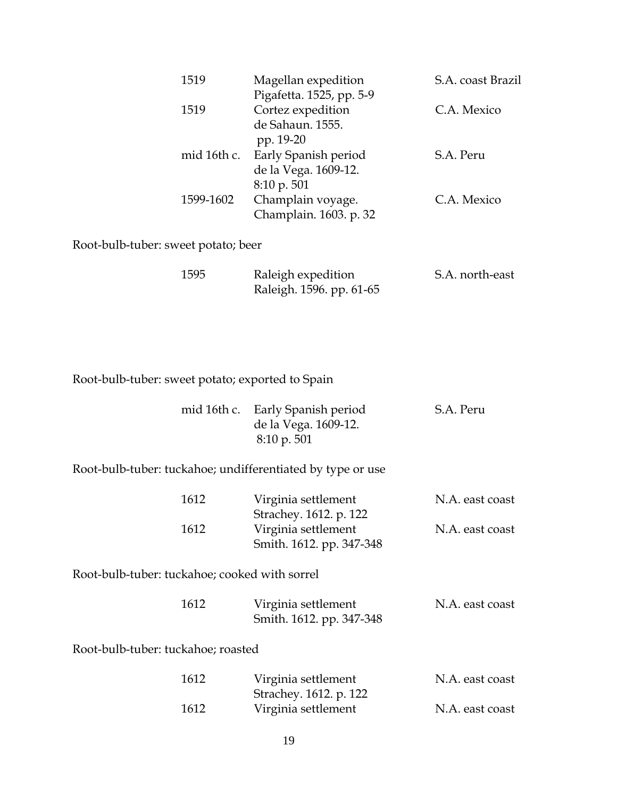| 1519 |           | Magellan expedition              | S.A. coast Brazil |
|------|-----------|----------------------------------|-------------------|
|      |           | Pigafetta. 1525, pp. 5-9         |                   |
| 1519 |           | Cortez expedition                | C.A. Mexico       |
|      |           | de Sahaun. 1555.                 |                   |
|      |           | pp. 19-20                        |                   |
|      |           | mid 16th c. Early Spanish period | S.A. Peru         |
|      |           | de la Vega. 1609-12.             |                   |
|      |           | $8:10 \text{ p. } 501$           |                   |
|      | 1599-1602 | Champlain voyage.                | C.A. Mexico       |
|      |           | Champlain. 1603. p. 32           |                   |
|      |           |                                  |                   |

Root-bulb-tuber: sweet potato; beer

| 1595 | Raleigh expedition       | S.A. north-east |
|------|--------------------------|-----------------|
|      | Raleigh. 1596. pp. 61-65 |                 |

Root-bulb-tuber: sweet potato; exported to Spain

|  | mid 16th c. Early Spanish period | S.A. Peru |
|--|----------------------------------|-----------|
|  | de la Vega. 1609-12.             |           |
|  | $8:10 \text{ p. } 501$           |           |

Root-bulb-tuber: tuckahoe; undifferentiated by type or use

| 1612 | Virginia settlement      | N.A. east coast |
|------|--------------------------|-----------------|
|      | Strachey. 1612. p. 122   |                 |
| 1612 | Virginia settlement      | N.A. east coast |
|      | Smith. 1612. pp. 347-348 |                 |

Root-bulb-tuber: tuckahoe; cooked with sorrel

| 1612 | Virginia settlement      | N.A. east coast |
|------|--------------------------|-----------------|
|      | Smith. 1612. pp. 347-348 |                 |

Root-bulb-tuber: tuckahoe; roasted

| 1612 | Virginia settlement    | N.A. east coast |
|------|------------------------|-----------------|
|      | Strachey. 1612. p. 122 |                 |
| 1612 | Virginia settlement    | N.A. east coast |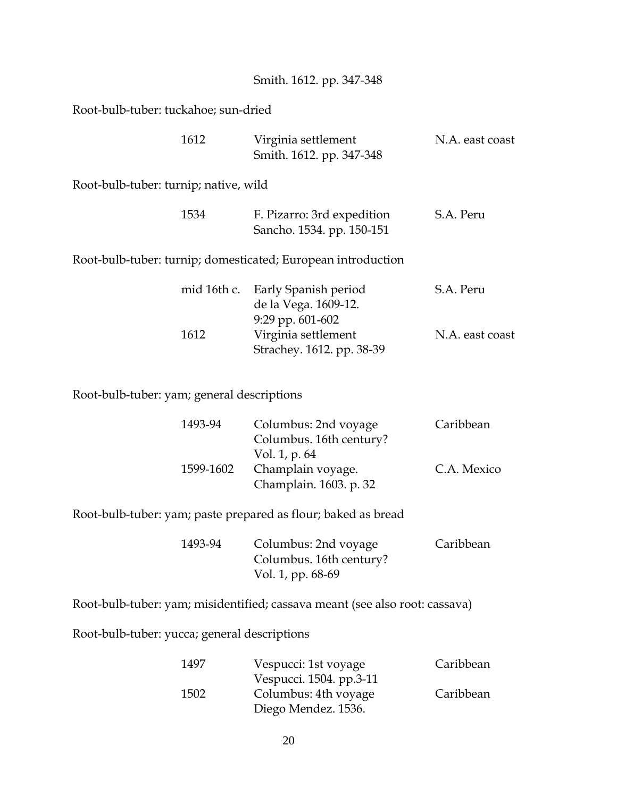|  | Smith. 1612. pp. 347-348 |
|--|--------------------------|

Root-bulb-tuber: tuckahoe; sun-dried

|                                       | 1612        | Virginia settlement<br>Smith. 1612. pp. 347-348                      | N.A. east coast |
|---------------------------------------|-------------|----------------------------------------------------------------------|-----------------|
| Root-bulb-tuber: turnip; native, wild |             |                                                                      |                 |
|                                       | 1534        | F. Pizarro: 3rd expedition<br>Sancho. 1534. pp. 150-151              | S.A. Peru       |
|                                       |             | Root-bulb-tuber: turnip; domesticated; European introduction         |                 |
|                                       | mid 16th c. | Early Spanish period<br>de la Vega. 1609-12.<br>$9:29$ pp. $601-602$ | S.A. Peru       |
|                                       | 1612        | Virginia settlement<br>Strachey. 1612. pp. 38-39                     | N.A. east coast |

Root-bulb-tuber: yam; general descriptions

| 1493-94   | Columbus: 2nd voyage    | Caribbean   |
|-----------|-------------------------|-------------|
|           | Columbus. 16th century? |             |
|           | Vol. 1, p. 64           |             |
| 1599-1602 | Champlain voyage.       | C.A. Mexico |
|           | Champlain. 1603. p. 32  |             |

Root-bulb-tuber: yam; paste prepared as flour; baked as bread

| 1493-94 | Columbus: 2nd voyage    | Caribbean |
|---------|-------------------------|-----------|
|         | Columbus. 16th century? |           |
|         | Vol. 1, pp. 68-69       |           |

Root-bulb-tuber: yam; misidentified; cassava meant (see also root: cassava)

Root-bulb-tuber: yucca; general descriptions

| 1497 | Vespucci: 1st voyage    | Caribbean |
|------|-------------------------|-----------|
|      | Vespucci. 1504. pp.3-11 |           |
| 1502 | Columbus: 4th voyage    | Caribbean |
|      | Diego Mendez. 1536.     |           |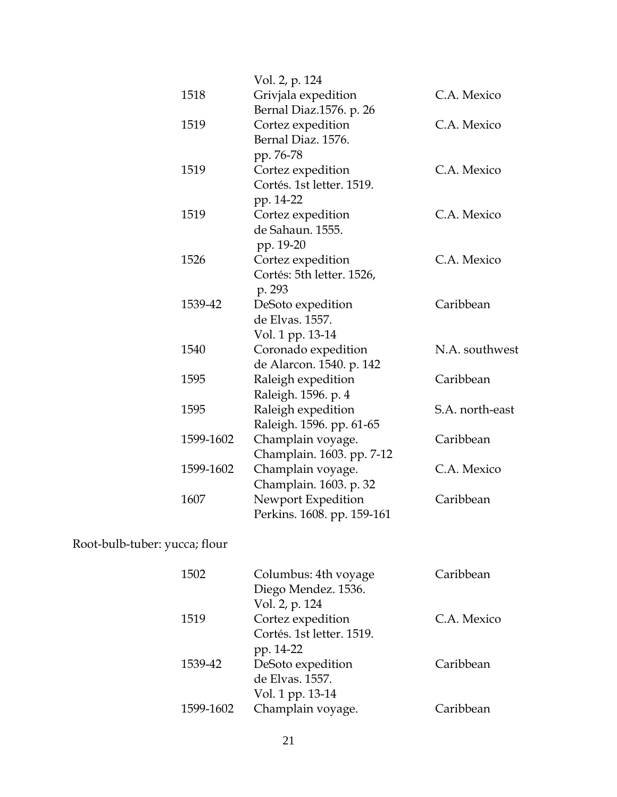|           | Vol. 2, p. 124             |                 |
|-----------|----------------------------|-----------------|
| 1518      | Grivjala expedition        | C.A. Mexico     |
|           | Bernal Diaz.1576. p. 26    |                 |
| 1519      | Cortez expedition          | C.A. Mexico     |
|           | Bernal Diaz. 1576.         |                 |
|           | pp. 76-78                  |                 |
| 1519      | Cortez expedition          | C.A. Mexico     |
|           | Cortés. 1st letter. 1519.  |                 |
|           | pp. 14-22                  |                 |
| 1519      | Cortez expedition          | C.A. Mexico     |
|           | de Sahaun. 1555.           |                 |
|           | pp. 19-20                  |                 |
| 1526      | Cortez expedition          | C.A. Mexico     |
|           | Cortés: 5th letter. 1526,  |                 |
|           | p. 293                     |                 |
| 1539-42   | DeSoto expedition          | Caribbean       |
|           | de Elvas. 1557.            |                 |
|           | Vol. 1 pp. 13-14           |                 |
| 1540      | Coronado expedition        | N.A. southwest  |
|           | de Alarcon. 1540. p. 142   |                 |
| 1595      | Raleigh expedition         | Caribbean       |
|           | Raleigh. 1596. p. 4        |                 |
| 1595      | Raleigh expedition         | S.A. north-east |
|           | Raleigh. 1596. pp. 61-65   |                 |
| 1599-1602 | Champlain voyage.          | Caribbean       |
|           | Champlain. 1603. pp. 7-12  |                 |
| 1599-1602 | Champlain voyage.          | C.A. Mexico     |
|           | Champlain. 1603. p. 32     |                 |
| 1607      | Newport Expedition         | Caribbean       |
|           | Perkins. 1608. pp. 159-161 |                 |

# Root-bulb-tuber: yucca; flour

| 1502      | Columbus: 4th voyage<br>Diego Mendez. 1536.                      | Caribbean   |
|-----------|------------------------------------------------------------------|-------------|
| 1519      | Vol. 2, p. 124<br>Cortez expedition<br>Cortés. 1st letter. 1519. | C.A. Mexico |
| 1539-42   | pp. 14-22<br>DeSoto expedition<br>de Elvas. 1557.                | Caribbean   |
| 1599-1602 | Vol. 1 pp. 13-14<br>Champlain voyage.                            | Caribbean   |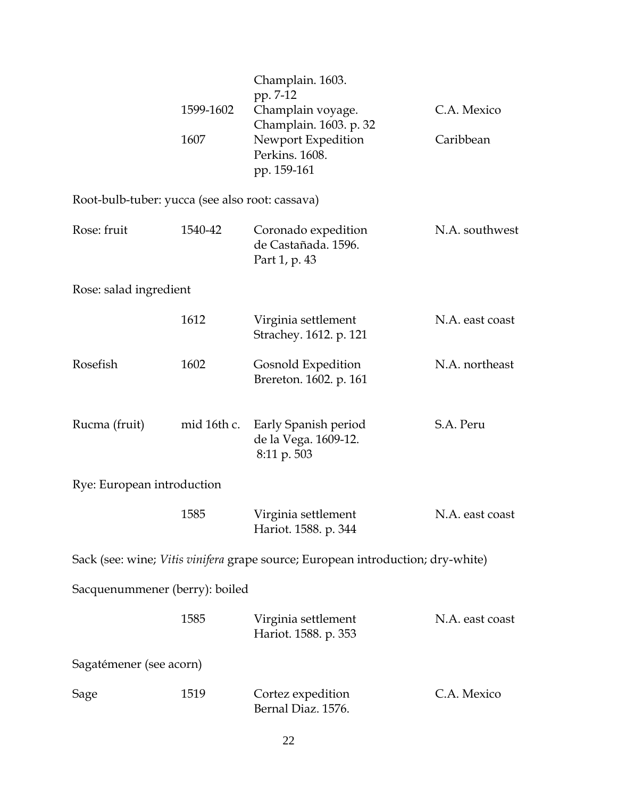|                                                 | 1599-1602<br>1607 | Champlain. 1603.<br>pp. 7-12<br>Champlain voyage.<br>Champlain. 1603. p. 32<br>Newport Expedition<br>Perkins. 1608.<br>pp. 159-161 | C.A. Mexico<br>Caribbean |
|-------------------------------------------------|-------------------|------------------------------------------------------------------------------------------------------------------------------------|--------------------------|
| Root-bulb-tuber: yucca (see also root: cassava) |                   |                                                                                                                                    |                          |
| Rose: fruit                                     | 1540-42           | Coronado expedition<br>de Castañada. 1596.<br>Part 1, p. 43                                                                        | N.A. southwest           |
| Rose: salad ingredient                          |                   |                                                                                                                                    |                          |
|                                                 | 1612              | Virginia settlement<br>Strachey. 1612. p. 121                                                                                      | N.A. east coast          |
| Rosefish                                        | 1602              | Gosnold Expedition<br>Brereton. 1602. p. 161                                                                                       | N.A. northeast           |
| Rucma (fruit)                                   | mid 16th c.       | Early Spanish period<br>de la Vega. 1609-12.<br>8:11 p. 503                                                                        | S.A. Peru                |
| Rye: European introduction                      |                   |                                                                                                                                    |                          |
|                                                 | 1585              | Virginia settlement<br>Hariot. 1588. p. 344                                                                                        | N.A. east coast          |
|                                                 |                   | Sack (see: wine; Vitis vinifera grape source; European introduction; dry-white)                                                    |                          |
| Sacquenummener (berry): boiled                  |                   |                                                                                                                                    |                          |
|                                                 | 1585              | Virginia settlement<br>Hariot. 1588. p. 353                                                                                        | N.A. east coast          |
| Sagatémener (see acorn)                         |                   |                                                                                                                                    |                          |
| Sage                                            | 1519              | Cortez expedition<br>Bernal Diaz. 1576.                                                                                            | C.A. Mexico              |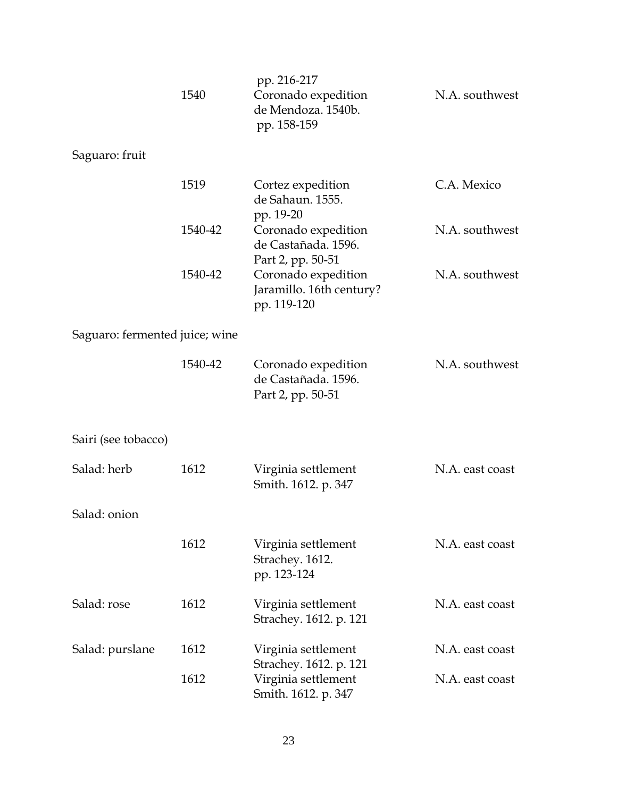|                                | 1540    | pp. 216-217<br>Coronado expedition<br>de Mendoza. 1540b.<br>pp. 158-159 | N.A. southwest  |
|--------------------------------|---------|-------------------------------------------------------------------------|-----------------|
| Saguaro: fruit                 |         |                                                                         |                 |
|                                | 1519    | Cortez expedition<br>de Sahaun. 1555.<br>pp. 19-20                      | C.A. Mexico     |
|                                | 1540-42 | Coronado expedition<br>de Castañada. 1596.<br>Part 2, pp. 50-51         | N.A. southwest  |
|                                | 1540-42 | Coronado expedition<br>Jaramillo. 16th century?<br>pp. 119-120          | N.A. southwest  |
| Saguaro: fermented juice; wine |         |                                                                         |                 |
|                                | 1540-42 | Coronado expedition<br>de Castañada. 1596.<br>Part 2, pp. 50-51         | N.A. southwest  |
| Sairi (see tobacco)            |         |                                                                         |                 |
| Salad: herb                    | 1612    | Virginia settlement<br>Smith. 1612. p. 347                              | N.A. east coast |
| Salad: onion                   |         |                                                                         |                 |
|                                | 1612    | Virginia settlement<br>Strachey. 1612.<br>pp. 123-124                   | N.A. east coast |
| Salad: rose                    | 1612    | Virginia settlement<br>Strachey. 1612. p. 121                           | N.A. east coast |
| Salad: purslane                | 1612    | Virginia settlement<br>Strachey. 1612. p. 121                           | N.A. east coast |
|                                | 1612    | Virginia settlement<br>Smith. 1612. p. 347                              | N.A. east coast |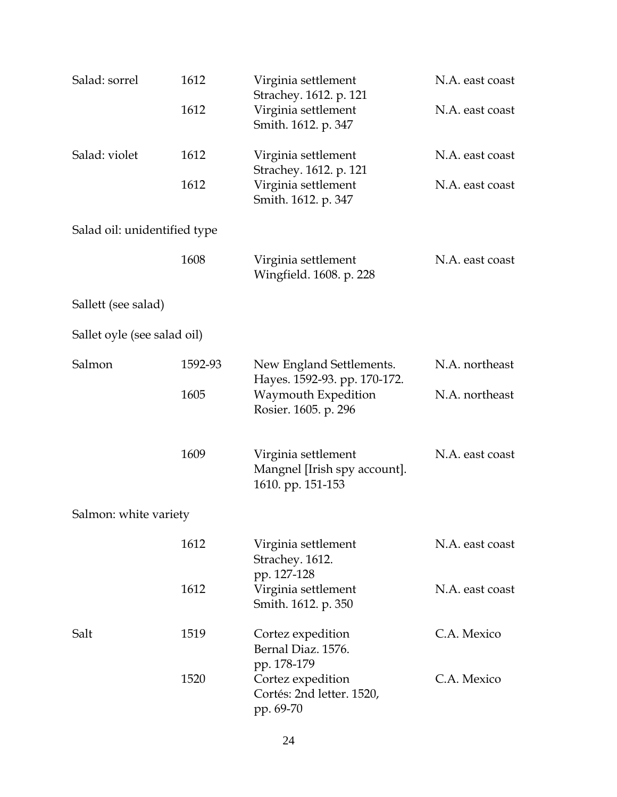| Salad: sorrel                | 1612    | Virginia settlement<br>Strachey. 1612. p. 121                               | N.A. east coast |
|------------------------------|---------|-----------------------------------------------------------------------------|-----------------|
|                              | 1612    | Virginia settlement<br>Smith. 1612. p. 347                                  | N.A. east coast |
| Salad: violet                | 1612    | Virginia settlement<br>Strachey. 1612. p. 121                               | N.A. east coast |
|                              | 1612    | Virginia settlement<br>Smith. 1612. p. 347                                  | N.A. east coast |
| Salad oil: unidentified type |         |                                                                             |                 |
|                              | 1608    | Virginia settlement<br>Wingfield. 1608. p. 228                              | N.A. east coast |
| Sallett (see salad)          |         |                                                                             |                 |
| Sallet oyle (see salad oil)  |         |                                                                             |                 |
| Salmon                       | 1592-93 | New England Settlements.                                                    | N.A. northeast  |
|                              | 1605    | Hayes. 1592-93. pp. 170-172.<br>Waymouth Expedition<br>Rosier. 1605. p. 296 | N.A. northeast  |
|                              | 1609    | Virginia settlement<br>Mangnel [Irish spy account].<br>1610. pp. 151-153    | N.A. east coast |
| Salmon: white variety        |         |                                                                             |                 |
|                              | 1612    | Virginia settlement<br>Strachey. 1612.<br>pp. 127-128                       | N.A. east coast |
|                              | 1612    | Virginia settlement<br>Smith. 1612. p. 350                                  | N.A. east coast |
| Salt                         | 1519    | Cortez expedition<br>Bernal Diaz, 1576.<br>pp. 178-179                      | C.A. Mexico     |
|                              | 1520    | Cortez expedition<br>Cortés: 2nd letter. 1520,<br>pp. 69-70                 | C.A. Mexico     |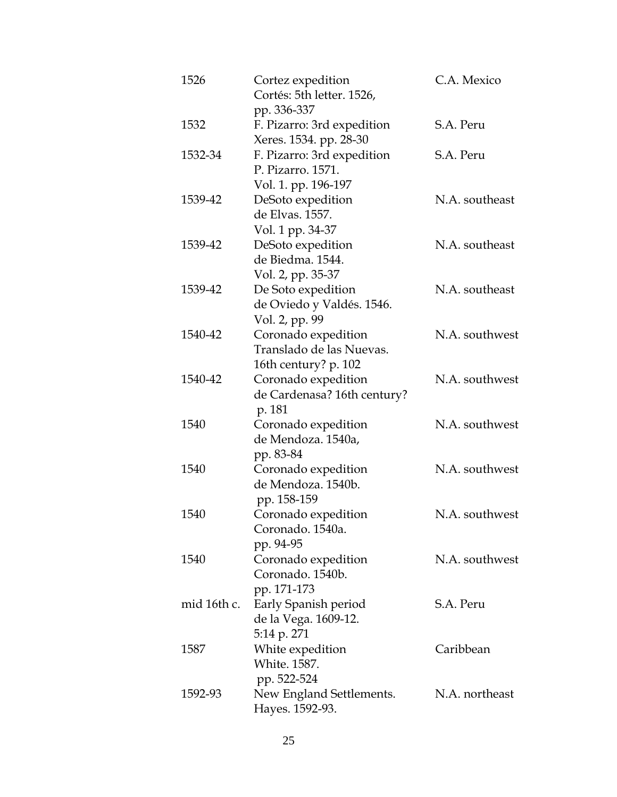| 1526 |             | Cortez expedition<br>Cortés: 5th letter. 1526,                             | C.A. Mexico    |
|------|-------------|----------------------------------------------------------------------------|----------------|
| 1532 |             | pp. 336-337<br>F. Pizarro: 3rd expedition<br>Xeres. 1534. pp. 28-30        | S.A. Peru      |
|      | 1532-34     | F. Pizarro: 3rd expedition<br>P. Pizarro. 1571.                            | S.A. Peru      |
|      | 1539-42     | Vol. 1. pp. 196-197<br>DeSoto expedition<br>de Elvas. 1557.                | N.A. southeast |
|      | 1539-42     | Vol. 1 pp. 34-37<br>DeSoto expedition<br>de Biedma. 1544.                  | N.A. southeast |
|      | 1539-42     | Vol. 2, pp. 35-37<br>De Soto expedition<br>de Oviedo y Valdés. 1546.       | N.A. southeast |
|      | 1540-42     | Vol. 2, pp. 99<br>Coronado expedition<br>Translado de las Nuevas.          | N.A. southwest |
|      | 1540-42     | 16th century? p. 102<br>Coronado expedition<br>de Cardenasa? 16th century? | N.A. southwest |
| 1540 |             | p. 181<br>Coronado expedition<br>de Mendoza. 1540a,                        | N.A. southwest |
| 1540 |             | pp. 83-84<br>Coronado expedition<br>de Mendoza. 1540b.                     | N.A. southwest |
| 1540 |             | pp. 158-159<br>Coronado expedition<br>Coronado. 1540a.                     | N.A. southwest |
| 1540 |             | pp. 94-95<br>Coronado expedition<br>Coronado, 1540b.                       | N.A. southwest |
|      | mid 16th c. | pp. 171-173<br>Early Spanish period<br>de la Vega. 1609-12.                | S.A. Peru      |
| 1587 |             | 5:14 p. 271<br>White expedition<br>White. 1587.                            | Caribbean      |
|      | 1592-93     | pp. 522-524<br>New England Settlements.<br>Hayes. 1592-93.                 | N.A. northeast |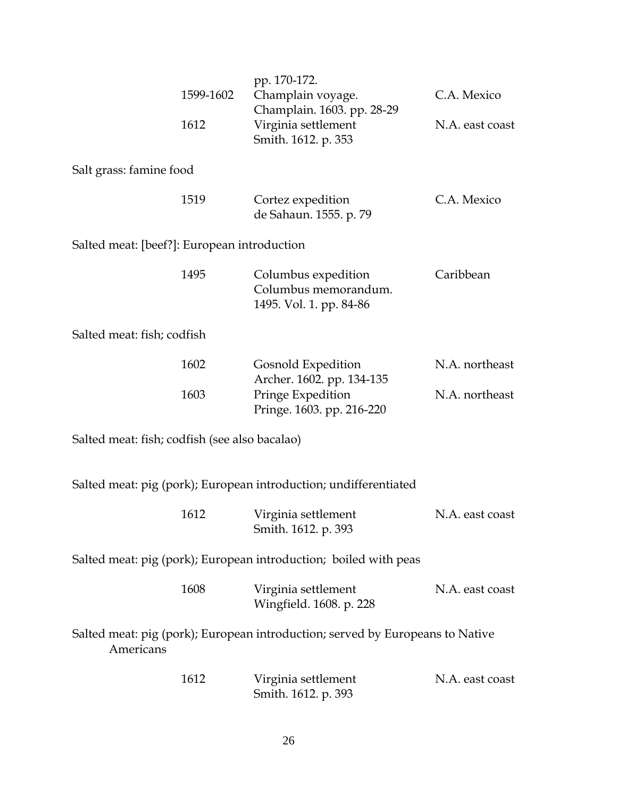|                                               | 1599-1602<br>1612 | pp. 170-172.<br>Champlain voyage.<br>Champlain. 1603. pp. 28-29<br>Virginia settlement<br>Smith. 1612. p. 353 | C.A. Mexico<br>N.A. east coast |
|-----------------------------------------------|-------------------|---------------------------------------------------------------------------------------------------------------|--------------------------------|
| Salt grass: famine food                       |                   |                                                                                                               |                                |
|                                               | 1519              | Cortez expedition<br>de Sahaun. 1555. p. 79                                                                   | C.A. Mexico                    |
| Salted meat: [beef?]: European introduction   |                   |                                                                                                               |                                |
|                                               | 1495              | Columbus expedition<br>Columbus memorandum.<br>1495. Vol. 1. pp. 84-86                                        | Caribbean                      |
| Salted meat: fish; codfish                    |                   |                                                                                                               |                                |
|                                               | 1602              | Gosnold Expedition<br>Archer. 1602. pp. 134-135                                                               | N.A. northeast                 |
|                                               | 1603              | Pringe Expedition<br>Pringe. 1603. pp. 216-220                                                                | N.A. northeast                 |
| Salted meat: fish; codfish (see also bacalao) |                   |                                                                                                               |                                |
|                                               |                   | Salted meat: pig (pork); European introduction; undifferentiated                                              |                                |
|                                               | 1612              | Virginia settlement<br>Smith. 1612. p. 393                                                                    | N.A. east coast                |
|                                               |                   | Salted meat: pig (pork); European introduction; boiled with peas                                              |                                |
|                                               | 1608              | Virginia settlement<br>Wingfield. 1608. p. 228                                                                | N.A. east coast                |
| Americans                                     |                   | Salted meat: pig (pork); European introduction; served by Europeans to Native                                 |                                |
|                                               | 1612              | Virginia settlement<br>Smith. 1612. p. 393                                                                    | N.A. east coast                |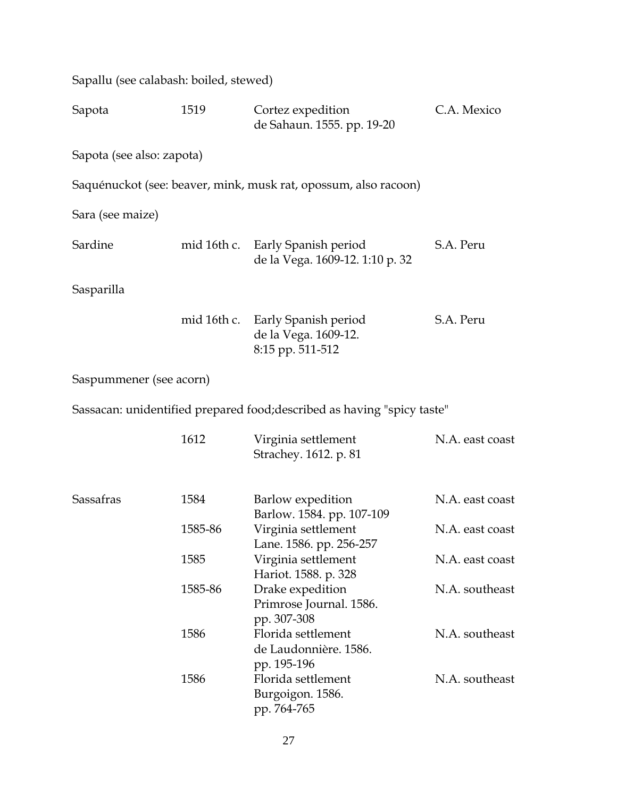| Sapallu (see calabash: boiled, stewed) |             |                                                                         |                 |
|----------------------------------------|-------------|-------------------------------------------------------------------------|-----------------|
| Sapota                                 | 1519        | Cortez expedition<br>de Sahaun. 1555. pp. 19-20                         | C.A. Mexico     |
| Sapota (see also: zapota)              |             |                                                                         |                 |
|                                        |             | Saquénuckot (see: beaver, mink, musk rat, opossum, also racoon)         |                 |
| Sara (see maize)                       |             |                                                                         |                 |
| Sardine                                |             | mid 16th c. Early Spanish period<br>de la Vega. 1609-12. 1:10 p. 32     | S.A. Peru       |
| Sasparilla                             |             |                                                                         |                 |
|                                        | mid 16th c. | Early Spanish period<br>de la Vega. 1609-12.<br>8:15 pp. 511-512        | S.A. Peru       |
| Saspummener (see acorn)                |             |                                                                         |                 |
|                                        |             | Sassacan: unidentified prepared food; described as having "spicy taste" |                 |
|                                        | 1612        | Virginia settlement<br>Strachey. 1612. p. 81                            | N.A. east coast |
| Sassafras                              | 1584        | Barlow expedition<br>Barlow. 1584. pp. 107-109                          | N.A. east coast |
|                                        | 1585-86     | Virginia settlement<br>Lane. 1586. pp. 256-257                          | N.A. east coast |
|                                        | 1585        | Virginia settlement<br>Hariot. 1588. p. 328                             | N.A. east coast |
|                                        | 1585-86     | Drake expedition<br>Primrose Journal. 1586.<br>pp. 307-308              | N.A. southeast  |
|                                        | 1586        | Florida settlement<br>de Laudonnière. 1586.<br>pp. 195-196              | N.A. southeast  |
|                                        | 1586        | Florida settlement<br>Burgoigon. 1586.<br>pp. 764-765                   | N.A. southeast  |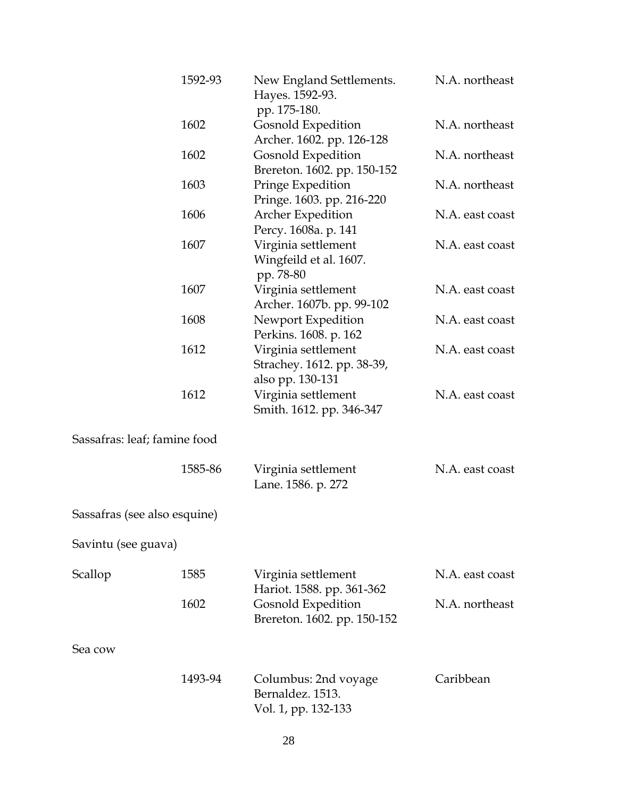|                              | 1592-93 | New England Settlements.<br>Hayes. 1592-93.<br>pp. 175-180.           | N.A. northeast  |
|------------------------------|---------|-----------------------------------------------------------------------|-----------------|
|                              | 1602    | <b>Gosnold Expedition</b><br>Archer. 1602. pp. 126-128                | N.A. northeast  |
|                              | 1602    | Gosnold Expedition<br>Brereton. 1602. pp. 150-152                     | N.A. northeast  |
|                              | 1603    | Pringe Expedition<br>Pringe. 1603. pp. 216-220                        | N.A. northeast  |
|                              | 1606    | <b>Archer Expedition</b><br>Percy. 1608a. p. 141                      | N.A. east coast |
|                              | 1607    | Virginia settlement<br>Wingfeild et al. 1607.<br>pp. 78-80            | N.A. east coast |
|                              | 1607    | Virginia settlement<br>Archer. 1607b. pp. 99-102                      | N.A. east coast |
|                              | 1608    | Newport Expedition<br>Perkins. 1608. p. 162                           | N.A. east coast |
|                              | 1612    | Virginia settlement<br>Strachey. 1612. pp. 38-39,<br>also pp. 130-131 | N.A. east coast |
|                              | 1612    | Virginia settlement<br>Smith. 1612. pp. 346-347                       | N.A. east coast |
| Sassafras: leaf; famine food |         |                                                                       |                 |
|                              | 1585-86 | Virginia settlement<br>Lane. 1586. p. 272                             | N.A. east coast |
| Sassafras (see also esquine) |         |                                                                       |                 |
| Savintu (see guava)          |         |                                                                       |                 |
| Scallop                      | 1585    | Virginia settlement<br>Hariot. 1588. pp. 361-362                      | N.A. east coast |
|                              | 1602    | <b>Gosnold Expedition</b><br>Brereton. 1602. pp. 150-152              | N.A. northeast  |
| Sea cow                      |         |                                                                       |                 |
|                              | 1493-94 | Columbus: 2nd voyage<br>Bernaldez, 1513.<br>Vol. 1, pp. 132-133       | Caribbean       |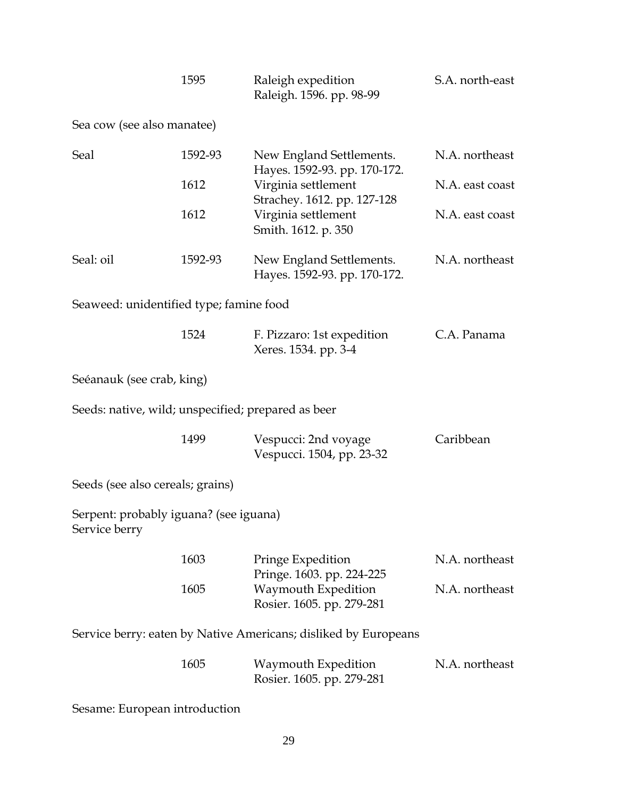| 1595 | Raleigh expedition       | S.A. north-east |
|------|--------------------------|-----------------|
|      | Raleigh. 1596. pp. 98-99 |                 |

Sea cow (see also manatee)

| Seal                                               | 1592-93 | New England Settlements.<br>Hayes. 1592-93. pp. 170-172. | N.A. northeast  |
|----------------------------------------------------|---------|----------------------------------------------------------|-----------------|
|                                                    | 1612    | Virginia settlement<br>Strachey. 1612. pp. 127-128       | N.A. east coast |
|                                                    | 1612    | Virginia settlement<br>Smith. 1612. p. 350               | N.A. east coast |
| Seal: oil                                          | 1592-93 | New England Settlements.<br>Hayes. 1592-93. pp. 170-172. | N.A. northeast  |
| Seaweed: unidentified type; famine food            |         |                                                          |                 |
|                                                    | 1524    | F. Pizzaro: 1st expedition<br>Xeres. 1534. pp. 3-4       | C.A. Panama     |
| Seéanauk (see crab, king)                          |         |                                                          |                 |
| Seeds: native, wild; unspecified; prepared as beer |         |                                                          |                 |
|                                                    | 1499    | Vespucci: 2nd voyage<br>Vespucci. 1504, pp. 23-32        | Caribbean       |

Seeds (see also cereals; grains)

Serpent: probably iguana? (see iguana) Service berry

| 1603 | Pringe Expedition         | N.A. northeast |
|------|---------------------------|----------------|
|      | Pringe. 1603. pp. 224-225 |                |
| 1605 | Waymouth Expedition       | N.A. northeast |
|      | Rosier. 1605. pp. 279-281 |                |

Service berry: eaten by Native Americans; disliked by Europeans

| 1605 | Waymouth Expedition       | N.A. northeast |
|------|---------------------------|----------------|
|      | Rosier. 1605. pp. 279-281 |                |

Sesame: European introduction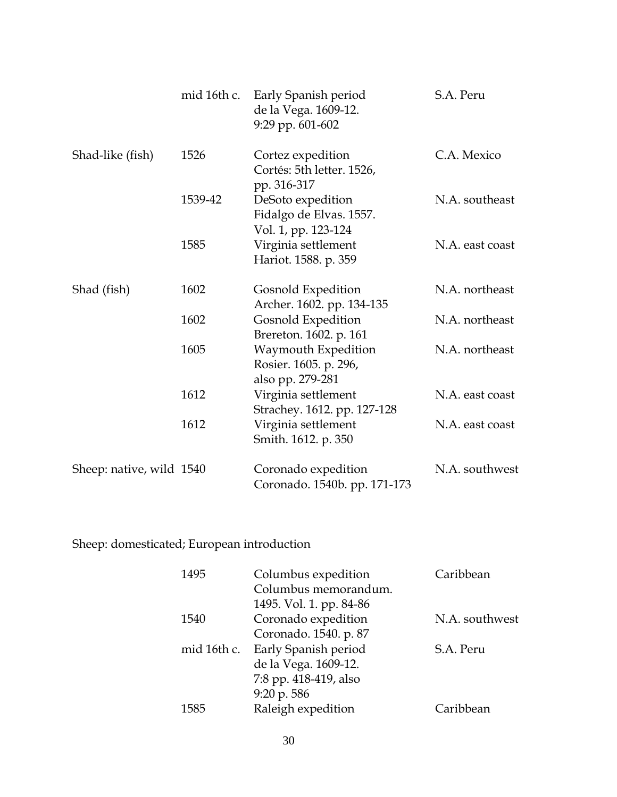|                          | mid 16th c. | Early Spanish period<br>de la Vega. 1609-12.<br>9:29 pp. 601-602    | S.A. Peru       |
|--------------------------|-------------|---------------------------------------------------------------------|-----------------|
| Shad-like (fish)         | 1526        | Cortez expedition<br>Cortés: 5th letter. 1526,<br>pp. 316-317       | C.A. Mexico     |
|                          | 1539-42     | DeSoto expedition<br>Fidalgo de Elvas. 1557.<br>Vol. 1, pp. 123-124 | N.A. southeast  |
|                          | 1585        | Virginia settlement<br>Hariot. 1588. p. 359                         | N.A. east coast |
| Shad (fish)              | 1602        | Gosnold Expedition<br>Archer. 1602. pp. 134-135                     | N.A. northeast  |
|                          | 1602        | <b>Gosnold Expedition</b><br>Brereton. 1602. p. 161                 | N.A. northeast  |
|                          | 1605        | Waymouth Expedition<br>Rosier. 1605. p. 296,<br>also pp. 279-281    | N.A. northeast  |
|                          | 1612        | Virginia settlement<br>Strachey. 1612. pp. 127-128                  | N.A. east coast |
|                          | 1612        | Virginia settlement<br>Smith. 1612. p. 350                          | N.A. east coast |
| Sheep: native, wild 1540 |             | Coronado expedition<br>Coronado. 1540b. pp. 171-173                 | N.A. southwest  |

Sheep: domesticated; European introduction

| 1495        | Columbus expedition<br>Columbus memorandum. | Caribbean      |
|-------------|---------------------------------------------|----------------|
|             | 1495. Vol. 1. pp. 84-86                     |                |
| 1540        | Coronado expedition                         | N.A. southwest |
|             | Coronado. 1540. p. 87                       |                |
| mid 16th c. | Early Spanish period                        | S.A. Peru      |
|             | de la Vega. 1609-12.                        |                |
|             | 7:8 pp. 418-419, also                       |                |
|             | 9:20 p. 586                                 |                |
| 1585        | Raleigh expedition                          | Caribbean      |
|             |                                             |                |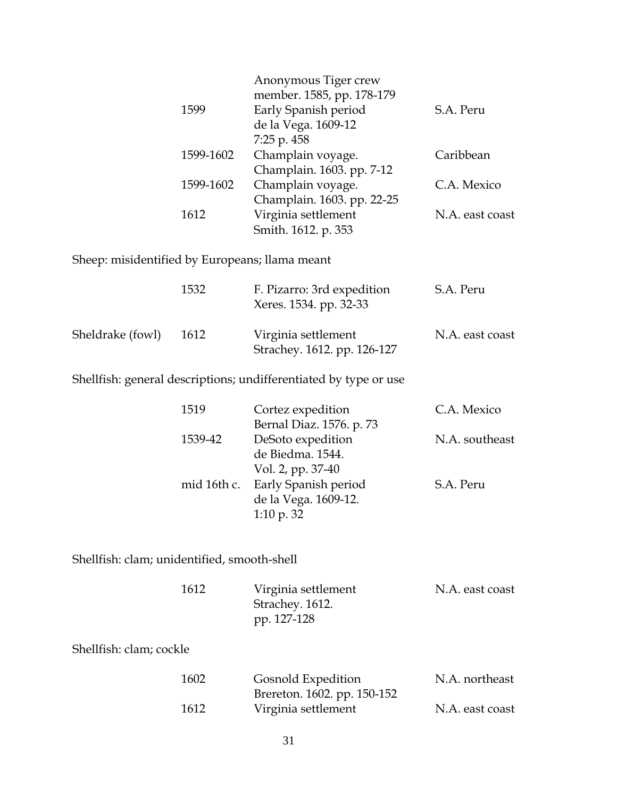| Anonymous Tiger crew<br>member. 1585, pp. 178-179 |                 |
|---------------------------------------------------|-----------------|
| Early Spanish period                              | S.A. Peru       |
| de la Vega. 1609-12                               |                 |
| $7:25$ p. $458$                                   |                 |
| Champlain voyage.                                 | Caribbean       |
| Champlain. 1603. pp. 7-12                         |                 |
| Champlain voyage.                                 | C.A. Mexico     |
| Champlain. 1603. pp. 22-25                        |                 |
| Virginia settlement                               | N.A. east coast |
| Smith. 1612. p. 353                               |                 |
|                                                   |                 |

Sheep: misidentified by Europeans; llama meant

|                  | 1532 | F. Pizarro: 3rd expedition<br>Xeres. 1534. pp. 32-33 | S.A. Peru       |
|------------------|------|------------------------------------------------------|-----------------|
| Sheldrake (fowl) | 1612 | Virginia settlement<br>Strachey. 1612. pp. 126-127   | N.A. east coast |

Shellfish: general descriptions; undifferentiated by type or use

| 1519    | Cortez expedition                | C.A. Mexico    |
|---------|----------------------------------|----------------|
|         | Bernal Diaz. 1576. p. 73         |                |
| 1539-42 | DeSoto expedition                | N.A. southeast |
|         | de Biedma. 1544.                 |                |
|         | Vol. 2, pp. 37-40                |                |
|         | mid 16th c. Early Spanish period | S.A. Peru      |
|         | de la Vega. 1609-12.             |                |
|         | 1:10 p. $32$                     |                |

Shellfish: clam; unidentified, smooth-shell

| 1612 | Virginia settlement | N.A. east coast |
|------|---------------------|-----------------|
|      | Strachey. 1612.     |                 |
|      | pp. 127-128         |                 |

Shellfish: clam; cockle

| 1602 | <b>Gosnold Expedition</b>   | N.A. northeast  |
|------|-----------------------------|-----------------|
|      | Brereton. 1602. pp. 150-152 |                 |
| 1612 | Virginia settlement         | N.A. east coast |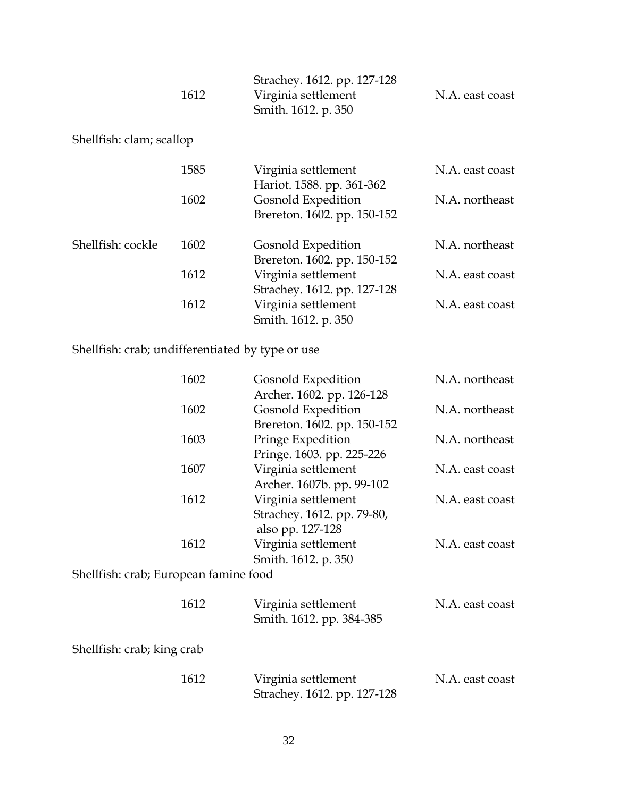|      | Strachey. 1612. pp. 127-128 |                 |
|------|-----------------------------|-----------------|
| 1612 | Virginia settlement         | N.A. east coast |
|      | Smith. 1612. p. 350         |                 |

## Shellfish: clam; scallop

|                   | 1585 | Virginia settlement<br>Hariot. 1588. pp. 361-362   | N.A. east coast |
|-------------------|------|----------------------------------------------------|-----------------|
|                   | 1602 | Gosnold Expedition<br>Brereton. 1602. pp. 150-152  | N.A. northeast  |
| Shellfish: cockle | 1602 | Gosnold Expedition<br>Brereton. 1602. pp. 150-152  | N.A. northeast  |
|                   | 1612 | Virginia settlement<br>Strachey. 1612. pp. 127-128 | N.A. east coast |
|                   | 1612 | Virginia settlement<br>Smith. 1612. p. 350         | N.A. east coast |

# Shellfish: crab; undifferentiated by type or use

| 1602                                  | Gosnold Expedition          | N.A. northeast  |
|---------------------------------------|-----------------------------|-----------------|
|                                       | Archer. 1602. pp. 126-128   |                 |
| 1602                                  | Gosnold Expedition          | N.A. northeast  |
|                                       | Brereton. 1602. pp. 150-152 |                 |
| 1603                                  | Pringe Expedition           | N.A. northeast  |
|                                       | Pringe. 1603. pp. 225-226   |                 |
| 1607                                  | Virginia settlement         | N.A. east coast |
|                                       | Archer. 1607b. pp. 99-102   |                 |
| 1612                                  | Virginia settlement         | N.A. east coast |
|                                       | Strachey. 1612. pp. 79-80,  |                 |
|                                       | also pp. 127-128            |                 |
| 1612                                  | Virginia settlement         | N.A. east coast |
|                                       | Smith. 1612. p. 350         |                 |
| Shellfish: crab; European famine food |                             |                 |
|                                       |                             |                 |
| 1612                                  | Virginia settlement         | N.A. east coast |
|                                       | Smith. 1612. pp. 384-385    |                 |
|                                       |                             |                 |

Shellfish: crab; king crab

| 1612 | Virginia settlement         | N.A. east coast |
|------|-----------------------------|-----------------|
|      | Strachey. 1612. pp. 127-128 |                 |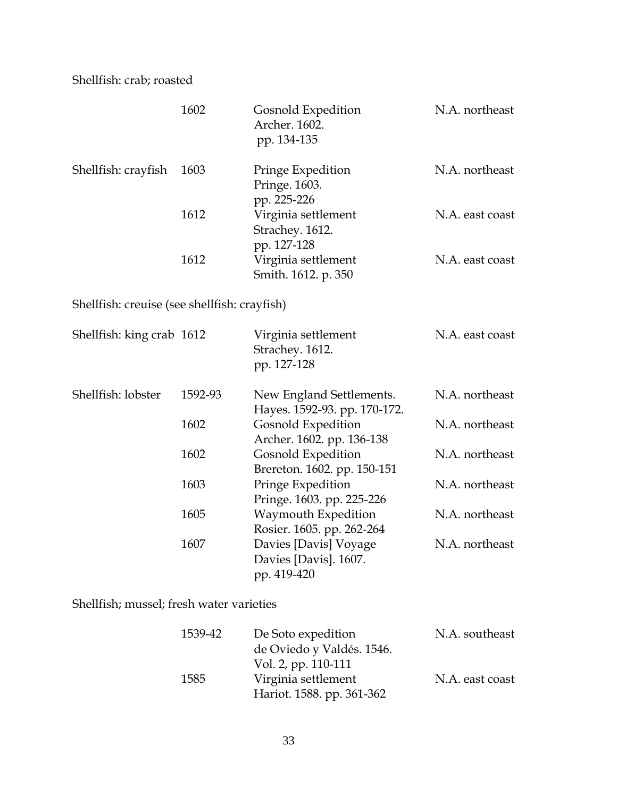Shellfish: crab; roasted

|                                              | 1602    | <b>Gosnold Expedition</b><br>Archer. 1602.<br>pp. 134-135     | N.A. northeast  |
|----------------------------------------------|---------|---------------------------------------------------------------|-----------------|
| Shellfish: crayfish                          | 1603    | Pringe Expedition<br>Pringe. 1603.<br>pp. 225-226             | N.A. northeast  |
|                                              | 1612    | Virginia settlement<br>Strachey. 1612.<br>pp. 127-128         | N.A. east coast |
|                                              | 1612    | Virginia settlement<br>Smith. 1612. p. 350                    | N.A. east coast |
| Shellfish: creuise (see shellfish: crayfish) |         |                                                               |                 |
| Shellfish: king crab 1612                    |         | Virginia settlement<br>Strachey. 1612.<br>pp. 127-128         | N.A. east coast |
| Shellfish: lobster                           | 1592-93 | New England Settlements.<br>Hayes. 1592-93. pp. 170-172.      | N.A. northeast  |
|                                              | 1602    | Gosnold Expedition<br>Archer. 1602. pp. 136-138               | N.A. northeast  |
|                                              | 1602    | <b>Gosnold Expedition</b><br>Brereton. 1602. pp. 150-151      | N.A. northeast  |
|                                              | 1603    | Pringe Expedition<br>Pringe. 1603. pp. 225-226                | N.A. northeast  |
|                                              | 1605    | Waymouth Expedition<br>Rosier. 1605. pp. 262-264              | N.A. northeast  |
|                                              | 1607    | Davies [Davis] Voyage<br>Davies [Davis]. 1607.<br>pp. 419-420 | N.A. northeast  |

Shellfish; mussel; fresh water varieties

| 1539-42 | De Soto expedition        | N.A. southeast  |
|---------|---------------------------|-----------------|
|         | de Oviedo y Valdés. 1546. |                 |
|         | Vol. 2, pp. 110-111       |                 |
| 1585    | Virginia settlement       | N.A. east coast |
|         | Hariot. 1588. pp. 361-362 |                 |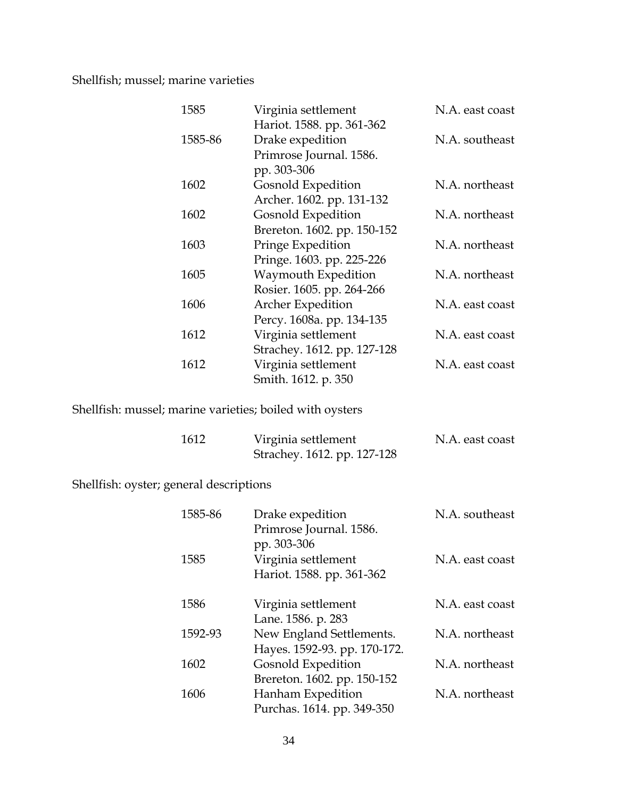### Shellfish; mussel; marine varieties

| Hariot. 1588. pp. 361-362<br>Drake expedition<br>1585-86<br>Primrose Journal. 1586.<br>pp. 303-306<br>Gosnold Expedition<br>1602<br>Archer. 1602. pp. 131-132<br>Gosnold Expedition<br>1602<br>Brereton. 1602. pp. 150-152<br>1603<br>Pringe Expedition<br>Pringe. 1603. pp. 225-226<br>Waymouth Expedition<br>1605<br>Rosier. 1605. pp. 264-266<br>1606<br><b>Archer Expedition</b><br>Percy. 1608a. pp. 134-135<br>1612<br>Virginia settlement<br>Strachey. 1612. pp. 127-128<br>Virginia settlement<br>1612<br>Smith. 1612. p. 350 | 1585 | Virginia settlement | N.A. east coast |
|---------------------------------------------------------------------------------------------------------------------------------------------------------------------------------------------------------------------------------------------------------------------------------------------------------------------------------------------------------------------------------------------------------------------------------------------------------------------------------------------------------------------------------------|------|---------------------|-----------------|
|                                                                                                                                                                                                                                                                                                                                                                                                                                                                                                                                       |      |                     |                 |
|                                                                                                                                                                                                                                                                                                                                                                                                                                                                                                                                       |      |                     | N.A. southeast  |
|                                                                                                                                                                                                                                                                                                                                                                                                                                                                                                                                       |      |                     |                 |
|                                                                                                                                                                                                                                                                                                                                                                                                                                                                                                                                       |      |                     |                 |
|                                                                                                                                                                                                                                                                                                                                                                                                                                                                                                                                       |      |                     | N.A. northeast  |
|                                                                                                                                                                                                                                                                                                                                                                                                                                                                                                                                       |      |                     |                 |
|                                                                                                                                                                                                                                                                                                                                                                                                                                                                                                                                       |      |                     | N.A. northeast  |
|                                                                                                                                                                                                                                                                                                                                                                                                                                                                                                                                       |      |                     |                 |
|                                                                                                                                                                                                                                                                                                                                                                                                                                                                                                                                       |      |                     | N.A. northeast  |
|                                                                                                                                                                                                                                                                                                                                                                                                                                                                                                                                       |      |                     |                 |
|                                                                                                                                                                                                                                                                                                                                                                                                                                                                                                                                       |      |                     | N.A. northeast  |
|                                                                                                                                                                                                                                                                                                                                                                                                                                                                                                                                       |      |                     |                 |
|                                                                                                                                                                                                                                                                                                                                                                                                                                                                                                                                       |      |                     | N.A. east coast |
|                                                                                                                                                                                                                                                                                                                                                                                                                                                                                                                                       |      |                     |                 |
|                                                                                                                                                                                                                                                                                                                                                                                                                                                                                                                                       |      |                     | N.A. east coast |
|                                                                                                                                                                                                                                                                                                                                                                                                                                                                                                                                       |      |                     |                 |
|                                                                                                                                                                                                                                                                                                                                                                                                                                                                                                                                       |      |                     | N.A. east coast |
|                                                                                                                                                                                                                                                                                                                                                                                                                                                                                                                                       |      |                     |                 |

Shellfish: mussel; marine varieties; boiled with oysters

| 1612 | Virginia settlement         | N.A. east coast |
|------|-----------------------------|-----------------|
|      | Strachey. 1612. pp. 127-128 |                 |

Shellfish: oyster; general descriptions

| 1585-86<br>Drake expedition         | N.A. southeast  |
|-------------------------------------|-----------------|
| Primrose Journal. 1586.             |                 |
| pp. 303-306                         |                 |
| Virginia settlement                 | N.A. east coast |
| Hariot. 1588. pp. 361-362           |                 |
| Virginia settlement                 | N.A. east coast |
| Lane. 1586. p. 283                  |                 |
| New England Settlements.<br>1592-93 | N.A. northeast  |
| Hayes. 1592-93. pp. 170-172.        |                 |
| Gosnold Expedition                  | N.A. northeast  |
| Brereton. 1602. pp. 150-152         |                 |
| Hanham Expedition                   | N.A. northeast  |
| Purchas. 1614. pp. 349-350          |                 |
|                                     |                 |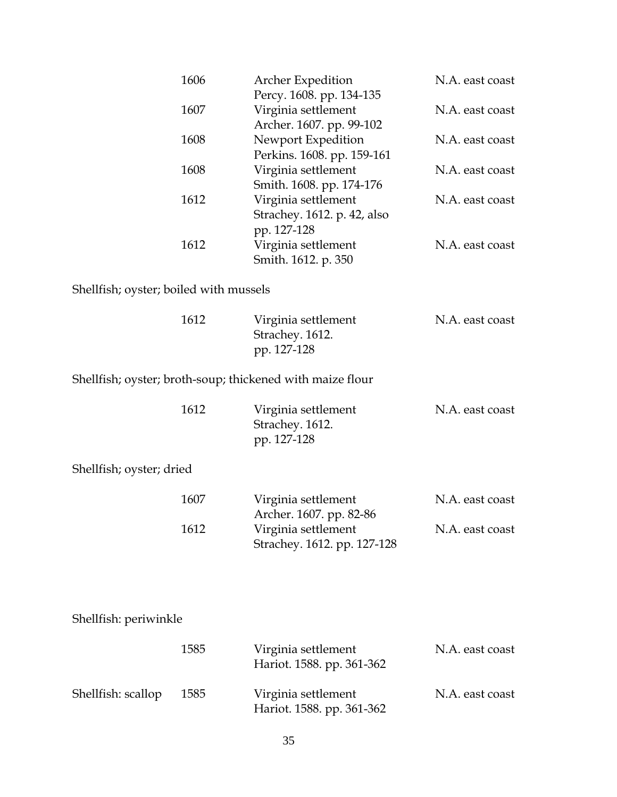| 1606 | <b>Archer Expedition</b>    | N.A. east coast |
|------|-----------------------------|-----------------|
|      | Percy. 1608. pp. 134-135    |                 |
| 1607 | Virginia settlement         | N.A. east coast |
|      | Archer. 1607. pp. 99-102    |                 |
| 1608 | Newport Expedition          | N.A. east coast |
|      | Perkins. 1608. pp. 159-161  |                 |
| 1608 | Virginia settlement         | N.A. east coast |
|      | Smith. 1608. pp. 174-176    |                 |
| 1612 | Virginia settlement         | N.A. east coast |
|      | Strachey. 1612. p. 42, also |                 |
|      | pp. 127-128                 |                 |
| 1612 | Virginia settlement         | N.A. east coast |
|      | Smith. 1612. p. 350         |                 |

Shellfish; oyster; boiled with mussels

|                          | 1612 | Virginia settlement<br>Strachey. 1612.<br>pp. 127-128     | N.A. east coast |
|--------------------------|------|-----------------------------------------------------------|-----------------|
|                          |      | Shellfish; oyster; broth-soup; thickened with maize flour |                 |
|                          | 1612 | Virginia settlement<br>Strachey. 1612.<br>pp. 127-128     | N.A. east coast |
| Shellfish; oyster; dried |      |                                                           |                 |
|                          | 1607 | Virginia settlement<br>Archer. 1607. pp. 82-86            | N.A. east coast |
|                          | 1612 | Virginia settlement<br>Strachey. 1612. pp. 127-128        | N.A. east coast |
| Shellfish: periwinkle    |      |                                                           |                 |
|                          | 1585 | Virginia settlement<br>Hariot. 1588. pp. 361-362          | N.A. east coast |
| Shellfish: scallop       | 1585 | Virginia settlement<br>Hariot. 1588. pp. 361-362          | N.A. east coast |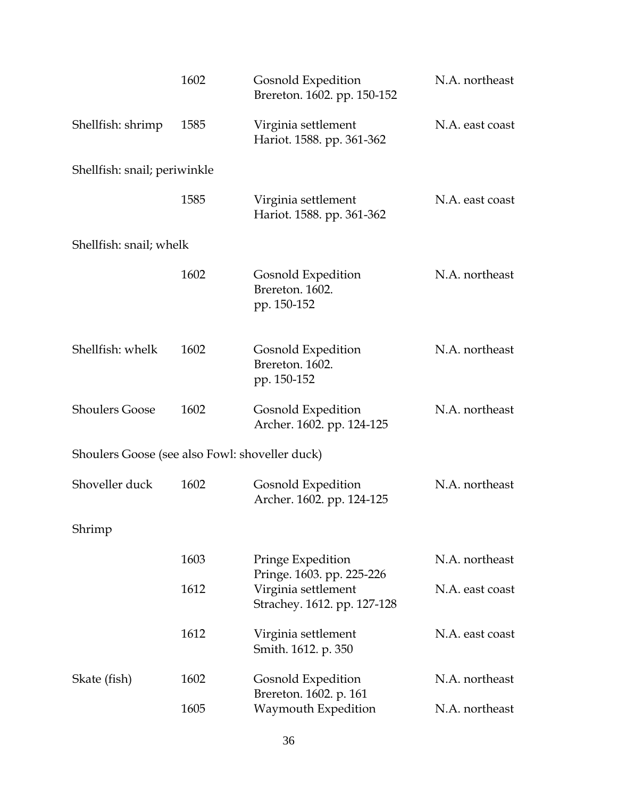|                                                | 1602 | Gosnold Expedition<br>Brereton. 1602. pp. 150-152                               | N.A. northeast  |
|------------------------------------------------|------|---------------------------------------------------------------------------------|-----------------|
| Shellfish: shrimp                              | 1585 | Virginia settlement<br>Hariot. 1588. pp. 361-362                                | N.A. east coast |
| Shellfish: snail; periwinkle                   |      |                                                                                 |                 |
|                                                | 1585 | Virginia settlement<br>Hariot. 1588. pp. 361-362                                | N.A. east coast |
| Shellfish: snail; whelk                        |      |                                                                                 |                 |
|                                                | 1602 | Gosnold Expedition<br>Brereton. 1602.<br>pp. 150-152                            | N.A. northeast  |
| Shellfish: whelk                               | 1602 | Gosnold Expedition<br>Brereton. 1602.<br>pp. 150-152                            | N.A. northeast  |
| <b>Shoulers Goose</b>                          | 1602 | Gosnold Expedition<br>Archer. 1602. pp. 124-125                                 | N.A. northeast  |
| Shoulers Goose (see also Fowl: shoveller duck) |      |                                                                                 |                 |
| Shoveller duck                                 | 1602 | Gosnold Expedition<br>Archer. 1602. pp. 124-125                                 | N.A. northeast  |
| Shrimp                                         |      |                                                                                 |                 |
|                                                | 1603 | Pringe Expedition                                                               | N.A. northeast  |
|                                                | 1612 | Pringe. 1603. pp. 225-226<br>Virginia settlement<br>Strachey. 1612. pp. 127-128 | N.A. east coast |
|                                                | 1612 | Virginia settlement<br>Smith. 1612. p. 350                                      | N.A. east coast |
| Skate (fish)                                   | 1602 | Gosnold Expedition<br>Brereton. 1602. p. 161                                    | N.A. northeast  |
|                                                | 1605 | Waymouth Expedition                                                             | N.A. northeast  |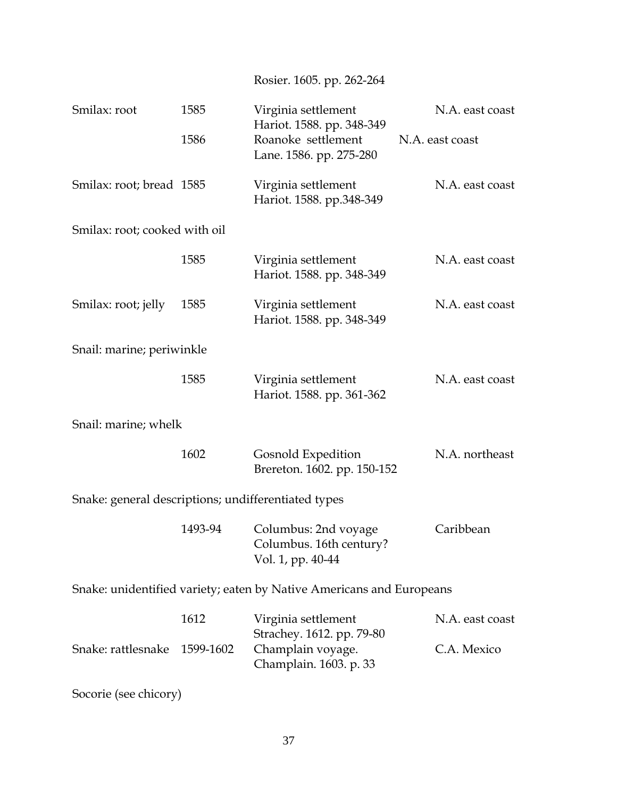| Smilax: root                                                         | 1585      | Virginia settlement<br>Hariot. 1588. pp. 348-349                     | N.A. east coast |
|----------------------------------------------------------------------|-----------|----------------------------------------------------------------------|-----------------|
|                                                                      | 1586      | Roanoke settlement<br>Lane. 1586. pp. 275-280                        | N.A. east coast |
| Smilax: root; bread 1585                                             |           | Virginia settlement<br>Hariot. 1588. pp.348-349                      | N.A. east coast |
| Smilax: root; cooked with oil                                        |           |                                                                      |                 |
|                                                                      | 1585      | Virginia settlement<br>Hariot. 1588. pp. 348-349                     | N.A. east coast |
| Smilax: root; jelly                                                  | 1585      | Virginia settlement<br>Hariot. 1588. pp. 348-349                     | N.A. east coast |
| Snail: marine; periwinkle                                            |           |                                                                      |                 |
|                                                                      | 1585      | Virginia settlement<br>Hariot. 1588. pp. 361-362                     | N.A. east coast |
| Snail: marine; whelk                                                 |           |                                                                      |                 |
|                                                                      | 1602      | Gosnold Expedition<br>Brereton. 1602. pp. 150-152                    | N.A. northeast  |
| Snake: general descriptions; undifferentiated types                  |           |                                                                      |                 |
|                                                                      | 1493-94   | Columbus: 2nd voyage<br>Columbus. 16th century?<br>Vol. 1, pp. 40-44 | Caribbean       |
| Snake: unidentified variety; eaten by Native Americans and Europeans |           |                                                                      |                 |
|                                                                      | 1612      | Virginia settlement<br>Strachey. 1612. pp. 79-80                     | N.A. east coast |
| Snake: rattlesnake                                                   | 1599-1602 | Champlain voyage.<br>Champlain. 1603. p. 33                          | C.A. Mexico     |
| Socorie (see chicory)                                                |           |                                                                      |                 |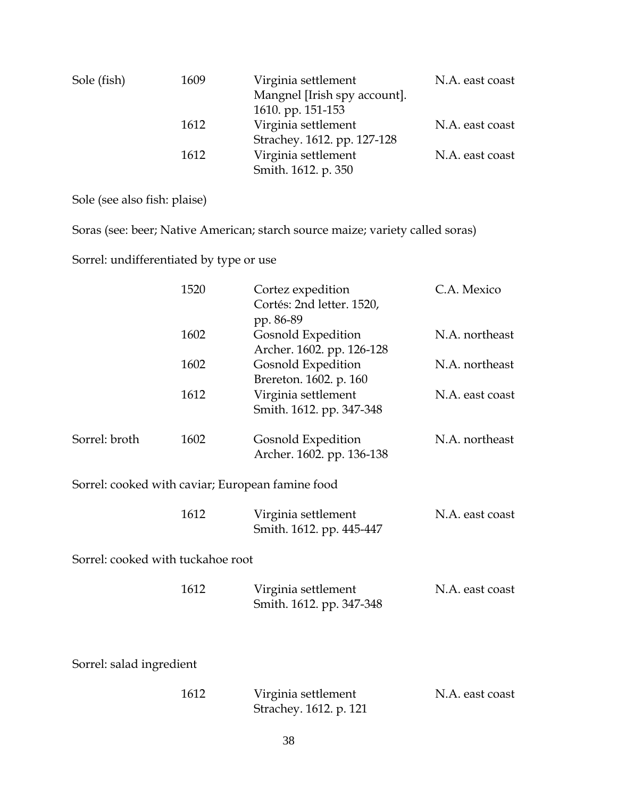| Sole (fish) | 1609 | Virginia settlement          | N.A. east coast |
|-------------|------|------------------------------|-----------------|
|             |      | Mangnel [Irish spy account]. |                 |
|             |      | 1610. pp. 151-153            |                 |
|             | 1612 | Virginia settlement          | N.A. east coast |
|             |      | Strachey. 1612. pp. 127-128  |                 |
|             | 1612 | Virginia settlement          | N.A. east coast |
|             |      | Smith. 1612. p. 350          |                 |

Sole (see also fish: plaise)

Soras (see: beer; Native American; starch source maize; variety called soras)

Sorrel: undifferentiated by type or use

|                                   | 1520 | Cortez expedition<br>Cortés: 2nd letter. 1520,<br>pp. 86-89 | C.A. Mexico     |
|-----------------------------------|------|-------------------------------------------------------------|-----------------|
|                                   | 1602 | Gosnold Expedition<br>Archer. 1602. pp. 126-128             | N.A. northeast  |
|                                   | 1602 | <b>Gosnold Expedition</b><br>Brereton. 1602. p. 160         | N.A. northeast  |
|                                   | 1612 | Virginia settlement<br>Smith. 1612. pp. 347-348             | N.A. east coast |
| Sorrel: broth                     | 1602 | Gosnold Expedition<br>Archer. 1602. pp. 136-138             | N.A. northeast  |
|                                   |      | Sorrel: cooked with caviar; European famine food            |                 |
|                                   | 1612 | Virginia settlement<br>Smith. 1612. pp. 445-447             | N.A. east coast |
| Sorrel: cooked with tuckahoe root |      |                                                             |                 |
|                                   | 1612 | Virginia settlement<br>Smith. 1612. pp. 347-348             | N.A. east coast |
| Sorrel: salad ingredient          |      |                                                             |                 |
|                                   | 1612 | Virginia settlement<br>Strachey. 1612. p. 121               | N.A. east coast |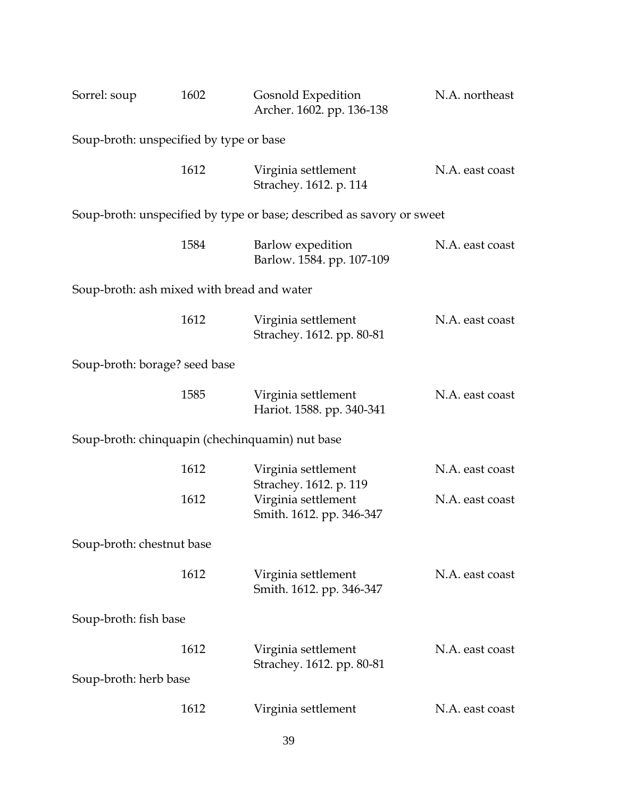| Sorrel: soup                                    | 1602 | Gosnold Expedition<br>Archer. 1602. pp. 136-138                       | N.A. northeast  |
|-------------------------------------------------|------|-----------------------------------------------------------------------|-----------------|
| Soup-broth: unspecified by type or base         |      |                                                                       |                 |
|                                                 | 1612 | Virginia settlement<br>Strachey. 1612. p. 114                         | N.A. east coast |
|                                                 |      | Soup-broth: unspecified by type or base; described as savory or sweet |                 |
|                                                 | 1584 | Barlow expedition<br>Barlow. 1584. pp. 107-109                        | N.A. east coast |
| Soup-broth: ash mixed with bread and water      |      |                                                                       |                 |
|                                                 | 1612 | Virginia settlement<br>Strachey. 1612. pp. 80-81                      | N.A. east coast |
| Soup-broth: borage? seed base                   |      |                                                                       |                 |
|                                                 | 1585 | Virginia settlement<br>Hariot. 1588. pp. 340-341                      | N.A. east coast |
| Soup-broth: chinquapin (chechinquamin) nut base |      |                                                                       |                 |
|                                                 | 1612 | Virginia settlement<br>Strachey. 1612. p. 119                         | N.A. east coast |
|                                                 | 1612 | Virginia settlement<br>Smith. 1612. pp. 346-347                       | N.A. east coast |
| Soup-broth: chestnut base                       |      |                                                                       |                 |
|                                                 | 1612 | Virginia settlement<br>Smith. 1612. pp. 346-347                       | N.A. east coast |
| Soup-broth: fish base                           |      |                                                                       |                 |
| Soup-broth: herb base                           | 1612 | Virginia settlement<br>Strachey. 1612. pp. 80-81                      | N.A. east coast |
|                                                 | 1612 |                                                                       |                 |
|                                                 |      | Virginia settlement                                                   | N.A. east coast |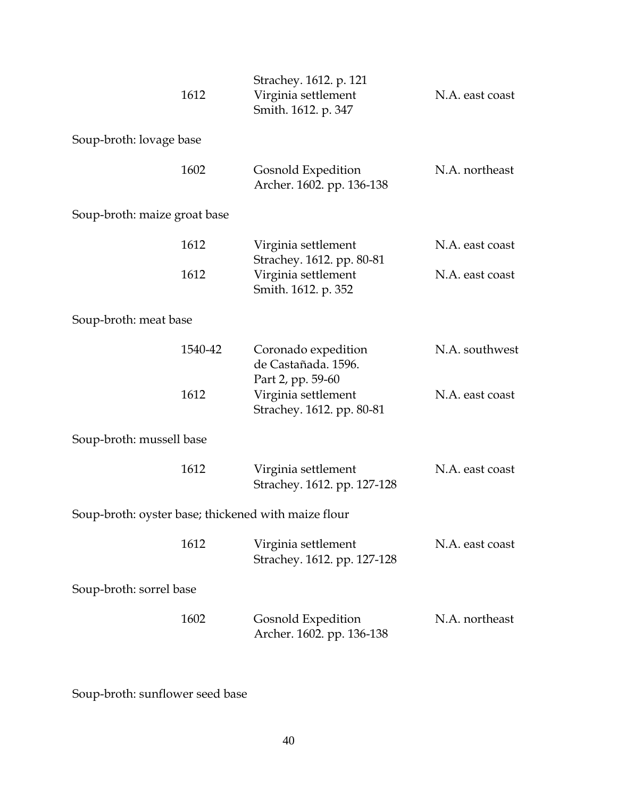|                                                     | 1612    | Strachey. 1612. p. 121<br>Virginia settlement<br>Smith. 1612. p. 347 | N.A. east coast |
|-----------------------------------------------------|---------|----------------------------------------------------------------------|-----------------|
| Soup-broth: lovage base                             |         |                                                                      |                 |
|                                                     | 1602    | Gosnold Expedition<br>Archer. 1602. pp. 136-138                      | N.A. northeast  |
| Soup-broth: maize groat base                        |         |                                                                      |                 |
|                                                     | 1612    | Virginia settlement<br>Strachey. 1612. pp. 80-81                     | N.A. east coast |
|                                                     | 1612    | Virginia settlement<br>Smith. 1612. p. 352                           | N.A. east coast |
| Soup-broth: meat base                               |         |                                                                      |                 |
|                                                     | 1540-42 | Coronado expedition<br>de Castañada. 1596.<br>Part 2, pp. 59-60      | N.A. southwest  |
|                                                     | 1612    | Virginia settlement<br>Strachey. 1612. pp. 80-81                     | N.A. east coast |
| Soup-broth: mussell base                            |         |                                                                      |                 |
|                                                     | 1612    | Virginia settlement<br>Strachey. 1612. pp. 127-128                   | N.A. east coast |
| Soup-broth: oyster base; thickened with maize flour |         |                                                                      |                 |
|                                                     | 1612    | Virginia settlement<br>Strachey. 1612. pp. 127-128                   | N.A. east coast |
| Soup-broth: sorrel base                             |         |                                                                      |                 |
|                                                     | 1602    | Gosnold Expedition<br>Archer. 1602. pp. 136-138                      | N.A. northeast  |

Soup-broth: sunflower seed base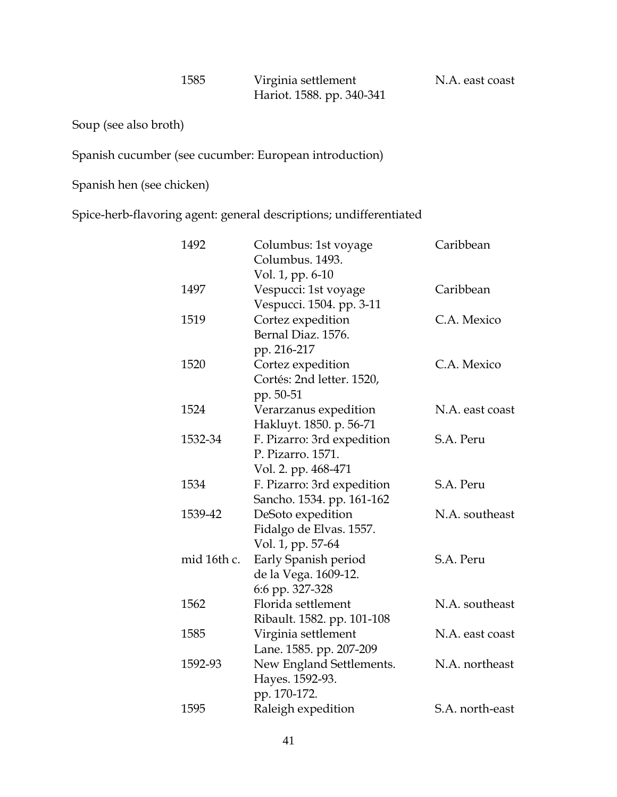Soup (see also broth)

Spanish cucumber (see cucumber: European introduction)

Spanish hen (see chicken)

Spice-herb-flavoring agent: general descriptions; undifferentiated

| 1492        | Columbus: 1st voyage       | Caribbean       |
|-------------|----------------------------|-----------------|
|             | Columbus. 1493.            |                 |
|             | Vol. 1, pp. 6-10           |                 |
| 1497        | Vespucci: 1st voyage       | Caribbean       |
|             | Vespucci. 1504. pp. 3-11   |                 |
| 1519        | Cortez expedition          | C.A. Mexico     |
|             | Bernal Diaz. 1576.         |                 |
|             | pp. 216-217                |                 |
| 1520        | Cortez expedition          | C.A. Mexico     |
|             | Cortés: 2nd letter. 1520,  |                 |
|             | pp. 50-51                  |                 |
| 1524        | Verarzanus expedition      | N.A. east coast |
|             | Hakluyt. 1850. p. 56-71    |                 |
| 1532-34     | F. Pizarro: 3rd expedition | S.A. Peru       |
|             | P. Pizarro. 1571.          |                 |
|             | Vol. 2. pp. 468-471        |                 |
| 1534        | F. Pizarro: 3rd expedition | S.A. Peru       |
|             | Sancho. 1534. pp. 161-162  |                 |
| 1539-42     | DeSoto expedition          | N.A. southeast  |
|             | Fidalgo de Elvas. 1557.    |                 |
|             | Vol. 1, pp. 57-64          |                 |
| mid 16th c. | Early Spanish period       | S.A. Peru       |
|             | de la Vega. 1609-12.       |                 |
|             | 6:6 pp. 327-328            |                 |
| 1562        | Florida settlement         | N.A. southeast  |
|             | Ribault. 1582. pp. 101-108 |                 |
| 1585        | Virginia settlement        | N.A. east coast |
|             | Lane. 1585. pp. 207-209    |                 |
| 1592-93     | New England Settlements.   | N.A. northeast  |
|             | Hayes. 1592-93.            |                 |
|             | pp. 170-172.               |                 |
| 1595        | Raleigh expedition         | S.A. north-east |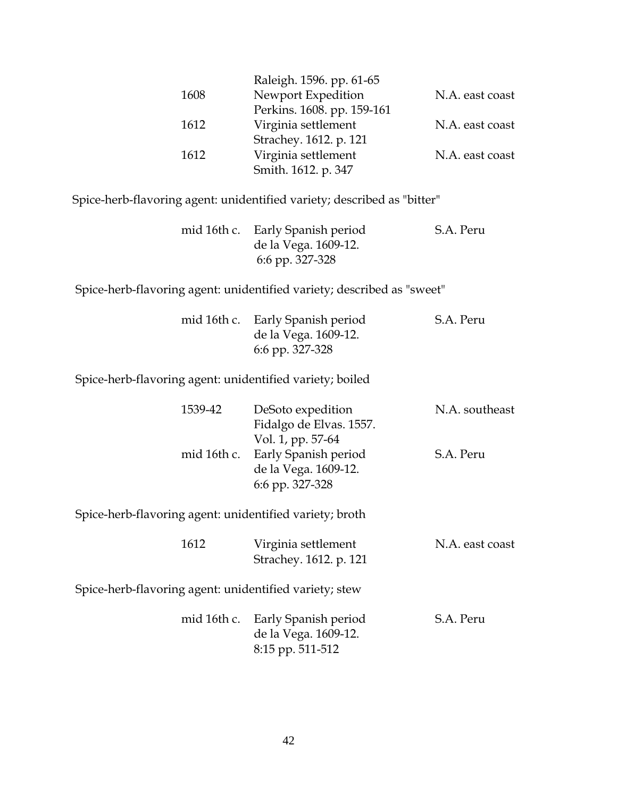|      | Raleigh. 1596. pp. 61-65   |                 |
|------|----------------------------|-----------------|
| 1608 | Newport Expedition         | N.A. east coast |
|      | Perkins. 1608. pp. 159-161 |                 |
| 1612 | Virginia settlement        | N.A. east coast |
|      | Strachey. 1612. p. 121     |                 |
| 1612 | Virginia settlement        | N.A. east coast |
|      | Smith. 1612. p. 347        |                 |

Spice-herb-flavoring agent: unidentified variety; described as "bitter"

|  | mid 16th c. Early Spanish period | S.A. Peru |
|--|----------------------------------|-----------|
|  | de la Vega. 1609-12.             |           |
|  | 6:6 pp. 327-328                  |           |

Spice-herb-flavoring agent: unidentified variety; described as "sweet"

|                                                          | mid 16th c. Early Spanish period<br>de la Vega. 1609-12.<br>6:6 pp. 327-328 | S.A. Peru       |
|----------------------------------------------------------|-----------------------------------------------------------------------------|-----------------|
| Spice-herb-flavoring agent: unidentified variety; boiled |                                                                             |                 |
| 1539-42                                                  | DeSoto expedition<br>Fidalgo de Elvas. 1557.<br>Vol. 1, pp. 57-64           | N.A. southeast  |
|                                                          | mid 16th c. Early Spanish period<br>de la Vega. 1609-12.<br>6:6 pp. 327-328 | S.A. Peru       |
| Spice-herb-flavoring agent: unidentified variety; broth  |                                                                             |                 |
| 1612                                                     | Virginia settlement<br>Strachey. 1612. p. 121                               | N.A. east coast |

Spice-herb-flavoring agent: unidentified variety; stew

|  | mid 16th c. Early Spanish period | S.A. Peru |
|--|----------------------------------|-----------|
|  | de la Vega. 1609-12.             |           |
|  | 8:15 pp. 511-512                 |           |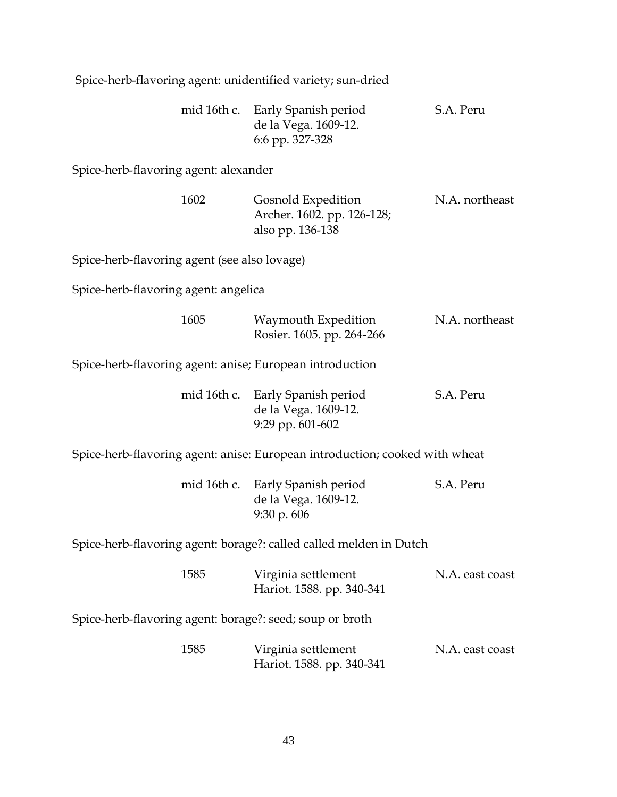Spice-herb-flavoring agent: unidentified variety; sun-dried

|  | mid 16th c. Early Spanish period | S.A. Peru |
|--|----------------------------------|-----------|
|  | de la Vega. 1609-12.             |           |
|  | 6:6 pp. 327-328                  |           |

Spice-herb-flavoring agent: alexander

| 1602 | Gosnold Expedition         | N.A. northeast |
|------|----------------------------|----------------|
|      | Archer. 1602. pp. 126-128; |                |
|      | also pp. 136-138           |                |

Spice-herb-flavoring agent (see also lovage)

Spice-herb-flavoring agent: angelica

| 1605 | Waymouth Expedition       | N.A. northeast |
|------|---------------------------|----------------|
|      | Rosier. 1605. pp. 264-266 |                |

Spice-herb-flavoring agent: anise; European introduction

| mid 16th c. Early Spanish period | S.A. Peru |
|----------------------------------|-----------|
| de la Vega. 1609-12.             |           |
| 9:29 pp. $601-602$               |           |

Spice-herb-flavoring agent: anise: European introduction; cooked with wheat

|  | mid 16th c. Early Spanish period | S.A. Peru |
|--|----------------------------------|-----------|
|  | de la Vega. 1609-12.             |           |
|  | $9:30 \text{ p. }606$            |           |

Spice-herb-flavoring agent: borage?: called called melden in Dutch

| 1585 | Virginia settlement       | N.A. east coast |
|------|---------------------------|-----------------|
|      | Hariot. 1588. pp. 340-341 |                 |

Spice-herb-flavoring agent: borage?: seed; soup or broth

| 1585 | Virginia settlement       | N.A. east coast |
|------|---------------------------|-----------------|
|      | Hariot. 1588. pp. 340-341 |                 |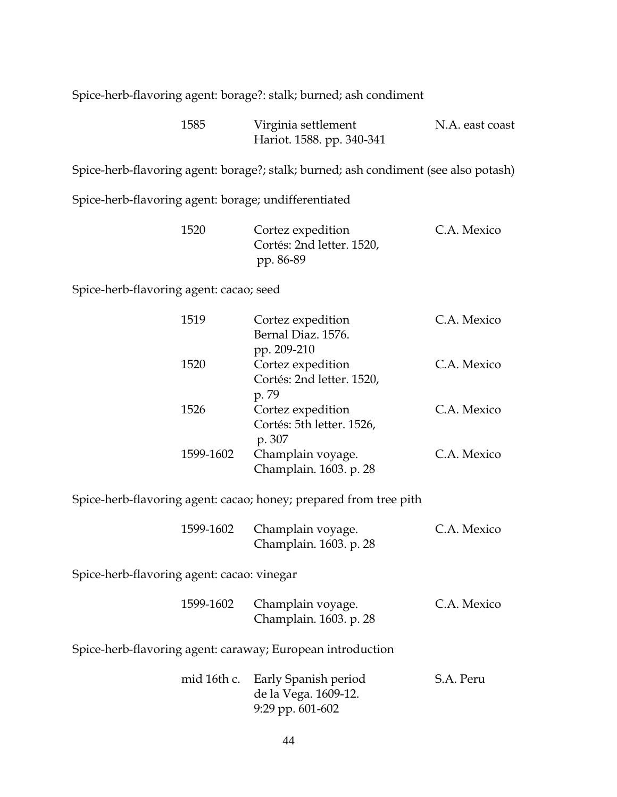Spice-herb-flavoring agent: borage?: stalk; burned; ash condiment

| 1585 | Virginia settlement       | N.A. east coast |
|------|---------------------------|-----------------|
|      | Hariot. 1588. pp. 340-341 |                 |

Spice-herb-flavoring agent: borage?; stalk; burned; ash condiment (see also potash)

Spice-herb-flavoring agent: borage; undifferentiated

| 1520 | Cortez expedition         | C.A. Mexico |
|------|---------------------------|-------------|
|      | Cortés: 2nd letter. 1520, |             |
|      | pp. 86-89                 |             |

Spice-herb-flavoring agent: cacao; seed

| 1519      | Cortez expedition<br>Bernal Diaz. 1576.                       | C.A. Mexico |
|-----------|---------------------------------------------------------------|-------------|
| 1520      | pp. 209-210<br>Cortez expedition<br>Cortés: 2nd letter. 1520, | C.A. Mexico |
| 1526      | p. 79<br>Cortez expedition<br>Cortés: 5th letter. 1526,       | C.A. Mexico |
| 1599-1602 | p. 307<br>Champlain voyage.<br>Champlain. 1603. p. 28         | C.A. Mexico |

Spice-herb-flavoring agent: cacao; honey; prepared from tree pith

| 1599-1602 Champlain voyage. | C.A. Mexico |
|-----------------------------|-------------|
| Champlain. 1603. p. 28      |             |

Spice-herb-flavoring agent: cacao: vinegar

| 1599-1602 Champlain voyage. | C.A. Mexico |
|-----------------------------|-------------|
| Champlain. 1603. p. 28      |             |

Spice-herb-flavoring agent: caraway; European introduction

|  | mid 16th c. Early Spanish period | S.A. Peru |
|--|----------------------------------|-----------|
|  | de la Vega. 1609-12.             |           |
|  | 9:29 pp. $601-602$               |           |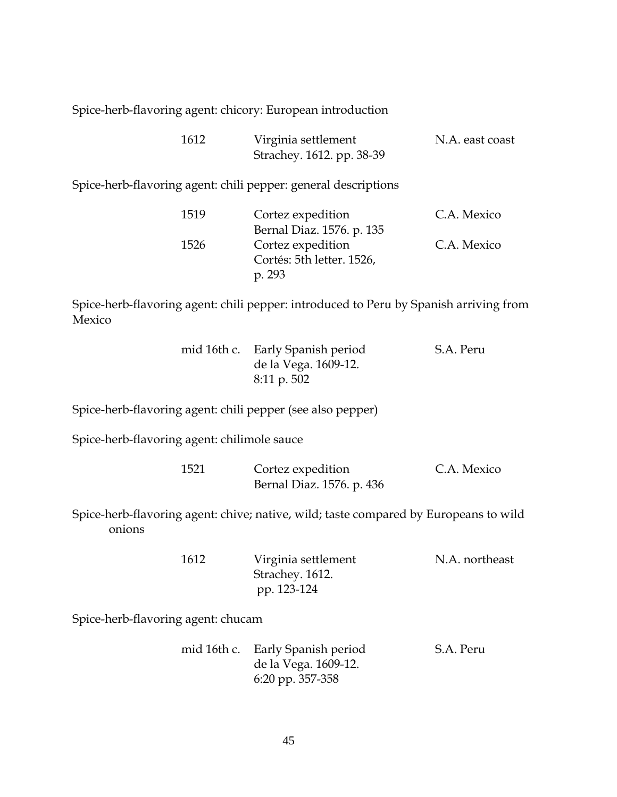Spice-herb-flavoring agent: chicory: European introduction

| 1612 | Virginia settlement       | N.A. east coast |
|------|---------------------------|-----------------|
|      | Strachey. 1612. pp. 38-39 |                 |

Spice-herb-flavoring agent: chili pepper: general descriptions

| 1519 | Cortez expedition         | C.A. Mexico |
|------|---------------------------|-------------|
|      | Bernal Diaz. 1576. p. 135 |             |
| 1526 | Cortez expedition         | C.A. Mexico |
|      | Cortés: 5th letter. 1526, |             |
|      | p. 293                    |             |

Spice-herb-flavoring agent: chili pepper: introduced to Peru by Spanish arriving from Mexico

|  | mid 16th c. Early Spanish period | S.A. Peru |
|--|----------------------------------|-----------|
|  | de la Vega. 1609-12.             |           |
|  | $8:11 \text{ p. }502$            |           |

Spice-herb-flavoring agent: chili pepper (see also pepper)

Spice-herb-flavoring agent: chilimole sauce

| 1521 | Cortez expedition         | C.A. Mexico |
|------|---------------------------|-------------|
|      | Bernal Diaz. 1576. p. 436 |             |

Spice-herb-flavoring agent: chive; native, wild; taste compared by Europeans to wild onions

| 1612 | Virginia settlement | N.A. northeast |
|------|---------------------|----------------|
|      | Strachey. 1612.     |                |
|      | pp. 123-124         |                |

Spice-herb-flavoring agent: chucam

|  | mid 16th c. Early Spanish period | S.A. Peru |
|--|----------------------------------|-----------|
|  | de la Vega. 1609-12.             |           |
|  | 6:20 pp. 357-358                 |           |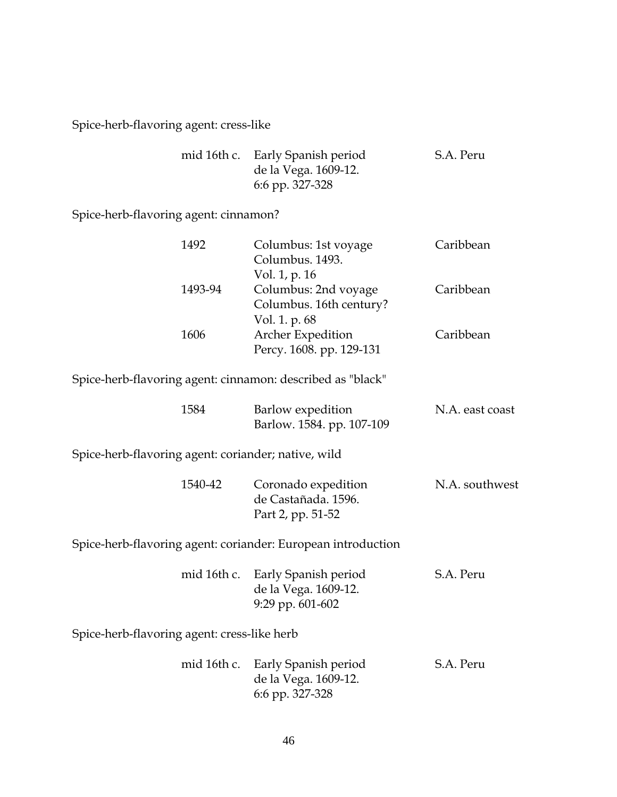Spice-herb-flavoring agent: cress-like

| mid 16th c. Early Spanish period | S.A. Peru |
|----------------------------------|-----------|
| de la Vega. 1609-12.             |           |
| 6:6 pp. 327-328                  |           |

Spice-herb-flavoring agent: cinnamon?

| 1492                                                         |             | Columbus: 1st voyage<br>Columbus. 1493.                               | Caribbean       |
|--------------------------------------------------------------|-------------|-----------------------------------------------------------------------|-----------------|
| 1493-94                                                      |             | Vol. 1, p. 16<br>Columbus: 2nd voyage<br>Columbus. 16th century?      | Caribbean       |
| 1606                                                         |             | Vol. 1. p. 68<br><b>Archer Expedition</b><br>Percy. 1608. pp. 129-131 | Caribbean       |
| Spice-herb-flavoring agent: cinnamon: described as "black"   |             |                                                                       |                 |
| 1584                                                         |             | Barlow expedition<br>Barlow. 1584. pp. 107-109                        | N.A. east coast |
| Spice-herb-flavoring agent: coriander; native, wild          |             |                                                                       |                 |
| 1540-42                                                      |             | Coronado expedition<br>de Castañada. 1596.<br>Part 2, pp. 51-52       | N.A. southwest  |
| Spice-herb-flavoring agent: coriander: European introduction |             |                                                                       |                 |
|                                                              | mid 16th c. | Early Spanish period<br>de la Vega. 1609-12.<br>9:29 pp. 601-602      | S.A. Peru       |
| Spice-herb-flavoring agent: cress-like herb                  |             |                                                                       |                 |
|                                                              | mid 16th c. | Early Spanish period<br>de la Vega. 1609-12.<br>6:6 pp. 327-328       | S.A. Peru       |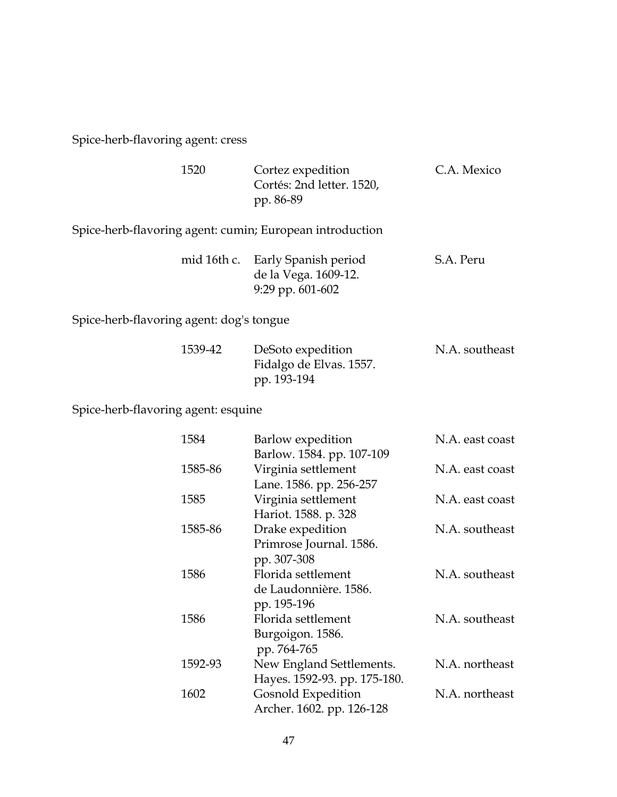Spice-herb-flavoring agent: cress

| 1520 | Cortez expedition         | C.A. Mexico |
|------|---------------------------|-------------|
|      | Cortés: 2nd letter. 1520, |             |
|      | pp. 86-89                 |             |

Spice-herb-flavoring agent: cumin; European introduction

|  | mid 16th c. Early Spanish period | S.A. Peru |
|--|----------------------------------|-----------|
|  | de la Vega. 1609-12.             |           |
|  | 9:29 pp. 601-602                 |           |

Spice-herb-flavoring agent: dog's tongue

| 1539-42 | DeSoto expedition       | N.A. southeast |
|---------|-------------------------|----------------|
|         | Fidalgo de Elvas. 1557. |                |
|         | pp. 193-194             |                |

Spice-herb-flavoring agent: esquine

| 1584    | Barlow expedition            | N.A. east coast |
|---------|------------------------------|-----------------|
|         | Barlow. 1584. pp. 107-109    |                 |
| 1585-86 | Virginia settlement          | N.A. east coast |
|         | Lane. 1586. pp. 256-257      |                 |
| 1585    | Virginia settlement          | N.A. east coast |
|         | Hariot. 1588. p. 328         |                 |
| 1585-86 | Drake expedition             | N.A. southeast  |
|         | Primrose Journal. 1586.      |                 |
|         | pp. 307-308                  |                 |
| 1586    | Florida settlement           | N.A. southeast  |
|         | de Laudonnière. 1586.        |                 |
|         | pp. 195-196                  |                 |
| 1586    | Florida settlement           | N.A. southeast  |
|         | Burgoigon. 1586.             |                 |
|         | pp. 764-765                  |                 |
| 1592-93 | New England Settlements.     | N.A. northeast  |
|         | Hayes. 1592-93. pp. 175-180. |                 |
| 1602    | Gosnold Expedition           | N.A. northeast  |
|         | Archer. 1602. pp. 126-128    |                 |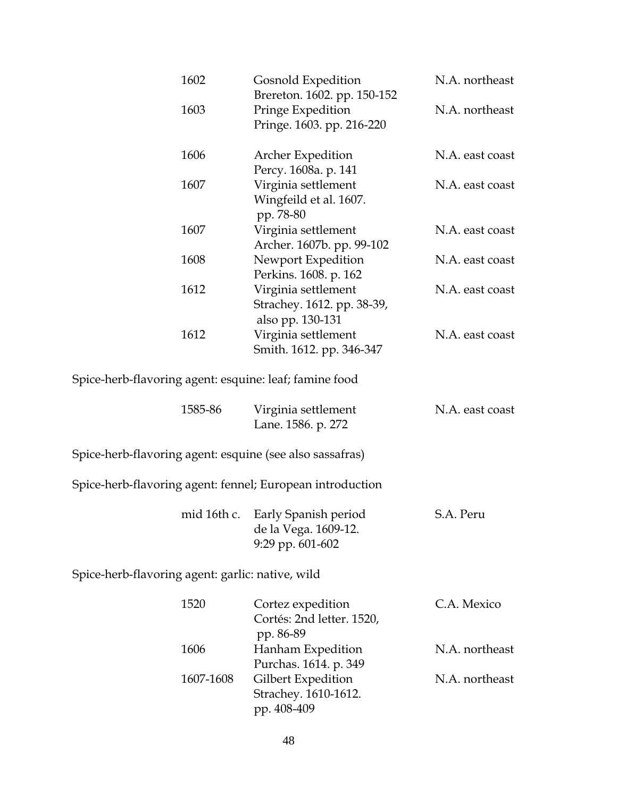| 1602                                                     | Gosnold Expedition<br>Brereton. 1602. pp. 150-152                     | N.A. northeast  |
|----------------------------------------------------------|-----------------------------------------------------------------------|-----------------|
| 1603                                                     | Pringe Expedition<br>Pringe. 1603. pp. 216-220                        | N.A. northeast  |
| 1606                                                     | <b>Archer Expedition</b><br>Percy. 1608a. p. 141                      | N.A. east coast |
| 1607                                                     | Virginia settlement<br>Wingfeild et al. 1607.<br>pp. 78-80            | N.A. east coast |
| 1607                                                     | Virginia settlement<br>Archer. 1607b. pp. 99-102                      | N.A. east coast |
| 1608                                                     | Newport Expedition<br>Perkins. 1608. p. 162                           | N.A. east coast |
| 1612                                                     | Virginia settlement<br>Strachey. 1612. pp. 38-39,<br>also pp. 130-131 | N.A. east coast |
| 1612                                                     | Virginia settlement<br>Smith. 1612. pp. 346-347                       | N.A. east coast |
| Spice-herb-flavoring agent: esquine: leaf; famine food   |                                                                       |                 |
| 1585-86                                                  | Virginia settlement<br>Lane. 1586. p. 272                             | N.A. east coast |
| Spice-herb-flavoring agent: esquine (see also sassafras) |                                                                       |                 |
|                                                          | Spice-herb-flavoring agent: fennel; European introduction             |                 |
| mid 16th c.                                              | Early Spanish period<br>de la Vega. 1609-12.<br>9:29 pp. 601-602      | S.A. Peru       |
| Spice-herb-flavoring agent: garlic: native, wild         |                                                                       |                 |
| 1520                                                     | Cortez expedition<br>Cortés: 2nd letter. 1520,<br>pp. 86-89           | C.A. Mexico     |
| 1606                                                     | Hanham Expedition<br>Purchas. 1614. p. 349                            | N.A. northeast  |
| 1607-1608                                                | Gilbert Expedition<br>Strachey. 1610-1612.<br>pp. 408-409             | N.A. northeast  |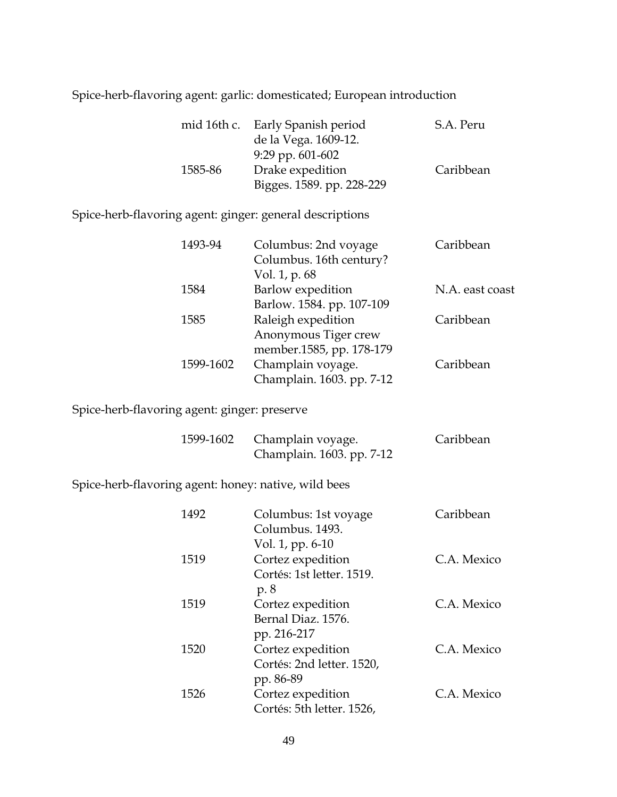Spice-herb-flavoring agent: garlic: domesticated; European introduction

|         | mid 16th c. Early Spanish period | S.A. Peru |
|---------|----------------------------------|-----------|
|         | de la Vega. 1609-12.             |           |
|         | $9:29$ pp. $601-602$             |           |
| 1585-86 | Drake expedition                 | Caribbean |
|         | Bigges. 1589. pp. 228-229        |           |

#### Spice-herb-flavoring agent: ginger: general descriptions

| 1493-94   | Columbus: 2nd voyage      | Caribbean       |
|-----------|---------------------------|-----------------|
|           | Columbus. 16th century?   |                 |
|           | Vol. 1, p. 68             |                 |
| 1584      | Barlow expedition         | N.A. east coast |
|           | Barlow. 1584. pp. 107-109 |                 |
| 1585      | Raleigh expedition        | Caribbean       |
|           | Anonymous Tiger crew      |                 |
|           | member.1585, pp. 178-179  |                 |
| 1599-1602 | Champlain voyage.         | Caribbean       |
|           | Champlain. 1603. pp. 7-12 |                 |
|           |                           |                 |

Spice-herb-flavoring agent: ginger: preserve

|  | 1599-1602 Champlain voyage. | Caribbean |
|--|-----------------------------|-----------|
|  | Champlain. 1603. pp. 7-12   |           |

Spice-herb-flavoring agent: honey: native, wild bees

| 1492 | Columbus: 1st voyage<br>Columbus, 1493.                            | Caribbean   |
|------|--------------------------------------------------------------------|-------------|
| 1519 | Vol. 1, pp. 6-10<br>Cortez expedition<br>Cortés: 1st letter. 1519. | C.A. Mexico |
| 1519 | p. 8<br>Cortez expedition<br>Bernal Diaz. 1576.                    | C.A. Mexico |
| 1520 | pp. 216-217<br>Cortez expedition<br>Cortés: 2nd letter. 1520,      | C.A. Mexico |
| 1526 | pp. 86-89<br>Cortez expedition<br>Cortés: 5th letter. 1526,        | C.A. Mexico |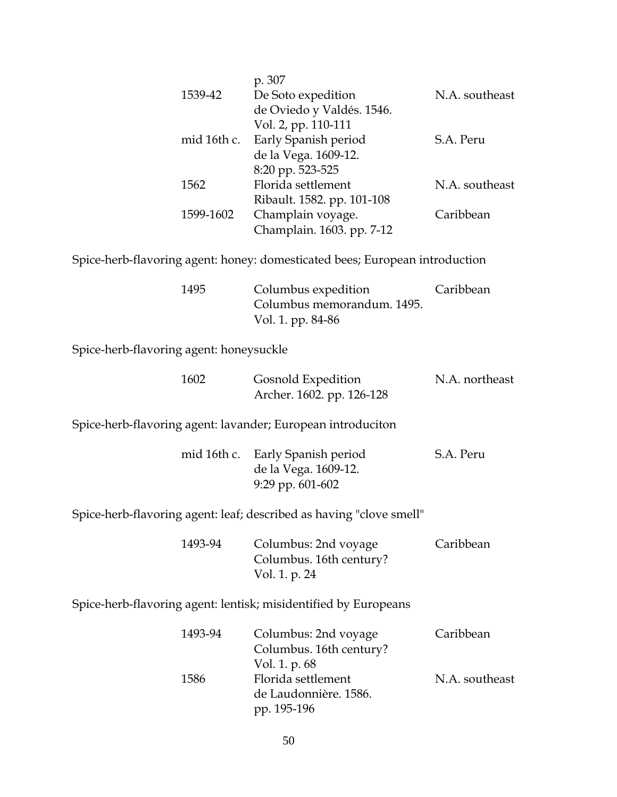|             | p. 307                     |                |
|-------------|----------------------------|----------------|
| 1539-42     | De Soto expedition         | N.A. southeast |
|             | de Oviedo y Valdés. 1546.  |                |
|             | Vol. 2, pp. 110-111        |                |
| mid 16th c. | Early Spanish period       | S.A. Peru      |
|             | de la Vega. 1609-12.       |                |
|             | 8:20 pp. 523-525           |                |
| 1562        | Florida settlement         | N.A. southeast |
|             | Ribault. 1582. pp. 101-108 |                |
| 1599-1602   | Champlain voyage.          | Caribbean      |
|             | Champlain. 1603. pp. 7-12  |                |
|             |                            |                |

Spice-herb-flavoring agent: honey: domesticated bees; European introduction

| 1495 | Columbus expedition        | Caribbean |
|------|----------------------------|-----------|
|      | Columbus memorandum. 1495. |           |
|      | Vol. 1. pp. 84-86          |           |

Spice-herb-flavoring agent: honeysuckle

| 1602 | Gosnold Expedition        | N.A. northeast |
|------|---------------------------|----------------|
|      | Archer. 1602. pp. 126-128 |                |

Spice-herb-flavoring agent: lavander; European introduciton

|  | mid 16th c. Early Spanish period | S.A. Peru |
|--|----------------------------------|-----------|
|  | de la Vega. 1609-12.             |           |
|  | 9:29 pp. $601-602$               |           |

Spice-herb-flavoring agent: leaf; described as having "clove smell"

| 1493-94 | Columbus: 2nd voyage    | Caribbean |
|---------|-------------------------|-----------|
|         | Columbus. 16th century? |           |
|         | Vol. 1. p. 24           |           |

Spice-herb-flavoring agent: lentisk; misidentified by Europeans

| 1493-94 | Columbus: 2nd voyage    | Caribbean      |
|---------|-------------------------|----------------|
|         | Columbus. 16th century? |                |
|         | Vol. 1. p. 68           |                |
| 1586    | Florida settlement      | N.A. southeast |
|         | de Laudonnière. 1586.   |                |
|         | pp. 195-196             |                |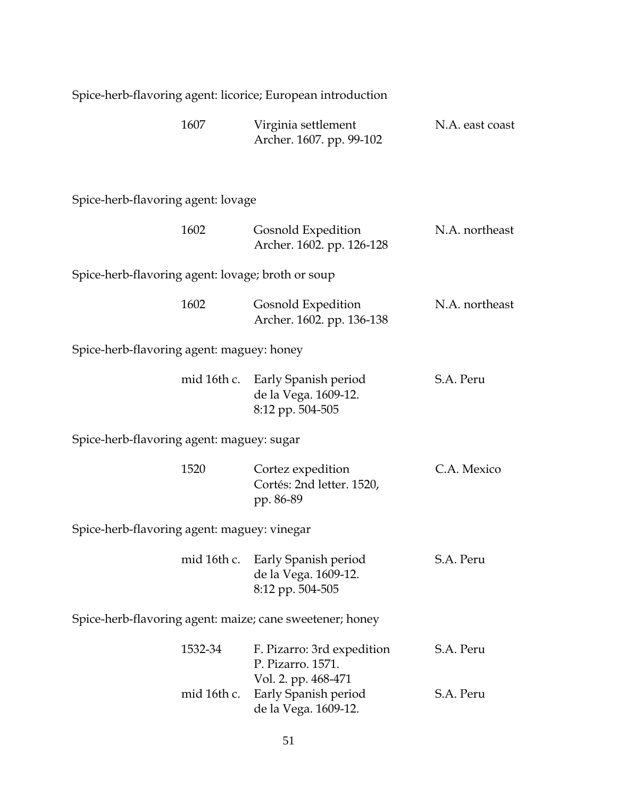| Spice-herb-flavoring agent: licorice; European introduction |                                                                              |                 |
|-------------------------------------------------------------|------------------------------------------------------------------------------|-----------------|
| 1607                                                        | Virginia settlement<br>Archer. 1607. pp. 99-102                              | N.A. east coast |
| Spice-herb-flavoring agent: lovage                          |                                                                              |                 |
| 1602                                                        | Gosnold Expedition<br>Archer. 1602. pp. 126-128                              | N.A. northeast  |
| Spice-herb-flavoring agent: lovage; broth or soup           |                                                                              |                 |
| 1602                                                        | Gosnold Expedition<br>Archer. 1602. pp. 136-138                              | N.A. northeast  |
| Spice-herb-flavoring agent: maguey: honey                   |                                                                              |                 |
|                                                             | mid 16th c. Early Spanish period<br>de la Vega. 1609-12.<br>8:12 pp. 504-505 | S.A. Peru       |
| Spice-herb-flavoring agent: maguey: sugar                   |                                                                              |                 |
| 1520                                                        | Cortez expedition<br>Cortés: 2nd letter. 1520,<br>pp. 86-89                  | C.A. Mexico     |
| Spice-herb-flavoring agent: maguey: vinegar                 |                                                                              |                 |
|                                                             | mid 16th c. Early Spanish period<br>de la Vega. 1609-12.<br>8:12 pp. 504-505 | S.A. Peru       |
| Spice-herb-flavoring agent: maize; cane sweetener; honey    |                                                                              |                 |
| 1532-34                                                     | F. Pizarro: 3rd expedition<br>P. Pizarro. 1571.<br>Vol. 2. pp. 468-471       | S.A. Peru       |
| mid 16th c.                                                 | Early Spanish period<br>de la Vega. 1609-12.                                 | S.A. Peru       |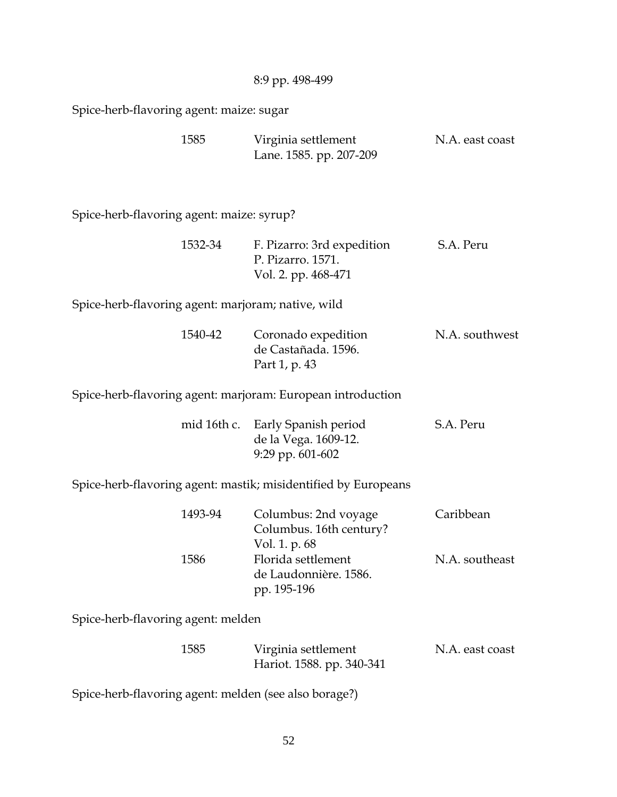8:9 pp. 498-499

Spice-herb-flavoring agent: maize: sugar

| 1585 | Virginia settlement | N.A. east coast         |  |
|------|---------------------|-------------------------|--|
|      |                     | Lane. 1585. pp. 207-209 |  |

Spice-herb-flavoring agent: maize: syrup?

| 1532-34 | F. Pizarro: 3rd expedition | S.A. Peru |
|---------|----------------------------|-----------|
|         | P. Pizarro. 1571.          |           |
|         | Vol. 2. pp. 468-471        |           |

Spice-herb-flavoring agent: marjoram; native, wild

| 1540-42 | Coronado expedition | N.A. southwest |
|---------|---------------------|----------------|
|         | de Castañada. 1596. |                |
|         | Part 1, p. 43       |                |

Spice-herb-flavoring agent: marjoram: European introduction

|  | mid 16th c. Early Spanish period | S.A. Peru |
|--|----------------------------------|-----------|
|  | de la Vega. 1609-12.             |           |
|  | 9:29 pp. $601-602$               |           |

Spice-herb-flavoring agent: mastik; misidentified by Europeans

| 1493-94 | Columbus: 2nd voyage    | Caribbean      |
|---------|-------------------------|----------------|
|         | Columbus. 16th century? |                |
|         | Vol. 1. p. 68           |                |
| 1586    | Florida settlement      | N.A. southeast |
|         | de Laudonnière. 1586.   |                |
|         | pp. 195-196             |                |

Spice-herb-flavoring agent: melden

| 1585 | Virginia settlement | N.A. east coast           |  |
|------|---------------------|---------------------------|--|
|      |                     | Hariot. 1588. pp. 340-341 |  |

Spice-herb-flavoring agent: melden (see also borage?)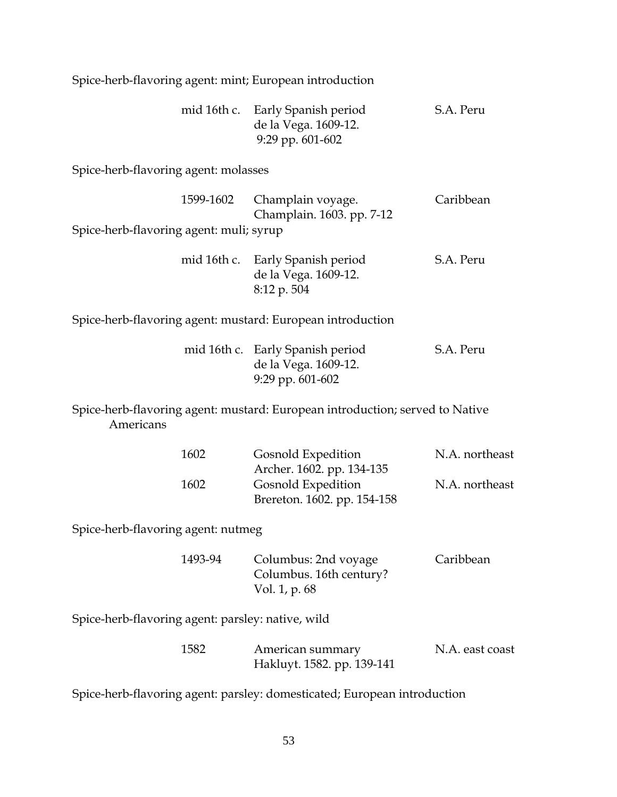Spice-herb-flavoring agent: mint; European introduction

|  | mid 16th c. Early Spanish period | S.A. Peru |
|--|----------------------------------|-----------|
|  | de la Vega. 1609-12.             |           |
|  | 9:29 pp. $601-602$               |           |

Spice-herb-flavoring agent: molasses

|                                         | 1599-1602 Champlain voyage. | Caribbean |
|-----------------------------------------|-----------------------------|-----------|
|                                         | Champlain. 1603. pp. 7-12   |           |
| Spice-herb-flavoring agent: muli; syrup |                             |           |
|                                         |                             |           |

|  | mid 16th c. Early Spanish period | S.A. Peru |
|--|----------------------------------|-----------|
|  | de la Vega. 1609-12.             |           |
|  | $8:12 \text{ p. }504$            |           |

Spice-herb-flavoring agent: mustard: European introduction

|  | mid 16th c. Early Spanish period | S.A. Peru |
|--|----------------------------------|-----------|
|  | de la Vega. 1609-12.             |           |
|  | 9:29 pp. $601-602$               |           |

Spice-herb-flavoring agent: mustard: European introduction; served to Native Americans

| 1602 | Gosnold Expedition          | N.A. northeast |
|------|-----------------------------|----------------|
|      | Archer. 1602. pp. 134-135   |                |
| 1602 | Gosnold Expedition          | N.A. northeast |
|      | Brereton. 1602. pp. 154-158 |                |

Spice-herb-flavoring agent: nutmeg

| 1493-94 | Columbus: 2nd voyage    | Caribbean |
|---------|-------------------------|-----------|
|         | Columbus. 16th century? |           |
|         | Vol. 1, p. 68           |           |

Spice-herb-flavoring agent: parsley: native, wild

| 1582 | American summary           | N.A. east coast |
|------|----------------------------|-----------------|
|      | Hakluyt. 1582. pp. 139-141 |                 |

Spice-herb-flavoring agent: parsley: domesticated; European introduction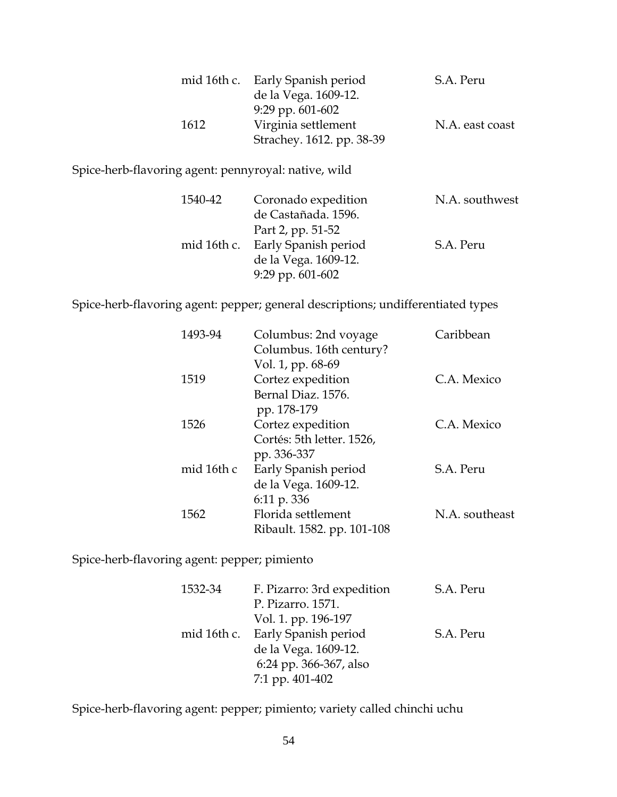|      | mid 16th c. Early Spanish period | S.A. Peru       |
|------|----------------------------------|-----------------|
|      | de la Vega. 1609-12.             |                 |
|      | 9:29 pp. $601-602$               |                 |
| 1612 | Virginia settlement              | N.A. east coast |
|      | Strachey. 1612. pp. 38-39        |                 |

Spice-herb-flavoring agent: pennyroyal: native, wild

| 1540-42 | Coronado expedition              | N.A. southwest |
|---------|----------------------------------|----------------|
|         | de Castañada. 1596.              |                |
|         | Part 2, pp. 51-52                |                |
|         | mid 16th c. Early Spanish period | S.A. Peru      |
|         | de la Vega. 1609-12.             |                |
|         | $9:29$ pp. $601-602$             |                |

Spice-herb-flavoring agent: pepper; general descriptions; undifferentiated types

| 1493-94    | Columbus: 2nd voyage       | Caribbean      |
|------------|----------------------------|----------------|
|            | Columbus. 16th century?    |                |
|            | Vol. 1, pp. 68-69          |                |
| 1519       | Cortez expedition          | C.A. Mexico    |
|            | Bernal Diaz. 1576.         |                |
|            | pp. 178-179                |                |
| 1526       | Cortez expedition          | C.A. Mexico    |
|            | Cortés: 5th letter. 1526,  |                |
|            | pp. 336-337                |                |
| mid 16th c | Early Spanish period       | S.A. Peru      |
|            | de la Vega. 1609-12.       |                |
|            | 6:11 p. 336                |                |
| 1562       | Florida settlement         | N.A. southeast |
|            | Ribault. 1582. pp. 101-108 |                |
|            |                            |                |

Spice-herb-flavoring agent: pepper; pimiento

| 1532-34 | F. Pizarro: 3rd expedition       | S.A. Peru |
|---------|----------------------------------|-----------|
|         | P. Pizarro. 1571.                |           |
|         | Vol. 1. pp. 196-197              |           |
|         | mid 16th c. Early Spanish period | S.A. Peru |
|         | de la Vega. 1609-12.             |           |
|         | 6:24 pp. 366-367, also           |           |
|         | 7:1 pp. 401-402                  |           |

Spice-herb-flavoring agent: pepper; pimiento; variety called chinchi uchu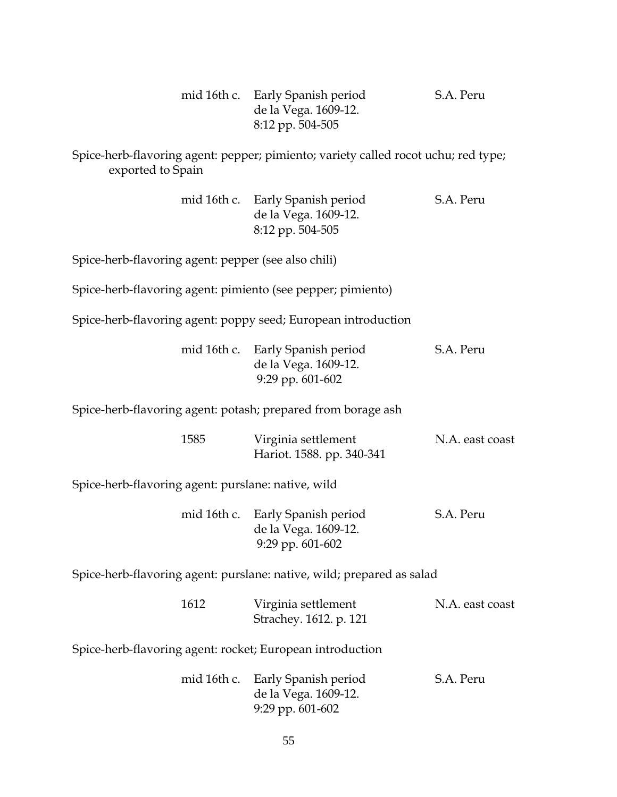|  | mid 16th c. Early Spanish period | S.A. Peru |
|--|----------------------------------|-----------|
|  | de la Vega. 1609-12.             |           |
|  | 8:12 pp. 504-505                 |           |

Spice-herb-flavoring agent: pepper; pimiento; variety called rocot uchu; red type; exported to Spain

|  | mid 16th c. Early Spanish period | S.A. Peru |
|--|----------------------------------|-----------|
|  | de la Vega. 1609-12.             |           |
|  | 8:12 pp. 504-505                 |           |

Spice-herb-flavoring agent: pepper (see also chili)

Spice-herb-flavoring agent: pimiento (see pepper; pimiento)

Spice-herb-flavoring agent: poppy seed; European introduction

| mid 16th c. Early Spanish period | S.A. Peru |
|----------------------------------|-----------|
| de la Vega. 1609-12.             |           |
| 9:29 pp. $601-602$               |           |

Spice-herb-flavoring agent: potash; prepared from borage ash

| 1585 | Virginia settlement       | N.A. east coast |
|------|---------------------------|-----------------|
|      | Hariot. 1588. pp. 340-341 |                 |

Spice-herb-flavoring agent: purslane: native, wild

|  | mid 16th c. Early Spanish period | S.A. Peru |
|--|----------------------------------|-----------|
|  | de la Vega. 1609-12.             |           |
|  | 9:29 pp. $601-602$               |           |

Spice-herb-flavoring agent: purslane: native, wild; prepared as salad

| 1612 | Virginia settlement    | N.A. east coast |
|------|------------------------|-----------------|
|      | Strachey. 1612. p. 121 |                 |

Spice-herb-flavoring agent: rocket; European introduction

| mid 16th c. Early Spanish period | S.A. Peru |
|----------------------------------|-----------|
| de la Vega. 1609-12.             |           |
| 9:29 pp. $601-602$               |           |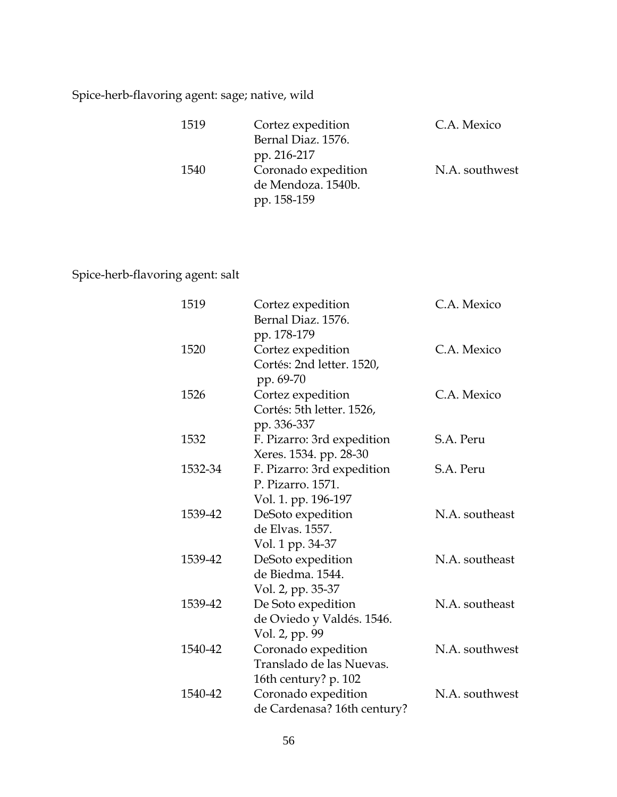## Spice-herb-flavoring agent: sage; native, wild

| 1519 | Cortez expedition   | C.A. Mexico    |
|------|---------------------|----------------|
|      | Bernal Diaz. 1576.  |                |
|      | pp. 216-217         |                |
| 1540 | Coronado expedition | N.A. southwest |
|      | de Mendoza. 1540b.  |                |
|      | pp. 158-159         |                |

## Spice-herb-flavoring agent: salt

| 1519    | Cortez expedition<br>Bernal Diaz. 1576.                                        | C.A. Mexico    |
|---------|--------------------------------------------------------------------------------|----------------|
| 1520    | pp. 178-179<br>Cortez expedition<br>Cortés: 2nd letter. 1520,                  | C.A. Mexico    |
|         | pp. 69-70                                                                      |                |
| 1526    | Cortez expedition<br>Cortés: 5th letter. 1526,<br>pp. 336-337                  | C.A. Mexico    |
| 1532    | F. Pizarro: 3rd expedition<br>Xeres. 1534. pp. 28-30                           | S.A. Peru      |
| 1532-34 | F. Pizarro: 3rd expedition<br>P. Pizarro. 1571.                                | S.A. Peru      |
| 1539-42 | Vol. 1. pp. 196-197<br>DeSoto expedition<br>de Elvas. 1557.                    | N.A. southeast |
| 1539-42 | Vol. 1 pp. 34-37<br>DeSoto expedition<br>de Biedma. 1544.<br>Vol. 2, pp. 35-37 | N.A. southeast |
| 1539-42 | De Soto expedition<br>de Oviedo y Valdés. 1546.<br>Vol. 2, pp. 99              | N.A. southeast |
| 1540-42 | Coronado expedition<br>Translado de las Nuevas.                                | N.A. southwest |
| 1540-42 | 16th century? p. 102<br>Coronado expedition<br>de Cardenasa? 16th century?     | N.A. southwest |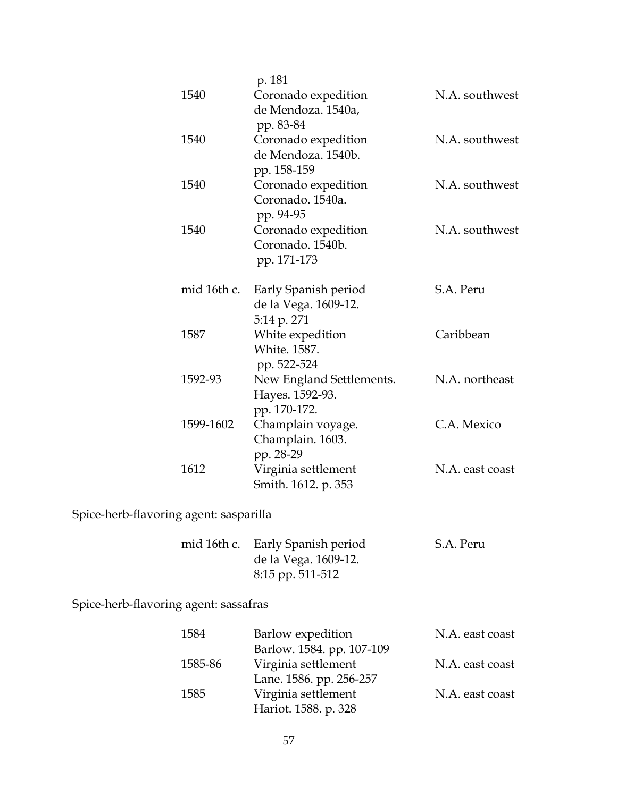|                                                                     | 1540        | p. 181<br>Coronado expedition<br>de Mendoza. 1540a,                   | N.A. southwest  |
|---------------------------------------------------------------------|-------------|-----------------------------------------------------------------------|-----------------|
|                                                                     | 1540        | pp. 83-84<br>Coronado expedition<br>de Mendoza, 1540b.<br>pp. 158-159 | N.A. southwest  |
|                                                                     | 1540        | Coronado expedition<br>Coronado. 1540a.<br>pp. 94-95                  | N.A. southwest  |
|                                                                     | 1540        | Coronado expedition<br>Coronado. 1540b.<br>pp. 171-173                | N.A. southwest  |
|                                                                     | mid 16th c. | Early Spanish period<br>de la Vega. 1609-12.<br>5:14 p. 271           | S.A. Peru       |
|                                                                     | 1587        | White expedition<br>White. 1587.<br>pp. 522-524                       | Caribbean       |
|                                                                     | 1592-93     | New England Settlements.<br>Hayes. 1592-93.<br>pp. 170-172.           | N.A. northeast  |
|                                                                     | 1599-1602   | Champlain voyage.<br>Champlain. 1603.<br>pp. 28-29                    | C.A. Mexico     |
|                                                                     | 1612        | Virginia settlement<br>Smith. 1612. p. 353                            | N.A. east coast |
| $\mathsf{C}_{\mathsf{miso}}$ bound flower against second illegation |             |                                                                       |                 |

# Spice-herb-flavoring agent: sasparilla

|  | mid 16th c. Early Spanish period | S.A. Peru |
|--|----------------------------------|-----------|
|  | de la Vega. 1609-12.             |           |
|  | 8:15 pp. 511-512                 |           |

Spice-herb-flavoring agent: sassafras

| 1584    | Barlow expedition         | N.A. east coast |
|---------|---------------------------|-----------------|
|         | Barlow. 1584. pp. 107-109 |                 |
| 1585-86 | Virginia settlement       | N.A. east coast |
|         | Lane. 1586. pp. 256-257   |                 |
| 1585    | Virginia settlement       | N.A. east coast |
|         | Hariot. 1588. p. 328      |                 |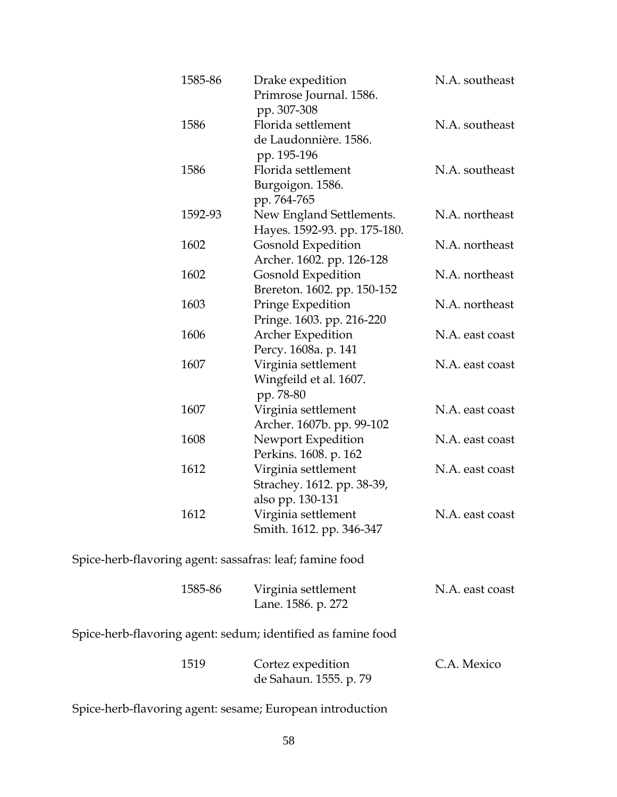| 1585-86 | Drake expedition<br>Primrose Journal. 1586.<br>pp. 307-308            | N.A. southeast  |
|---------|-----------------------------------------------------------------------|-----------------|
| 1586    | Florida settlement<br>de Laudonnière. 1586.<br>pp. 195-196            | N.A. southeast  |
| 1586    | Florida settlement<br>Burgoigon. 1586.<br>pp. 764-765                 | N.A. southeast  |
| 1592-93 | New England Settlements.<br>Hayes. 1592-93. pp. 175-180.              | N.A. northeast  |
| 1602    | <b>Gosnold Expedition</b><br>Archer. 1602. pp. 126-128                | N.A. northeast  |
| 1602    | <b>Gosnold Expedition</b><br>Brereton. 1602. pp. 150-152              | N.A. northeast  |
| 1603    | Pringe Expedition<br>Pringe. 1603. pp. 216-220                        | N.A. northeast  |
| 1606    | Archer Expedition<br>Percy. 1608a. p. 141                             | N.A. east coast |
| 1607    | Virginia settlement<br>Wingfeild et al. 1607.<br>pp. 78-80            | N.A. east coast |
| 1607    | Virginia settlement<br>Archer. 1607b. pp. 99-102                      | N.A. east coast |
| 1608    | Newport Expedition<br>Perkins. 1608. p. 162                           | N.A. east coast |
| 1612    | Virginia settlement<br>Strachey. 1612. pp. 38-39,<br>also pp. 130-131 | N.A. east coast |
| 1612    | Virginia settlement<br>Smith. 1612. pp. 346-347                       | N.A. east coast |

Spice-herb-flavoring agent: sassafras: leaf; famine food

| 1585-86 | Virginia settlement | N.A. east coast |
|---------|---------------------|-----------------|
|         | Lane. 1586. p. 272  |                 |

Spice-herb-flavoring agent: sedum; identified as famine food

| 1519 | Cortez expedition      | C.A. Mexico |
|------|------------------------|-------------|
|      | de Sahaun. 1555. p. 79 |             |

Spice-herb-flavoring agent: sesame; European introduction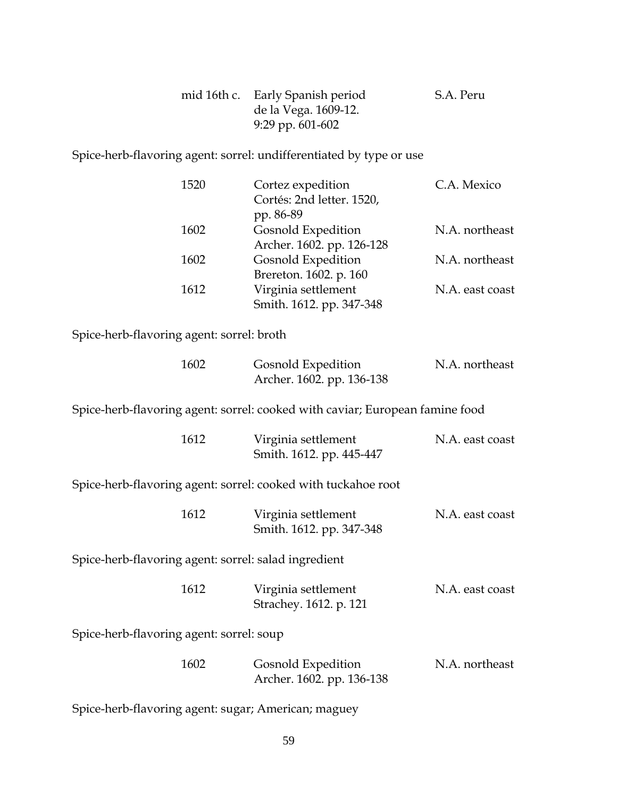| mid 16th c. Early Spanish period | S.A. Peru |
|----------------------------------|-----------|
| de la Vega. 1609-12.             |           |
| 9:29 pp. $601-602$               |           |

Spice-herb-flavoring agent: sorrel: undifferentiated by type or use

| 1520 | Cortez expedition         | C.A. Mexico     |
|------|---------------------------|-----------------|
|      | Cortés: 2nd letter. 1520, |                 |
|      | pp. 86-89                 |                 |
| 1602 | Gosnold Expedition        | N.A. northeast  |
|      | Archer. 1602. pp. 126-128 |                 |
| 1602 | Gosnold Expedition        | N.A. northeast  |
|      | Brereton. 1602. p. 160    |                 |
| 1612 | Virginia settlement       | N.A. east coast |
|      | Smith. 1612. pp. 347-348  |                 |

Spice-herb-flavoring agent: sorrel: broth

| 1602 | Gosnold Expedition        | N.A. northeast |
|------|---------------------------|----------------|
|      | Archer. 1602. pp. 136-138 |                |

Spice-herb-flavoring agent: sorrel: cooked with caviar; European famine food

| 1612 | Virginia settlement      | N.A. east coast |
|------|--------------------------|-----------------|
|      | Smith. 1612. pp. 445-447 |                 |

Spice-herb-flavoring agent: sorrel: cooked with tuckahoe root

| 1612 | Virginia settlement      | N.A. east coast |
|------|--------------------------|-----------------|
|      | Smith. 1612. pp. 347-348 |                 |

Spice-herb-flavoring agent: sorrel: salad ingredient

| 1612 | Virginia settlement    | N.A. east coast |
|------|------------------------|-----------------|
|      | Strachey. 1612. p. 121 |                 |

Spice-herb-flavoring agent: sorrel: soup

| 1602 | Gosnold Expedition        | N.A. northeast |
|------|---------------------------|----------------|
|      | Archer. 1602. pp. 136-138 |                |

Spice-herb-flavoring agent: sugar; American; maguey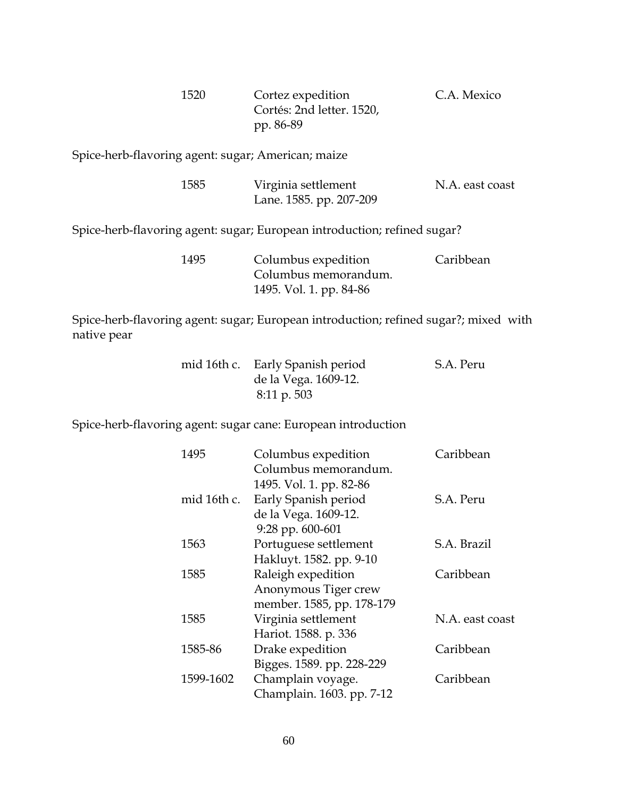| 1520 | Cortez expedition         | C.A. Mexico |
|------|---------------------------|-------------|
|      | Cortés: 2nd letter. 1520, |             |
|      | pp. 86-89                 |             |

Spice-herb-flavoring agent: sugar; American; maize

| 1585 | Virginia settlement | N.A. east coast         |  |
|------|---------------------|-------------------------|--|
|      |                     | Lane. 1585. pp. 207-209 |  |

Spice-herb-flavoring agent: sugar; European introduction; refined sugar?

| 1495 | Columbus expedition     | Caribbean |
|------|-------------------------|-----------|
|      | Columbus memorandum.    |           |
|      | 1495. Vol. 1. pp. 84-86 |           |

Spice-herb-flavoring agent: sugar; European introduction; refined sugar?; mixed with native pear

|  | mid 16th c. Early Spanish period | S.A. Peru |
|--|----------------------------------|-----------|
|  | de la Vega. 1609-12.             |           |
|  | $8:11 \text{ p. }503$            |           |

Spice-herb-flavoring agent: sugar cane: European introduction

| 1495        | Columbus expedition       | Caribbean       |
|-------------|---------------------------|-----------------|
|             | Columbus memorandum.      |                 |
|             | 1495. Vol. 1. pp. 82-86   |                 |
| mid 16th c. | Early Spanish period      | S.A. Peru       |
|             | de la Vega. 1609-12.      |                 |
|             | 9:28 pp. 600-601          |                 |
| 1563        | Portuguese settlement     | S.A. Brazil     |
|             | Hakluyt. 1582. pp. 9-10   |                 |
| 1585        | Raleigh expedition        | Caribbean       |
|             | Anonymous Tiger crew      |                 |
|             | member. 1585, pp. 178-179 |                 |
| 1585        | Virginia settlement       | N.A. east coast |
|             | Hariot. 1588. p. 336      |                 |
| 1585-86     | Drake expedition          | Caribbean       |
|             | Bigges. 1589. pp. 228-229 |                 |
| 1599-1602   | Champlain voyage.         | Caribbean       |
|             | Champlain. 1603. pp. 7-12 |                 |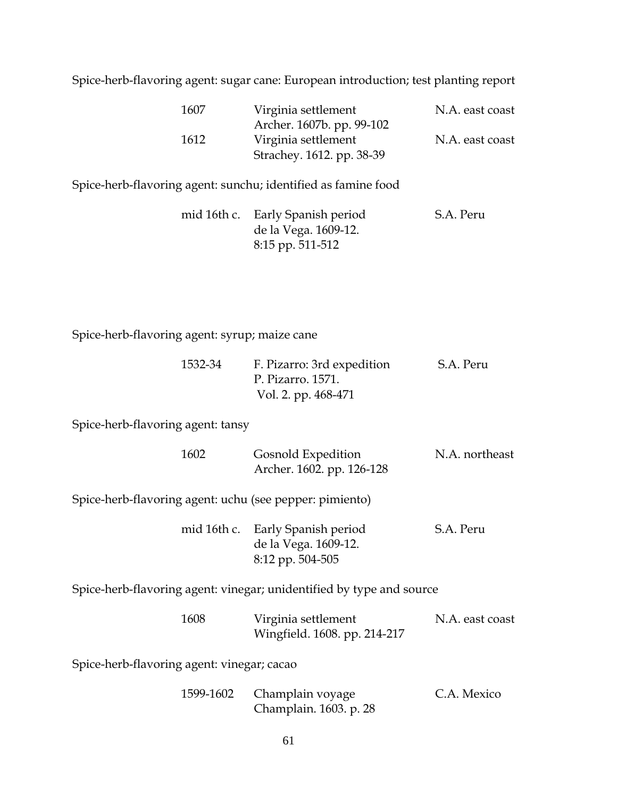Spice-herb-flavoring agent: sugar cane: European introduction; test planting report

| 1607 | Virginia settlement       | N.A. east coast |
|------|---------------------------|-----------------|
|      | Archer. 1607b. pp. 99-102 |                 |
| 1612 | Virginia settlement       | N.A. east coast |
|      | Strachey. 1612. pp. 38-39 |                 |

Spice-herb-flavoring agent: sunchu; identified as famine food

|  | mid 16th c. Early Spanish period | S.A. Peru |
|--|----------------------------------|-----------|
|  | de la Vega. 1609-12.             |           |
|  | 8:15 pp. 511-512                 |           |

Spice-herb-flavoring agent: syrup; maize cane

| 1532-34 | F. Pizarro: 3rd expedition | S.A. Peru |
|---------|----------------------------|-----------|
|         | P. Pizarro. 1571.          |           |
|         | Vol. 2. pp. 468-471        |           |

Spice-herb-flavoring agent: tansy

| 1602 | Gosnold Expedition        | N.A. northeast |
|------|---------------------------|----------------|
|      | Archer. 1602. pp. 126-128 |                |
|      |                           |                |

Spice-herb-flavoring agent: uchu (see pepper: pimiento)

| mid 16th c. Early Spanish period | S.A. Peru |
|----------------------------------|-----------|
| de la Vega. 1609-12.             |           |
| 8:12 pp. 504-505                 |           |

Spice-herb-flavoring agent: vinegar; unidentified by type and source

| 1608 | Virginia settlement          | N.A. east coast |
|------|------------------------------|-----------------|
|      | Wingfield. 1608. pp. 214-217 |                 |

Spice-herb-flavoring agent: vinegar; cacao

| 1599-1602 Champlain voyage | C.A. Mexico |
|----------------------------|-------------|
| Champlain. 1603. p. 28     |             |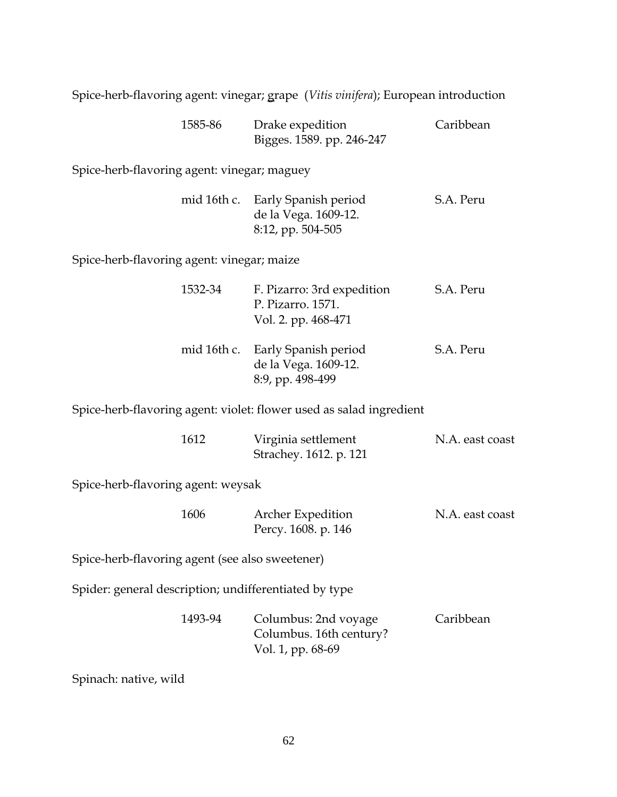Spice-herb-flavoring agent: vinegar; grape (*Vitis vinifera*); European introduction

| 1585-86 | Drake expedition          | Caribbean |
|---------|---------------------------|-----------|
|         | Bigges. 1589. pp. 246-247 |           |

Spice-herb-flavoring agent: vinegar; maguey

|  | mid 16th c. Early Spanish period | S.A. Peru |
|--|----------------------------------|-----------|
|  | de la Vega. 1609-12.             |           |
|  | 8:12, pp. 504-505                |           |

Spice-herb-flavoring agent: vinegar; maize

| 1532-34 | F. Pizarro: 3rd expedition<br>P. Pizarro. 1571.<br>Vol. 2. pp. 468-471       | S.A. Peru |
|---------|------------------------------------------------------------------------------|-----------|
|         | mid 16th c. Early Spanish period<br>de la Vega. 1609-12.<br>8:9, pp. 498-499 | S.A. Peru |

Spice-herb-flavoring agent: violet: flower used as salad ingredient

| 1612 | Virginia settlement    | N.A. east coast |
|------|------------------------|-----------------|
|      | Strachey. 1612. p. 121 |                 |

Spice-herb-flavoring agent: weysak

| 1606 | <b>Archer Expedition</b> | N.A. east coast |
|------|--------------------------|-----------------|
|      | Percy. 1608. p. 146      |                 |

Spice-herb-flavoring agent (see also sweetener)

Spider: general description; undifferentiated by type

| 1493-94 | Columbus: 2nd voyage    | Caribbean |
|---------|-------------------------|-----------|
|         | Columbus. 16th century? |           |
|         | Vol. 1, pp. 68-69       |           |

Spinach: native, wild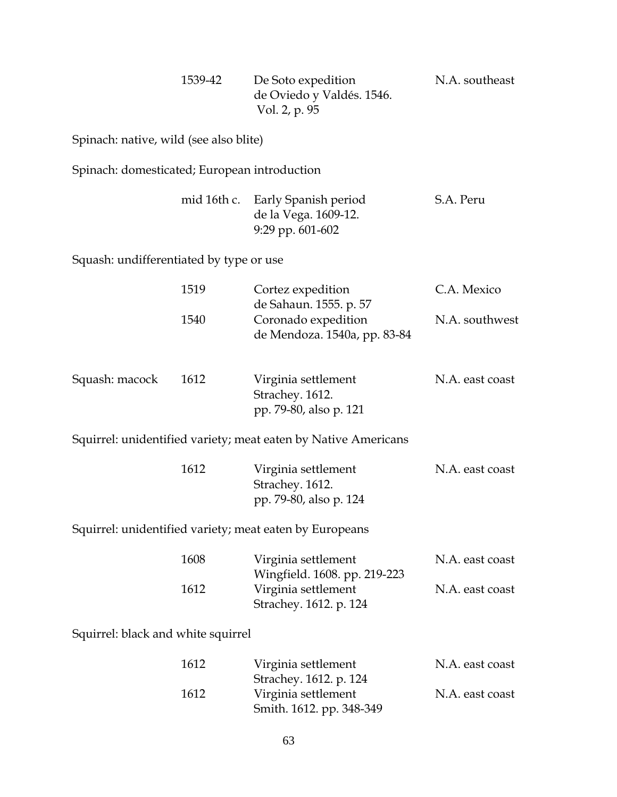| 1539-42 | De Soto expedition        | N.A. southeast |
|---------|---------------------------|----------------|
|         | de Oviedo y Valdés. 1546. |                |
|         | Vol. 2, p. 95             |                |

Spinach: native, wild (see also blite)

Spinach: domesticated; European introduction

|  | mid 16th c. Early Spanish period | S.A. Peru |
|--|----------------------------------|-----------|
|  | de la Vega. 1609-12.             |           |
|  | 9:29 pp. $601-602$               |           |

Squash: undifferentiated by type or use

|                                    | 1519 | Cortez expedition<br>de Sahaun. 1555. p. 57                      | C.A. Mexico     |
|------------------------------------|------|------------------------------------------------------------------|-----------------|
|                                    | 1540 | Coronado expedition<br>de Mendoza. 1540a, pp. 83-84              | N.A. southwest  |
| Squash: macock                     | 1612 | Virginia settlement<br>Strachey. 1612.<br>pp. 79-80, also p. 121 | N.A. east coast |
|                                    |      | Squirrel: unidentified variety; meat eaten by Native Americans   |                 |
|                                    | 1612 | Virginia settlement<br>Strachey. 1612.<br>pp. 79-80, also p. 124 | N.A. east coast |
|                                    |      | Squirrel: unidentified variety; meat eaten by Europeans          |                 |
|                                    | 1608 | Virginia settlement<br>Wingfield. 1608. pp. 219-223              | N.A. east coast |
|                                    | 1612 | Virginia settlement<br>Strachey. 1612. p. 124                    | N.A. east coast |
| Squirrel: black and white squirrel |      |                                                                  |                 |
|                                    | 1612 | Virginia settlement<br>Strachey. 1612. p. 124                    | N.A. east coast |
|                                    | 1612 | Virginia settlement                                              | N.A. east coast |

Smith. 1612. pp. 348-349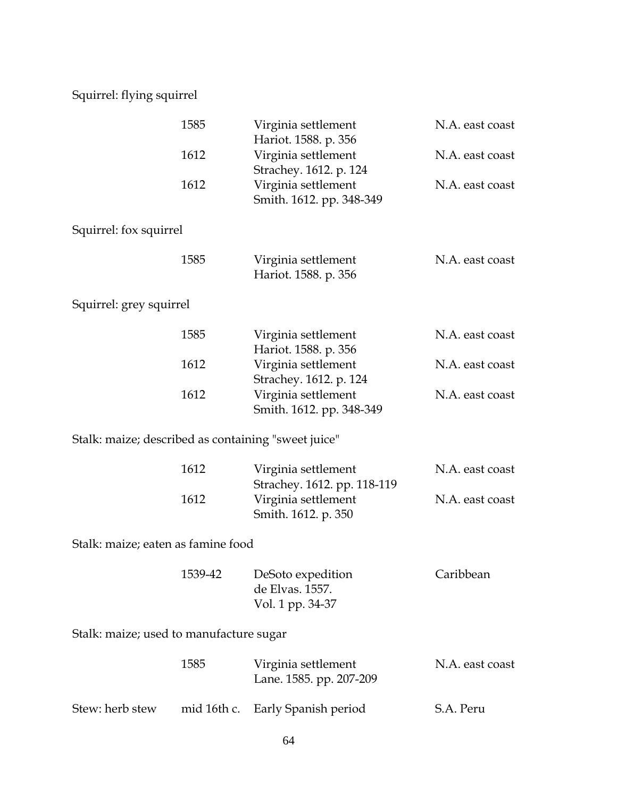# Squirrel: flying squirrel

|                                                     | 1585        | Virginia settlement<br>Hariot. 1588. p. 356                               | N.A. east coast |
|-----------------------------------------------------|-------------|---------------------------------------------------------------------------|-----------------|
|                                                     | 1612        | Virginia settlement<br>Strachey. 1612. p. 124                             | N.A. east coast |
|                                                     | 1612        | Virginia settlement<br>Smith. 1612. pp. 348-349                           | N.A. east coast |
| Squirrel: fox squirrel                              |             |                                                                           |                 |
|                                                     | 1585        | Virginia settlement<br>Hariot. 1588. p. 356                               | N.A. east coast |
| Squirrel: grey squirrel                             |             |                                                                           |                 |
|                                                     | 1585        | Virginia settlement<br>Hariot. 1588. p. 356                               | N.A. east coast |
|                                                     | 1612        | Virginia settlement<br>Strachey. 1612. p. 124                             | N.A. east coast |
|                                                     | 1612        | Virginia settlement<br>Smith. 1612. pp. 348-349                           | N.A. east coast |
| Stalk: maize; described as containing "sweet juice" |             |                                                                           |                 |
|                                                     | 1612        | Virginia settlement                                                       | N.A. east coast |
|                                                     | 1612        | Strachey. 1612. pp. 118-119<br>Virginia settlement<br>Smith. 1612. p. 350 | N.A. east coast |
| Stalk: maize; eaten as famine food                  |             |                                                                           |                 |
|                                                     | 1539-42     | DeSoto expedition<br>de Elvas. 1557.<br>Vol. 1 pp. 34-37                  | Caribbean       |
| Stalk: maize; used to manufacture sugar             |             |                                                                           |                 |
|                                                     | 1585        | Virginia settlement<br>Lane. 1585. pp. 207-209                            | N.A. east coast |
| Stew: herb stew                                     | mid 16th c. | Early Spanish period                                                      | S.A. Peru       |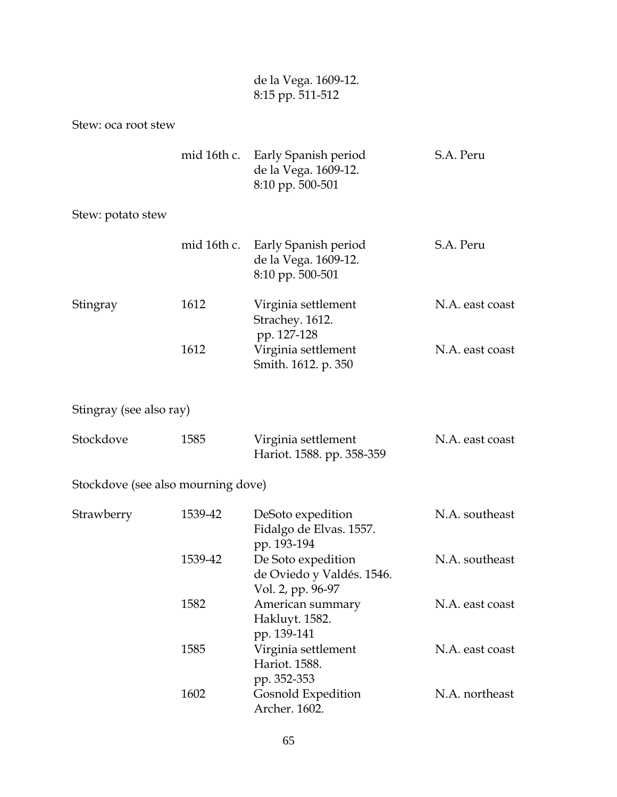| de la Vega. 1609-12. |
|----------------------|
| 8:15 pp. 511-512     |

Stew: oca root stew

|  | mid 16th c. Early Spanish period | S.A. Peru |
|--|----------------------------------|-----------|
|  | de la Vega. 1609-12.             |           |
|  | $8:10$ pp. 500-501               |           |

### Stew: potato stew

|          | mid 16th c. | Early Spanish period<br>de la Vega. 1609-12.<br>8:10 pp. 500-501 | S.A. Peru       |
|----------|-------------|------------------------------------------------------------------|-----------------|
| Stingray | 1612        | Virginia settlement<br>Strachey. 1612.<br>pp. 127-128            | N.A. east coast |
|          | 1612        | Virginia settlement<br>Smith. 1612. p. 350                       | N.A. east coast |

Stingray (see also ray)

| Stockdove |  | 1585                      | Virginia settlement | N.A. east coast |
|-----------|--|---------------------------|---------------------|-----------------|
|           |  | Hariot. 1588. pp. 358-359 |                     |                 |

Stockdove (see also mourning dove)

| Strawberry | 1539-42 | DeSoto expedition         | N.A. southeast  |
|------------|---------|---------------------------|-----------------|
|            |         | Fidalgo de Elvas. 1557.   |                 |
|            |         | pp. 193-194               |                 |
|            | 1539-42 | De Soto expedition        | N.A. southeast  |
|            |         | de Oviedo y Valdés. 1546. |                 |
|            |         | Vol. 2, pp. 96-97         |                 |
|            | 1582    | American summary          | N.A. east coast |
|            |         | Hakluyt. 1582.            |                 |
|            |         | pp. 139-141               |                 |
|            | 1585    | Virginia settlement       | N.A. east coast |
|            |         | Hariot. 1588.             |                 |
|            |         | pp. 352-353               |                 |
|            | 1602    | Gosnold Expedition        | N.A. northeast  |
|            |         | Archer. 1602.             |                 |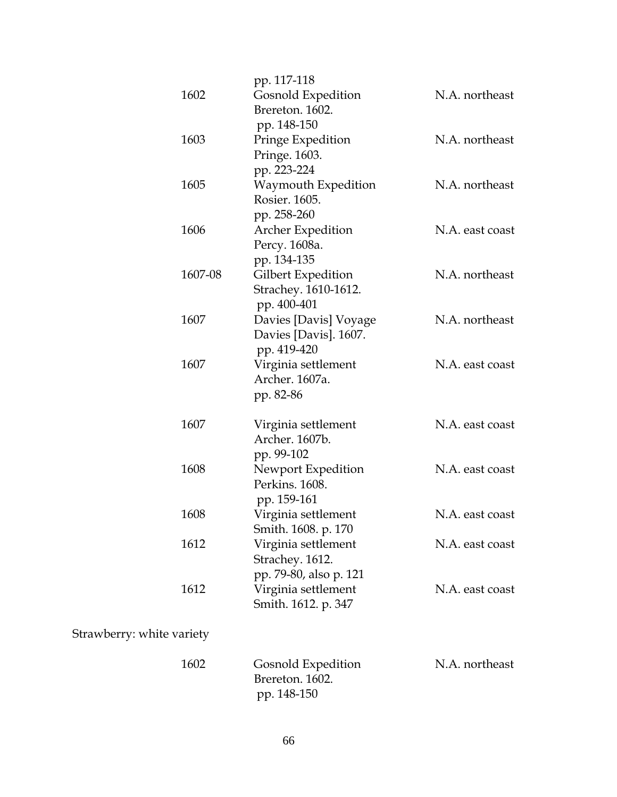|                           | pp. 117-118            |                 |
|---------------------------|------------------------|-----------------|
| 1602                      | Gosnold Expedition     | N.A. northeast  |
|                           | Brereton. 1602.        |                 |
|                           | pp. 148-150            |                 |
| 1603                      | Pringe Expedition      | N.A. northeast  |
|                           | Pringe. 1603.          |                 |
|                           | pp. 223-224            |                 |
| 1605                      | Waymouth Expedition    | N.A. northeast  |
|                           | Rosier. 1605.          |                 |
|                           | pp. 258-260            |                 |
| 1606                      | Archer Expedition      | N.A. east coast |
|                           | Percy. 1608a.          |                 |
|                           | pp. 134-135            |                 |
| 1607-08                   | Gilbert Expedition     | N.A. northeast  |
|                           | Strachey. 1610-1612.   |                 |
|                           | pp. 400-401            |                 |
| 1607                      | Davies [Davis] Voyage  | N.A. northeast  |
|                           | Davies [Davis]. 1607.  |                 |
|                           | pp. 419-420            |                 |
| 1607                      | Virginia settlement    | N.A. east coast |
|                           | Archer. 1607a.         |                 |
|                           | pp. 82-86              |                 |
| 1607                      | Virginia settlement    | N.A. east coast |
|                           | Archer. 1607b.         |                 |
|                           | pp. 99-102             |                 |
| 1608                      | Newport Expedition     | N.A. east coast |
|                           | Perkins. 1608.         |                 |
|                           | pp. 159-161            |                 |
| 1608                      | Virginia settlement    | N.A. east coast |
|                           | Smith. 1608. p. 170    |                 |
| 1612                      | Virginia settlement    | N.A. east coast |
|                           | Strachey. 1612.        |                 |
|                           | pp. 79-80, also p. 121 |                 |
| 1612                      | Virginia settlement    | N.A. east coast |
|                           | Smith. 1612. p. 347    |                 |
|                           |                        |                 |
| Strawberry: white variety |                        |                 |
| 1602                      | Gosnold Expedition     | N.A. northeast  |
|                           | Brereton. 1602.        |                 |
|                           | pp. 148-150            |                 |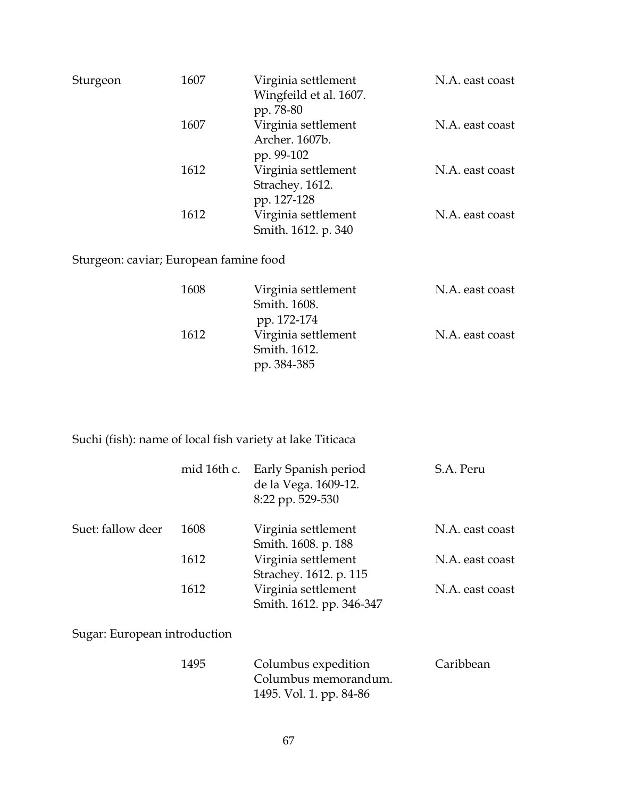| Sturgeon | 1607 | Virginia settlement<br>Wingfeild et al. 1607.<br>pp. 78-80 | N.A. east coast |
|----------|------|------------------------------------------------------------|-----------------|
|          | 1607 | Virginia settlement<br>Archer. 1607b.<br>pp. 99-102        | N.A. east coast |
|          | 1612 | Virginia settlement<br>Strachey. 1612.<br>pp. 127-128      | N.A. east coast |
|          | 1612 | Virginia settlement<br>Smith. 1612. p. 340                 | N.A. east coast |

Sturgeon: caviar; European famine food

| 1608 | Virginia settlement | N.A. east coast |
|------|---------------------|-----------------|
|      | Smith. 1608.        |                 |
|      | pp. 172-174         |                 |
| 1612 | Virginia settlement | N.A. east coast |
|      | Smith. 1612.        |                 |
|      | pp. 384-385         |                 |

Suchi (fish): name of local fish variety at lake Titicaca

|                              | mid 16th c. | Early Spanish period<br>de la Vega. 1609-12.<br>8:22 pp. 529-530       | S.A. Peru       |
|------------------------------|-------------|------------------------------------------------------------------------|-----------------|
| Suet: fallow deer            | 1608        | Virginia settlement<br>Smith. 1608. p. 188                             | N.A. east coast |
|                              | 1612        | Virginia settlement<br>Strachey. 1612. p. 115                          | N.A. east coast |
|                              | 1612        | Virginia settlement<br>Smith. 1612. pp. 346-347                        | N.A. east coast |
| Sugar: European introduction |             |                                                                        |                 |
|                              | 1495        | Columbus expedition<br>Columbus memorandum.<br>1495. Vol. 1. pp. 84-86 | Caribbean       |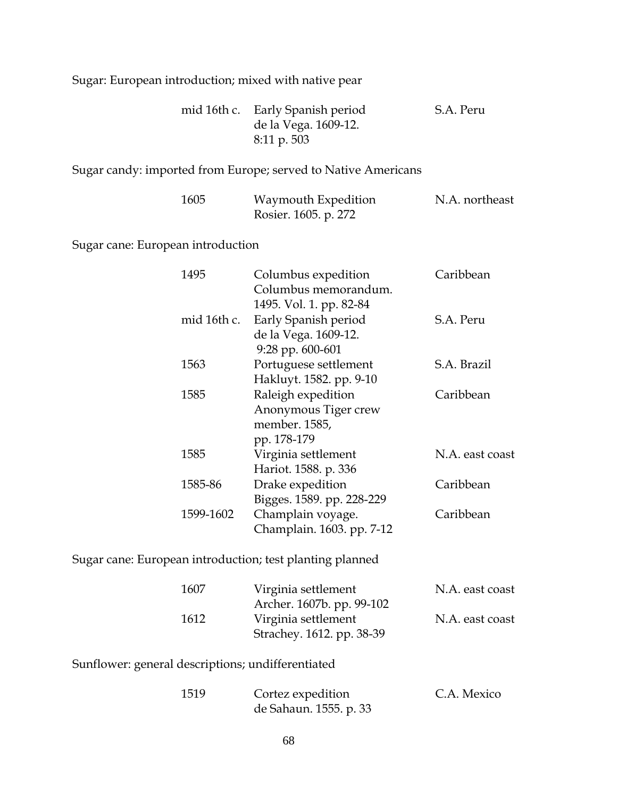Sugar: European introduction; mixed with native pear

|  | mid 16th c. Early Spanish period | S.A. Peru |
|--|----------------------------------|-----------|
|  | de la Vega. 1609-12.             |           |
|  | $8:11 \text{ p. }503$            |           |

#### Sugar candy: imported from Europe; served to Native Americans

| 1605 | Waymouth Expedition  | N.A. northeast |
|------|----------------------|----------------|
|      | Rosier. 1605. p. 272 |                |

Sugar cane: European introduction

| 1495        | Columbus expedition<br>Columbus memorandum.<br>1495. Vol. 1. pp. 82-84     | Caribbean       |
|-------------|----------------------------------------------------------------------------|-----------------|
| mid 16th c. | Early Spanish period<br>de la Vega. 1609-12.<br>9:28 pp. 600-601           | S.A. Peru       |
| 1563        | Portuguese settlement<br>Hakluyt. 1582. pp. 9-10                           | S.A. Brazil     |
| 1585        | Raleigh expedition<br>Anonymous Tiger crew<br>member. 1585,<br>pp. 178-179 | Caribbean       |
| 1585        | Virginia settlement<br>Hariot. 1588. p. 336                                | N.A. east coast |
| 1585-86     | Drake expedition<br>Bigges. 1589. pp. 228-229                              | Caribbean       |
| 1599-1602   | Champlain voyage.<br>Champlain. 1603. pp. 7-12                             | Caribbean       |

Sugar cane: European introduction; test planting planned

| 1607 | Virginia settlement       | N.A. east coast |
|------|---------------------------|-----------------|
|      | Archer. 1607b. pp. 99-102 |                 |
| 1612 | Virginia settlement       | N.A. east coast |
|      | Strachey. 1612. pp. 38-39 |                 |

Sunflower: general descriptions; undifferentiated

| 1519 | Cortez expedition      | C.A. Mexico |
|------|------------------------|-------------|
|      | de Sahaun. 1555. p. 33 |             |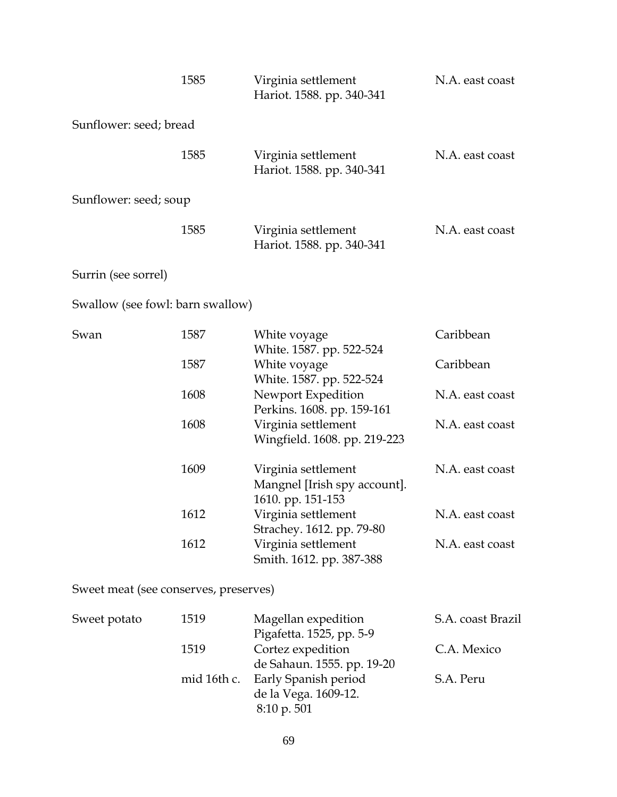|                                       | 1585 | Virginia settlement<br>Hariot. 1588. pp. 340-341                      | N.A. east coast   |
|---------------------------------------|------|-----------------------------------------------------------------------|-------------------|
| Sunflower: seed; bread                |      |                                                                       |                   |
|                                       | 1585 | Virginia settlement<br>Hariot. 1588. pp. 340-341                      | N.A. east coast   |
| Sunflower: seed; soup                 |      |                                                                       |                   |
|                                       | 1585 | Virginia settlement<br>Hariot. 1588. pp. 340-341                      | N.A. east coast   |
| Surrin (see sorrel)                   |      |                                                                       |                   |
| Swallow (see fowl: barn swallow)      |      |                                                                       |                   |
| Swan                                  | 1587 | White voyage<br>White. 1587. pp. 522-524                              | Caribbean         |
|                                       | 1587 | White voyage<br>White. 1587. pp. 522-524                              | Caribbean         |
|                                       | 1608 | Newport Expedition<br>Perkins. 1608. pp. 159-161                      | N.A. east coast   |
|                                       | 1608 | Virginia settlement<br>Wingfield. 1608. pp. 219-223                   | N.A. east coast   |
|                                       | 1609 | Virginia settlement<br>Mangnel [Irish spy account].                   | N.A. east coast   |
|                                       | 1612 | 1610. pp. 151-153<br>Virginia settlement<br>Strachey. 1612. pp. 79-80 | N.A. east coast   |
|                                       | 1612 | Virginia settlement<br>Smith. 1612. pp. 387-388                       | N.A. east coast   |
| Sweet meat (see conserves, preserves) |      |                                                                       |                   |
| Sweet potato                          | 1519 | Magellan expedition<br>$Pi(0.264)$ 1525 np 5.0                        | S.A. coast Brazil |

|      | Pigafetta. 1525, pp. 5-9         |             |
|------|----------------------------------|-------------|
| 1519 | Cortez expedition                | C.A. Mexico |
|      | de Sahaun. 1555. pp. 19-20       |             |
|      | mid 16th c. Early Spanish period | S.A. Peru   |
|      | de la Vega. 1609-12.             |             |
|      | $8:10 \text{ p. } 501$           |             |
|      |                                  |             |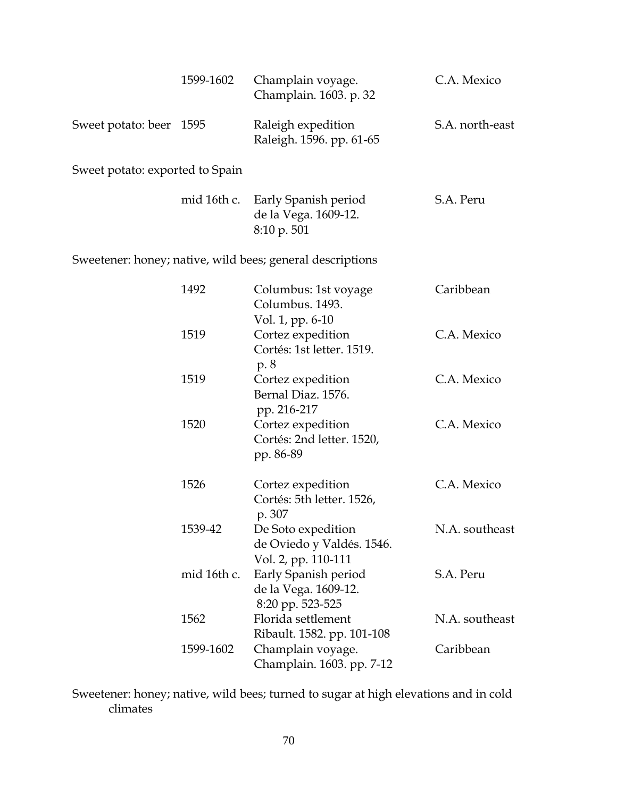|                                 | 1599-1602   | Champlain voyage.<br>Champlain. 1603. p. 32                            | C.A. Mexico     |
|---------------------------------|-------------|------------------------------------------------------------------------|-----------------|
| Sweet potato: beer 1595         |             | Raleigh expedition<br>Raleigh. 1596. pp. 61-65                         | S.A. north-east |
| Sweet potato: exported to Spain |             |                                                                        |                 |
|                                 | mid 16th c. | Early Spanish period<br>de la Vega. 1609-12.<br>8:10 p. 501            | S.A. Peru       |
|                                 |             | Sweetener: honey; native, wild bees; general descriptions              |                 |
|                                 | 1492        | Columbus: 1st voyage<br>Columbus. 1493.<br>Vol. 1, pp. 6-10            | Caribbean       |
|                                 | 1519        | Cortez expedition<br>Cortés: 1st letter. 1519.<br>p. 8                 | C.A. Mexico     |
|                                 | 1519        | Cortez expedition<br>Bernal Diaz. 1576.<br>pp. 216-217                 | C.A. Mexico     |
|                                 | 1520        | Cortez expedition<br>Cortés: 2nd letter. 1520,<br>pp. 86-89            | C.A. Mexico     |
|                                 | 1526        | Cortez expedition<br>Cortés: 5th letter. 1526,<br>p. 307               | C.A. Mexico     |
|                                 | 1539-42     | De Soto expedition<br>de Oviedo y Valdés. 1546.<br>Vol. 2, pp. 110-111 | N.A. southeast  |
|                                 | mid 16th c. | Early Spanish period<br>de la Vega. 1609-12.<br>8:20 pp. 523-525       | S.A. Peru       |
|                                 | 1562        | Florida settlement<br>Ribault. 1582. pp. 101-108                       | N.A. southeast  |
|                                 | 1599-1602   | Champlain voyage.<br>Champlain. 1603. pp. 7-12                         | Caribbean       |

Sweetener: honey; native, wild bees; turned to sugar at high elevations and in cold climates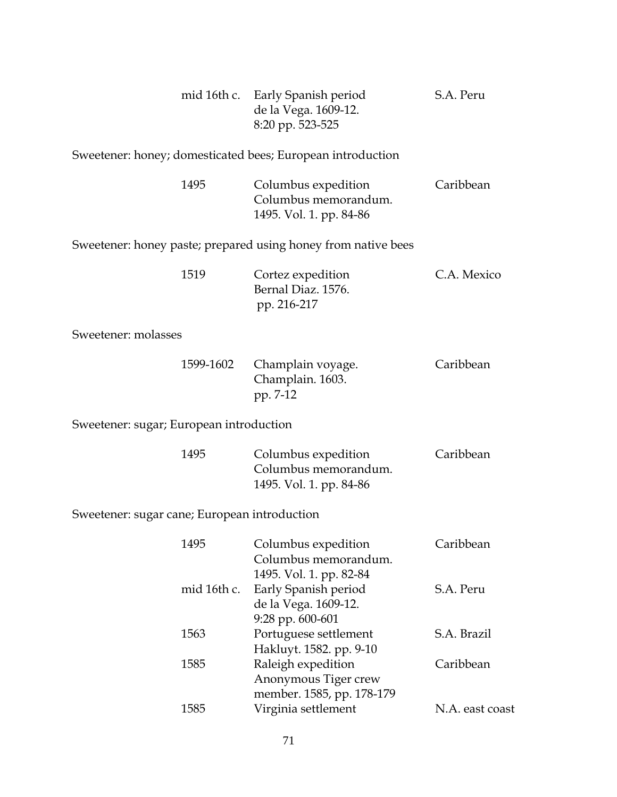|                                              |             | mid 16th c. Early Spanish period<br>de la Vega. 1609-12.<br>8:20 pp. 523-525 | S.A. Peru       |
|----------------------------------------------|-------------|------------------------------------------------------------------------------|-----------------|
|                                              |             | Sweetener: honey; domesticated bees; European introduction                   |                 |
|                                              | 1495        | Columbus expedition<br>Columbus memorandum.<br>1495. Vol. 1. pp. 84-86       | Caribbean       |
|                                              |             | Sweetener: honey paste; prepared using honey from native bees                |                 |
|                                              | 1519        | Cortez expedition<br>Bernal Diaz. 1576.<br>pp. 216-217                       | C.A. Mexico     |
| Sweetener: molasses                          |             |                                                                              |                 |
|                                              | 1599-1602   | Champlain voyage.<br>Champlain. 1603.<br>pp. 7-12                            | Caribbean       |
| Sweetener: sugar; European introduction      |             |                                                                              |                 |
|                                              | 1495        | Columbus expedition<br>Columbus memorandum.<br>1495. Vol. 1. pp. 84-86       | Caribbean       |
| Sweetener: sugar cane; European introduction |             |                                                                              |                 |
|                                              | 1495        | Columbus expedition<br>Columbus memorandum.<br>1495. Vol. 1. pp. 82-84       | Caribbean       |
|                                              | mid 16th c. | Early Spanish period<br>de la Vega. 1609-12.<br>9:28 pp. 600-601             | S.A. Peru       |
|                                              | 1563        | Portuguese settlement<br>Hakluyt. 1582. pp. 9-10                             | S.A. Brazil     |
|                                              | 1585        | Raleigh expedition<br>Anonymous Tiger crew<br>member. 1585, pp. 178-179      | Caribbean       |
|                                              | 1585        | Virginia settlement                                                          | N.A. east coast |